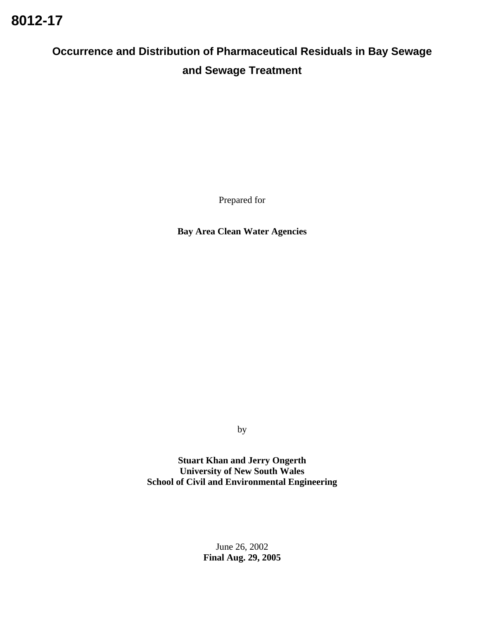# **Occurrence and Distribution of Pharmaceutical Residuals in Bay Sewage and Sewage Treatment**

Prepared for

**Bay Area Clean Water Agencies** 

by

**Stuart Khan and Jerry Ongerth University of New South Wales School of Civil and Environmental Engineering** 

> June 26, 2002 **Final Aug. 29, 2005**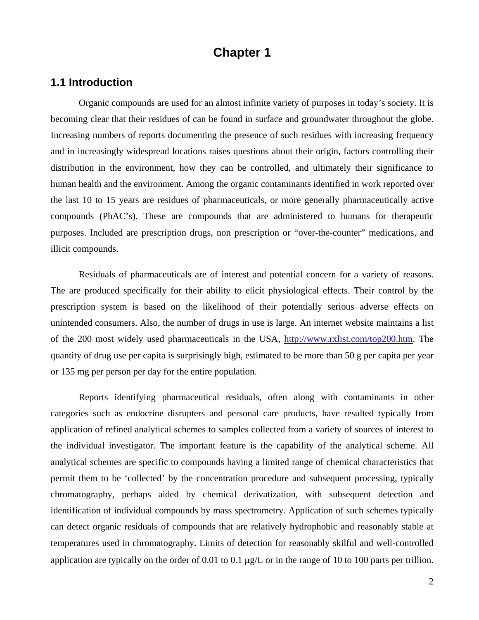# **Chapter 1**

# **1.1 Introduction**

Organic compounds are used for an almost infinite variety of purposes in today's society. It is becoming clear that their residues of can be found in surface and groundwater throughout the globe. Increasing numbers of reports documenting the presence of such residues with increasing frequency and in increasingly widespread locations raises questions about their origin, factors controlling their distribution in the environment, how they can be controlled, and ultimately their significance to human health and the environment. Among the organic contaminants identified in work reported over the last 10 to 15 years are residues of pharmaceuticals, or more generally pharmaceutically active compounds (PhAC's). These are compounds that are administered to humans for therapeutic purposes. Included are prescription drugs, non prescription or "over-the-counter" medications, and illicit compounds.

Residuals of pharmaceuticals are of interest and potential concern for a variety of reasons. The are produced specifically for their ability to elicit physiological effects. Their control by the prescription system is based on the likelihood of their potentially serious adverse effects on unintended consumers. Also, the number of drugs in use is large. An internet website maintains a list of the 200 most widely used pharmaceuticals in the USA, http://www.rxlist.com/top200.htm. The quantity of drug use per capita is surprisingly high, estimated to be more than 50 g per capita per year or 135 mg per person per day for the entire population.

Reports identifying pharmaceutical residuals, often along with contaminants in other categories such as endocrine disrupters and personal care products, have resulted typically from application of refined analytical schemes to samples collected from a variety of sources of interest to the individual investigator. The important feature is the capability of the analytical scheme. All analytical schemes are specific to compounds having a limited range of chemical characteristics that permit them to be 'collected' by the concentration procedure and subsequent processing, typically chromatography, perhaps aided by chemical derivatization, with subsequent detection and identification of individual compounds by mass spectrometry. Application of such schemes typically can detect organic residuals of compounds that are relatively hydrophobic and reasonably stable at temperatures used in chromatography. Limits of detection for reasonably skilful and well-controlled application are typically on the order of 0.01 to 0.1 µg/L or in the range of 10 to 100 parts per trillion.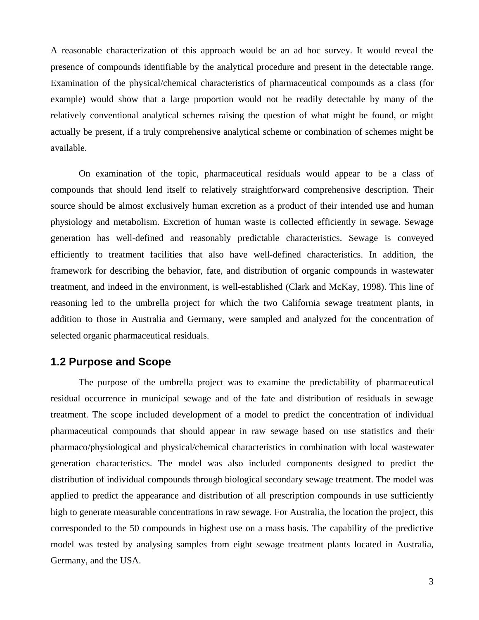A reasonable characterization of this approach would be an ad hoc survey. It would reveal the presence of compounds identifiable by the analytical procedure and present in the detectable range. Examination of the physical/chemical characteristics of pharmaceutical compounds as a class (for example) would show that a large proportion would not be readily detectable by many of the relatively conventional analytical schemes raising the question of what might be found, or might actually be present, if a truly comprehensive analytical scheme or combination of schemes might be available.

On examination of the topic, pharmaceutical residuals would appear to be a class of compounds that should lend itself to relatively straightforward comprehensive description. Their source should be almost exclusively human excretion as a product of their intended use and human physiology and metabolism. Excretion of human waste is collected efficiently in sewage. Sewage generation has well-defined and reasonably predictable characteristics. Sewage is conveyed efficiently to treatment facilities that also have well-defined characteristics. In addition, the framework for describing the behavior, fate, and distribution of organic compounds in wastewater treatment, and indeed in the environment, is well-established (Clark and McKay, 1998). This line of reasoning led to the umbrella project for which the two California sewage treatment plants, in addition to those in Australia and Germany, were sampled and analyzed for the concentration of selected organic pharmaceutical residuals.

### **1.2 Purpose and Scope**

The purpose of the umbrella project was to examine the predictability of pharmaceutical residual occurrence in municipal sewage and of the fate and distribution of residuals in sewage treatment. The scope included development of a model to predict the concentration of individual pharmaceutical compounds that should appear in raw sewage based on use statistics and their pharmaco/physiological and physical/chemical characteristics in combination with local wastewater generation characteristics. The model was also included components designed to predict the distribution of individual compounds through biological secondary sewage treatment. The model was applied to predict the appearance and distribution of all prescription compounds in use sufficiently high to generate measurable concentrations in raw sewage. For Australia, the location the project, this corresponded to the 50 compounds in highest use on a mass basis. The capability of the predictive model was tested by analysing samples from eight sewage treatment plants located in Australia, Germany, and the USA.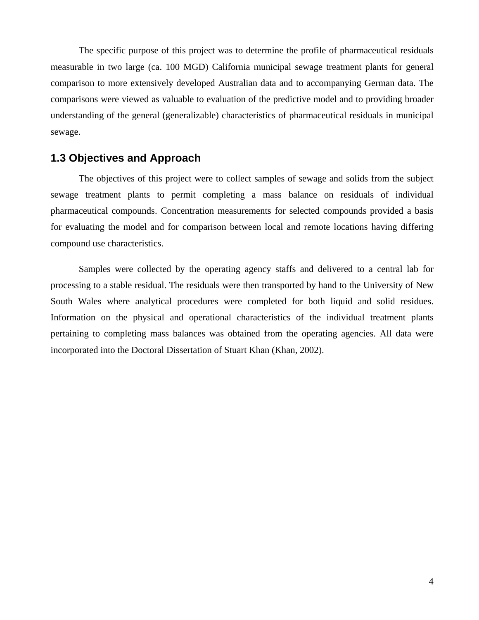The specific purpose of this project was to determine the profile of pharmaceutical residuals measurable in two large (ca. 100 MGD) California municipal sewage treatment plants for general comparison to more extensively developed Australian data and to accompanying German data. The comparisons were viewed as valuable to evaluation of the predictive model and to providing broader understanding of the general (generalizable) characteristics of pharmaceutical residuals in municipal sewage.

## **1.3 Objectives and Approach**

The objectives of this project were to collect samples of sewage and solids from the subject sewage treatment plants to permit completing a mass balance on residuals of individual pharmaceutical compounds. Concentration measurements for selected compounds provided a basis for evaluating the model and for comparison between local and remote locations having differing compound use characteristics.

Samples were collected by the operating agency staffs and delivered to a central lab for processing to a stable residual. The residuals were then transported by hand to the University of New South Wales where analytical procedures were completed for both liquid and solid residues. Information on the physical and operational characteristics of the individual treatment plants pertaining to completing mass balances was obtained from the operating agencies. All data were incorporated into the Doctoral Dissertation of Stuart Khan (Khan, 2002).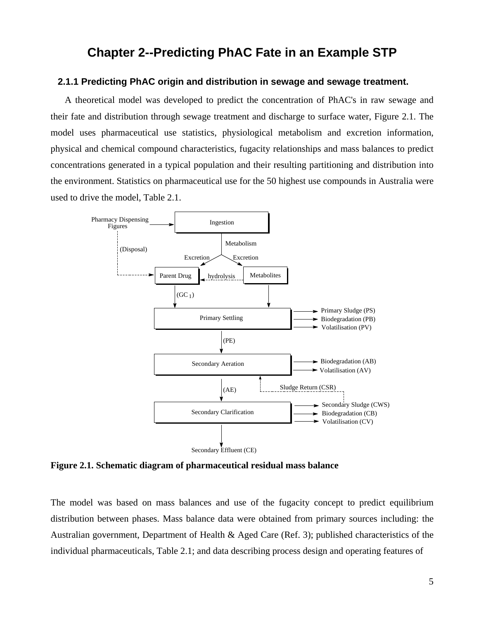# **Chapter 2--Predicting PhAC Fate in an Example STP**

#### **2.1.1 Predicting PhAC origin and distribution in sewage and sewage treatment.**

 A theoretical model was developed to predict the concentration of PhAC's in raw sewage and their fate and distribution through sewage treatment and discharge to surface water, Figure 2.1. The model uses pharmaceutical use statistics, physiological metabolism and excretion information, physical and chemical compound characteristics, fugacity relationships and mass balances to predict concentrations generated in a typical population and their resulting partitioning and distribution into the environment. Statistics on pharmaceutical use for the 50 highest use compounds in Australia were used to drive the model, Table 2.1.



**Figure 2.1. Schematic diagram of pharmaceutical residual mass balance** 

The model was based on mass balances and use of the fugacity concept to predict equilibrium distribution between phases. Mass balance data were obtained from primary sources including: the Australian government, Department of Health & Aged Care (Ref. 3); published characteristics of the individual pharmaceuticals, Table 2.1; and data describing process design and operating features of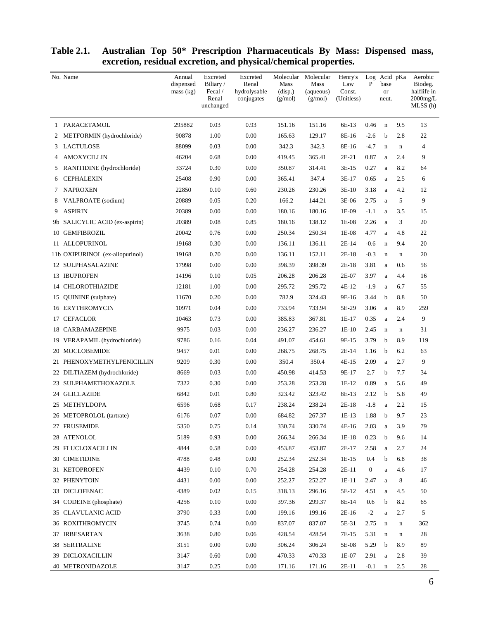|   | No. Name                        | Annual<br>dispensed<br>mass (kg) | Excreted<br>Biliary/<br>Fecal /<br>Renal<br>unchanged | Excreted<br>Renal<br>hydrolysable<br>conjugates | Molecular<br>Mass<br>(disp.)<br>(g/mol) | Molecular<br>Mass<br>(aqueous)<br>(g/mol) | Henry's<br>Law<br>Const.<br>(Unitless) | P            | Log Acid pKa<br>base<br><b>or</b><br>neut. |             | Aerobic<br>Biodeg.<br>halflife in<br>$2000$ mg/L<br>MLSS (h) |
|---|---------------------------------|----------------------------------|-------------------------------------------------------|-------------------------------------------------|-----------------------------------------|-------------------------------------------|----------------------------------------|--------------|--------------------------------------------|-------------|--------------------------------------------------------------|
|   | 1 PARACETAMOL                   | 295882                           | 0.03                                                  | 0.93                                            | 151.16                                  | 151.16                                    | 6E-13                                  | 0.46         | $\mathbf n$                                | 9.5         | 13                                                           |
| 2 | METFORMIN (hydrochloride)       | 90878                            | 1.00                                                  | 0.00                                            | 165.63                                  | 129.17                                    | 8E-16                                  | $-2.6$       | $\mathbf b$                                | 2.8         | 22                                                           |
|   | 3 LACTULOSE                     | 88099                            | 0.03                                                  | 0.00                                            | 342.3                                   | 342.3                                     | 8E-16                                  | $-4.7$       | $\mathbf n$                                | $\mathbf n$ | 4                                                            |
| 4 | AMOXYCILLIN                     | 46204                            | 0.68                                                  | 0.00                                            | 419.45                                  | 365.41                                    | $2E-21$                                | 0.87         | a                                          | 2.4         | 9                                                            |
| 5 | RANITIDINE (hydrochloride)      | 33724                            | 0.30                                                  | 0.00                                            | 350.87                                  | 314.41                                    | 3E-15                                  | 0.27         | a                                          | 8.2         | 64                                                           |
|   | 6 CEPHALEXIN                    | 25408                            | 0.90                                                  | 0.00                                            | 365.41                                  | 347.4                                     | 3E-17                                  | 0.65         | a                                          | 2.5         | 6                                                            |
| 7 | NAPROXEN                        | 22850                            | 0.10                                                  | 0.60                                            | 230.26                                  | 230.26                                    | $3E-10$                                | 3.18         | a                                          | 4.2         | 12                                                           |
| 8 | VALPROATE (sodium)              | 20889                            | 0.05                                                  | 0.20                                            | 166.2                                   | 144.21                                    | 3E-06                                  | 2.75         | a                                          | 5           | 9                                                            |
| 9 | <b>ASPIRIN</b>                  | 20389                            | 0.00                                                  | 0.00                                            | 180.16                                  | 180.16                                    | 1E-09                                  | $-1.1$       | a                                          | 3.5         | 15                                                           |
|   | 9b SALICYLIC ACID (ex-aspirin)  | 20389                            | 0.08                                                  | 0.85                                            | 180.16                                  | 138.12                                    | 1E-08                                  | 2.26         | a                                          | 3           | 20                                                           |
|   | 10 GEMFIBROZIL                  | 20042                            | 0.76                                                  | 0.00                                            | 250.34                                  | 250.34                                    | 1E-08                                  | 4.77         | a                                          | 4.8         | 22                                                           |
|   | 11 ALLOPURINOL                  | 19168                            | 0.30                                                  | 0.00                                            | 136.11                                  | 136.11                                    | $2E-14$                                | $-0.6$       | $\mathbf n$                                | 9.4         | 20                                                           |
|   | 11b OXIPURINOL (ex-allopurinol) | 19168                            | 0.70                                                  | 0.00                                            | 136.11                                  | 152.11                                    | $2E-18$                                | $-0.3$       | $\mathbf n$                                | $\mathbf n$ | 20                                                           |
|   | <b>12 SULPHASALAZINE</b>        | 17998                            | 0.00                                                  | 0.00                                            | 398.39                                  | 398.39                                    | $2E-18$                                | 3.81         | a                                          | 0.6         | 56                                                           |
|   | 13 IBUPROFEN                    | 14196                            | 0.10                                                  | 0.05                                            | 206.28                                  | 206.28                                    | 2E-07                                  | 3.97         | a                                          | 4.4         | 16                                                           |
|   | 14 CHLOROTHIAZIDE               | 12181                            | 1.00                                                  | 0.00                                            | 295.72                                  | 295.72                                    | 4E-12                                  | $-1.9$       | a                                          | 6.7         | 55                                                           |
|   | 15 QUININE (sulphate)           | 11670                            | 0.20                                                  | 0.00                                            | 782.9                                   | 324.43                                    | 9E-16                                  | 3.44         | b                                          | 8.8         | 50                                                           |
|   | <b>16 ERYTHROMYCIN</b>          | 10971                            | 0.04                                                  | 0.00                                            | 733.94                                  | 733.94                                    | 5E-29                                  | 3.06         | a                                          | 8.9         | 259                                                          |
|   | 17 CEFACLOR                     | 10463                            | 0.73                                                  | 0.00                                            | 385.83                                  | 367.81                                    | 1E-17                                  | 0.35         | a                                          | 2.4         | 9                                                            |
|   | <b>18 CARBAMAZEPINE</b>         | 9975                             | 0.03                                                  | 0.00                                            | 236.27                                  | 236.27                                    | $1E-10$                                | 2.45         | $\mathbf n$                                | $\mathbf n$ | 31                                                           |
|   | 19 VERAPAMIL (hydrochloride)    | 9786                             | 0.16                                                  | 0.04                                            | 491.07                                  | 454.61                                    | 9E-15                                  | 3.79         | b                                          | 8.9         | 119                                                          |
|   | 20 MOCLOBEMIDE                  | 9457                             | 0.01                                                  | 0.00                                            | 268.75                                  | 268.75                                    | 2E-14                                  | 1.16         | b                                          | 6.2         | 63                                                           |
|   | 21 PHENOXYMETHYLPENICILLIN      | 9209                             | 0.30                                                  | 0.00                                            | 350.4                                   | 350.4                                     | 4E-15                                  | 2.09         | a                                          | 2.7         | 9                                                            |
|   | 22 DILTIAZEM (hydrochloride)    | 8669                             | 0.03                                                  | 0.00                                            | 450.98                                  | 414.53                                    | 9E-17                                  | 2.7          | b                                          | 7.7         | 34                                                           |
|   | 23 SULPHAMETHOXAZOLE            | 7322                             | 0.30                                                  | 0.00                                            | 253.28                                  | 253.28                                    | 1E-12                                  | 0.89         | a                                          | 5.6         | 49                                                           |
|   | 24 GLICLAZIDE                   | 6842                             | 0.01                                                  | 0.80                                            | 323.42                                  | 323.42                                    | 8E-13                                  | 2.12         | b                                          | 5.8         | 49                                                           |
|   | 25 METHYLDOPA                   | 6596                             | 0.68                                                  | 0.17                                            | 238.24                                  | 238.24                                    | $2E-18$                                | $-1.8$       | a                                          | 2.2         | 15                                                           |
|   | 26 METOPROLOL (tartrate)        | 6176                             | 0.07                                                  | 0.00                                            | 684.82                                  | 267.37                                    | 1E-13                                  | 1.88         | b                                          | 9.7         | 23                                                           |
|   | 27 FRUSEMIDE                    | 5350                             | 0.75                                                  | 0.14                                            | 330.74                                  | 330.74                                    | 4E-16                                  | 2.03         | a                                          | 3.9         | 79                                                           |
|   | 28 ATENOLOL                     | 5189                             | 0.93                                                  | 0.00                                            | 266.34                                  | 266.34                                    | 1E-18                                  | 0.23         | $\mathbf b$                                | 9.6         | 14                                                           |
|   | 29 FLUCLOXACILLIN               | 4844                             | 0.58                                                  | 0.00                                            | 453.87                                  | 453.87                                    | 2E-17                                  | 2.58         | a                                          | 2.7         | 24                                                           |
|   | 30 CIMETIDINE                   | 4788                             | 0.48                                                  | 0.00                                            | 252.34                                  | 252.34                                    | 1E-15                                  | 0.4          | b                                          | 6.8         | $38\,$                                                       |
|   | 31 KETOPROFEN                   | 4439                             | 0.10                                                  | 0.70                                            | 254.28                                  | 254.28                                    | $2E-11$                                | $\mathbf{0}$ | $\rm{a}$                                   | 4.6         | 17                                                           |
|   | 32 PHENYTOIN                    | 4431                             | 0.00                                                  | 0.00                                            | 252.27                                  | 252.27                                    | $1E-11$                                | 2.47         | a                                          | 8           | $46\,$                                                       |
|   | 33 DICLOFENAC                   | 4389                             | 0.02                                                  | 0.15                                            | 318.13                                  | 296.16                                    | 5E-12                                  | 4.51         | a                                          | 4.5         | 50                                                           |
|   | 34 CODEINE (phosphate)          | 4256                             | 0.10                                                  | 0.00                                            | 397.36                                  | 299.37                                    | 8E-14                                  | 0.6          | b                                          | 8.2         | 65                                                           |
|   | 35 CLAVULANIC ACID              | 3790                             | 0.33                                                  | 0.00                                            | 199.16                                  | 199.16                                    | 2E-16                                  | $-2$         | $\rm{a}$                                   | 2.7         | 5                                                            |
|   | 36 ROXITHROMYCIN                | 3745                             | 0.74                                                  | $0.00\,$                                        | 837.07                                  | 837.07                                    | 5E-31                                  | 2.75         | $\mathbf n$                                | $\mathbf n$ | 362                                                          |
|   | 37 IRBESARTAN                   | 3638                             | 0.80                                                  | 0.06                                            | 428.54                                  | 428.54                                    | 7E-15                                  | 5.31         | $\mathbf n$                                | $\mathbf n$ | 28                                                           |
|   | 38 SERTRALINE                   | 3151                             | 0.00                                                  | 0.00                                            | 306.24                                  | 306.24                                    | 5E-08                                  | 5.29         | $\mathbf b$                                | 8.9         | 89                                                           |
|   | 39 DICLOXACILLIN                | 3147                             | 0.60                                                  | 0.00                                            | 470.33                                  | 470.33                                    | 1E-07                                  | 2.91         | a                                          | 2.8         | 39                                                           |
|   | 40 METRONIDAZOLE                | 3147                             | 0.25                                                  | $0.00\,$                                        | 171.16                                  | 171.16                                    | $2E-11$                                | $-0.1$       | $\mathbf n$                                | 2.5         | 28                                                           |

#### **Table 2.1. Australian Top 50\* Prescription Pharmaceuticals By Mass: Dispensed mass, excretion, residual excretion, and physical/chemical properties.**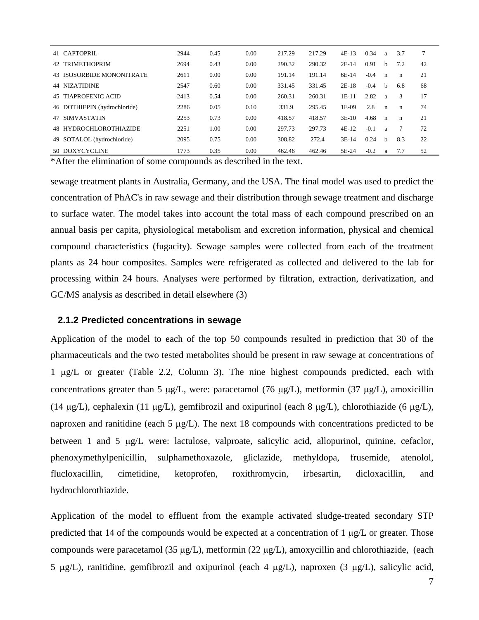| 41 CAPTOPRIL                 | 2944 | 0.45 | 0.00 | 217.29 | 217.29 | $4E-13$ | 0.34   | a            | 3.7         | 7  |
|------------------------------|------|------|------|--------|--------|---------|--------|--------------|-------------|----|
| 42 TRIMETHOPRIM              | 2694 | 0.43 | 0.00 | 290.32 | 290.32 | $2E-14$ | 0.91   | b            | 7.2         | 42 |
| 43 ISOSORBIDE MONONITRATE    | 2611 | 0.00 | 0.00 | 191.14 | 191.14 | 6E-14   | $-0.4$ | $\mathbf n$  | $\mathbf n$ | 21 |
| 44 NIZATIDINE                | 2547 | 0.60 | 0.00 | 331.45 | 331.45 | $2E-18$ | $-0.4$ | h            | 6.8         | 68 |
| 45 TIAPROFENIC ACID          | 2413 | 0.54 | 0.00 | 260.31 | 260.31 | $1E-11$ | 2.82   | a            | 3           | 17 |
| 46 DOTHIEPIN (hydrochloride) | 2286 | 0.05 | 0.10 | 331.9  | 295.45 | $1E-09$ | 2.8    | $\mathbf n$  | $\mathbf n$ | 74 |
| 47 SIMVASTATIN               | 2253 | 0.73 | 0.00 | 418.57 | 418.57 | $3E-10$ | 4.68   | $\mathbf n$  | $\mathbf n$ | 21 |
| 48 HYDROCHLOROTHIAZIDE       | 2251 | 1.00 | 0.00 | 297.73 | 297.73 | $4E-12$ | $-0.1$ | a            | 7           | 72 |
| 49 SOTALOL (hydrochloride)   | 2095 | 0.75 | 0.00 | 308.82 | 272.4  | $3E-14$ | 0.24   | <sub>b</sub> | 8.3         | 22 |
| 50 DOXYCYCLINE               | 1773 | 0.35 | 0.00 | 462.46 | 462.46 | 5E-24   | $-0.2$ | a            | 7.7         | 52 |

\*After the elimination of some compounds as described in the text.

sewage treatment plants in Australia, Germany, and the USA. The final model was used to predict the concentration of PhAC's in raw sewage and their distribution through sewage treatment and discharge to surface water. The model takes into account the total mass of each compound prescribed on an annual basis per capita, physiological metabolism and excretion information, physical and chemical compound characteristics (fugacity). Sewage samples were collected from each of the treatment plants as 24 hour composites. Samples were refrigerated as collected and delivered to the lab for processing within 24 hours. Analyses were performed by filtration, extraction, derivatization, and GC/MS analysis as described in detail elsewhere (3)

#### **2.1.2 Predicted concentrations in sewage**

Application of the model to each of the top 50 compounds resulted in prediction that 30 of the pharmaceuticals and the two tested metabolites should be present in raw sewage at concentrations of 1 µg/L or greater (Table 2.2, Column 3). The nine highest compounds predicted, each with concentrations greater than 5  $\mu$ g/L, were: paracetamol (76  $\mu$ g/L), metformin (37  $\mu$ g/L), amoxicillin (14  $\mu$ g/L), cephalexin (11  $\mu$ g/L), gemfibrozil and oxipurinol (each 8  $\mu$ g/L), chlorothiazide (6  $\mu$ g/L), naproxen and ranitidine (each 5  $\mu$ g/L). The next 18 compounds with concentrations predicted to be between 1 and 5 µg/L were: lactulose, valproate, salicylic acid, allopurinol, quinine, cefaclor, phenoxymethylpenicillin, sulphamethoxazole, gliclazide, methyldopa, frusemide, atenolol, flucloxacillin, cimetidine, ketoprofen, roxithromycin, irbesartin, dicloxacillin, and hydrochlorothiazide.

Application of the model to effluent from the example activated sludge-treated secondary STP predicted that 14 of the compounds would be expected at a concentration of 1  $\mu$ g/L or greater. Those compounds were paracetamol (35  $\mu$ g/L), metformin (22  $\mu$ g/L), amoxycillin and chlorothiazide, (each 5  $\mu$ g/L), ranitidine, gemfibrozil and oxipurinol (each 4  $\mu$ g/L), naproxen (3  $\mu$ g/L), salicylic acid,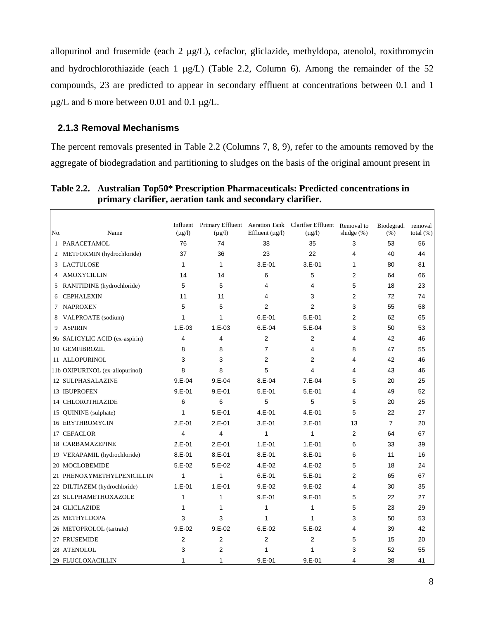allopurinol and frusemide (each 2 µg/L), cefaclor, gliclazide, methyldopa, atenolol, roxithromycin and hydrochlorothiazide (each 1  $\mu$ g/L) (Table 2.2, Column 6). Among the remainder of the 52 compounds, 23 are predicted to appear in secondary effluent at concentrations between 0.1 and 1 µg/L and 6 more between 0.01 and 0.1 µg/L.

### **2.1.3 Removal Mechanisms**

 $\Gamma$ 

The percent removals presented in Table 2.2 (Columns 7, 8, 9), refer to the amounts removed by the aggregate of biodegradation and partitioning to sludges on the basis of the original amount present in

| Table 2.2. Australian Top50* Prescription Pharmaceuticals: Predicted concentrations in |
|----------------------------------------------------------------------------------------|
| primary clarifier, aeration tank and secondary clarifier.                              |

| No. | Name                            | $(\mu g/l)$    | $(\mu g/l)$    | Effluent $(\mu g/l)$ | Influent Primary Effluent Aeration Tank Clarifier Effluent Removal to<br>$(\mu g/l)$ | sludge $(\%)$  | Biodegrad.<br>(% ) | removal<br>total $(\%)$ |
|-----|---------------------------------|----------------|----------------|----------------------|--------------------------------------------------------------------------------------|----------------|--------------------|-------------------------|
| 1   | PARACETAMOL                     | 76             | 74             | 38                   | 35                                                                                   | 3              | 53                 | 56                      |
| 2   | METFORMIN (hydrochloride)       | 37             | 36             | 23                   | 22                                                                                   | 4              | 40                 | 44                      |
|     | 3 LACTULOSE                     | 1              | $\mathbf{1}$   | $3.E-01$             | $3.E-01$                                                                             | 1              | 80                 | 81                      |
| 4   | <b>AMOXYCILLIN</b>              | 14             | 14             | 6                    | 5                                                                                    | $\overline{2}$ | 64                 | 66                      |
| 5   | RANITIDINE (hydrochloride)      | 5              | 5              | 4                    | 4                                                                                    | 5              | 18                 | 23                      |
| 6   | <b>CEPHALEXIN</b>               | 11             | 11             | 4                    | 3                                                                                    | $\overline{2}$ | 72                 | 74                      |
| 7   | <b>NAPROXEN</b>                 | 5              | 5              | $\overline{2}$       | $\overline{2}$                                                                       | 3              | 55                 | 58                      |
| 8   | VALPROATE (sodium)              | 1              | $\mathbf{1}$   | $6.E - 01$           | $5.E-01$                                                                             | $\overline{2}$ | 62                 | 65                      |
| 9   | <b>ASPIRIN</b>                  | $1.E-03$       | $1.E-03$       | $6.E-04$             | $5.E-04$                                                                             | 3              | 50                 | 53                      |
|     | 9b SALICYLIC ACID (ex-aspirin)  | 4              | $\overline{4}$ | $\overline{2}$       | $\overline{2}$                                                                       | 4              | 42                 | 46                      |
|     | 10 GEMFIBROZIL                  | 8              | 8              | $\overline{7}$       | 4                                                                                    | 8              | 47                 | 55                      |
|     | 11 ALLOPURINOL                  | 3              | 3              | $\overline{2}$       | $\overline{2}$                                                                       | 4              | 42                 | 46                      |
|     | 11b OXIPURINOL (ex-allopurinol) | 8              | 8              | 5                    | 4                                                                                    | 4              | 43                 | 46                      |
|     | <b>12 SULPHASALAZINE</b>        | $9.E - 04$     | $9.E-04$       | $8.E-04$             | $7.E-04$                                                                             | 5              | 20                 | 25                      |
|     | <b>13 IBUPROFEN</b>             | $9.E - 01$     | $9.E - 01$     | $5.E-01$             | $5.E-01$                                                                             | 4              | 49                 | 52                      |
|     | <b>14 CHLOROTHIAZIDE</b>        | 6              | 6              | 5                    | 5                                                                                    | 5              | 20                 | 25                      |
|     | 15 QUININE (sulphate)           | 1              | $5.E-01$       | $4.E-01$             | $4.E-01$                                                                             | 5              | 22                 | 27                      |
|     | <b>16 ERYTHROMYCIN</b>          | $2.E-01$       | $2.E-01$       | $3.E-01$             | $2.E-01$                                                                             | 13             | $\overline{7}$     | 20                      |
|     | 17 CEFACLOR                     | 4              | 4              | 1                    | 1                                                                                    | $\overline{2}$ | 64                 | 67                      |
|     | <b>18 CARBAMAZEPINE</b>         | $2.E-01$       | $2.E-01$       | $1.E-01$             | $1.E-01$                                                                             | 6              | 33                 | 39                      |
|     | 19 VERAPAMIL (hydrochloride)    | $8.E - 01$     | $8.E - 01$     | $8.E - 01$           | $8.E - 01$                                                                           | 6              | 11                 | 16                      |
|     | 20 MOCLOBEMIDE                  | $5.E-02$       | $5.E-02$       | 4.E-02               | 4.E-02                                                                               | 5              | 18                 | 24                      |
|     | 21 PHENOXYMETHYLPENICILLIN      | 1              | 1              | $6.E-01$             | $5.E-01$                                                                             | 2              | 65                 | 67                      |
|     | 22 DILTIAZEM (hydrochloride)    | $1.E-01$       | $1.E - 01$     | $9.E-02$             | $9.E-02$                                                                             | 4              | 30                 | 35                      |
|     | 23 SULPHAMETHOXAZOLE            | 1              | 1              | $9.E - 01$           | $9.E - 01$                                                                           | 5              | 22                 | 27                      |
|     | 24 GLICLAZIDE                   | 1              | 1              | 1                    | 1                                                                                    | 5              | 23                 | 29                      |
|     | 25 METHYLDOPA                   | 3              | 3              | 1                    | 1                                                                                    | 3              | 50                 | 53                      |
|     | 26 METOPROLOL (tartrate)        | $9.E-02$       | $9.E-02$       | $6.E-02$             | $5.E-02$                                                                             | 4              | 39                 | 42                      |
|     | 27 FRUSEMIDE                    | $\overline{2}$ | 2              | $\overline{2}$       | $\overline{2}$                                                                       | 5              | 15                 | 20                      |
|     | 28 ATENOLOL                     | 3              | 2              | 1                    | 1                                                                                    | 3              | 52                 | 55                      |
|     | 29 FLUCLOXACILLIN               | 1              | 1              | $9.E-01$             | $9.E-01$                                                                             | 4              | 38                 | 41                      |

٦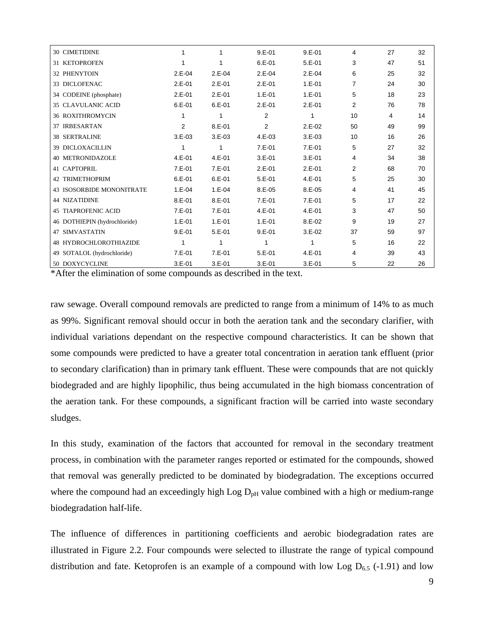| <b>30 CIMETIDINE</b>                 | 1              | 1          | $9.E-01$           | $9.E-01$   | 4              | 27 | 32 |
|--------------------------------------|----------------|------------|--------------------|------------|----------------|----|----|
| <b>31 KETOPROFEN</b>                 | 1              |            | $6.E-01$           | $5.E-01$   | 3              | 47 | 51 |
|                                      |                |            |                    |            |                |    |    |
| 32 PHENYTOIN                         | $2.E-04$       | $2.E-04$   | $2.E-04$           | $2.E-04$   | 6              | 25 | 32 |
| 33 DICLOFENAC                        | $2.E-01$       | $2.E-01$   | $2.E-01$           | $1.E - 01$ | $\overline{7}$ | 24 | 30 |
| 34 CODEINE (phosphate)               | $2.E-01$       | $2.E-01$   | $1.E-01$           | $1.E - 01$ | 5              | 18 | 23 |
| <b>35 CLAVULANIC ACID</b>            | $6.E-01$       | $6.E-01$   | $2.E-01$           | $2.E-01$   | $\overline{2}$ | 76 | 78 |
| <b>36 ROXITHROMYCIN</b>              | 1              |            | 2                  |            | 10             | 4  | 14 |
| <b>37 IRBESARTAN</b>                 | $\overline{2}$ | $8.E - 01$ | $\overline{2}$     | $2.E-02$   | 50             | 49 | 99 |
| <b>38 SERTRALINE</b>                 | $3.E-03$       | $3.E-03$   | 4.E-03             | $3.E-03$   | 10             | 16 | 26 |
| <b>39 DICLOXACILLIN</b>              | 1              | 1          | $7.E-01$           | $7.E-01$   | 5              | 27 | 32 |
| <b>40 METRONIDAZOLE</b>              | 4.E-01         | $4.E-01$   | $3.E-01$           | $3.E-01$   | 4              | 34 | 38 |
| 41 CAPTOPRIL                         | $7.E-01$       | $7.E-01$   | $2.E-01$           | $2.E-01$   | $\overline{2}$ | 68 | 70 |
| <b>42 TRIMETHOPRIM</b>               | $6.E-01$       | $6.E-01$   | $5.E-01$           | $4.E-01$   | 5              | 25 | 30 |
| <b>43 ISOSORBIDE MONONITRATE</b>     | $1.E-04$       | $1.E-04$   | 8.E-05             | $8.E-05$   | 4              | 41 | 45 |
| <b>44 NIZATIDINE</b>                 | $8.E - 01$     | $8.E-01$   | 7.E-01             | $7.E-01$   | 5              | 17 | 22 |
| <b>45 TIAPROFENIC ACID</b>           | $7.E-01$       | $7.E-01$   | $4.E-01$           | $4.E-01$   | 3              | 47 | 50 |
| 46 DOTHIEPIN (hydrochloride)         | $1.E-01$       | $1.E-01$   | $1.E-01$           | $8.E-02$   | 9              | 19 | 27 |
| <b>47 SIMVASTATIN</b>                | $9.E-01$       | $5.E-01$   | $9.E - 01$         | $3.E-02$   | 37             | 59 | 97 |
| 48 HYDROCHLOROTHIAZIDE               | 1              |            | 1                  |            | 5              | 16 | 22 |
| 49 SOTALOL (hydrochloride)           | 7.E-01         | $7.E-01$   | $5.E-01$           | $4.E-01$   | 4              | 39 | 43 |
| 50 DOXYCYCLINE<br>$\cdots$<br>$\sim$ | $3.E-01$       | $3.E-01$   | $3.E-01$<br>$\sim$ | $3.E-01$   | 5              | 22 | 26 |

\*After the elimination of some compounds as described in the text.

raw sewage. Overall compound removals are predicted to range from a minimum of 14% to as much as 99%. Significant removal should occur in both the aeration tank and the secondary clarifier, with individual variations dependant on the respective compound characteristics. It can be shown that some compounds were predicted to have a greater total concentration in aeration tank effluent (prior to secondary clarification) than in primary tank effluent. These were compounds that are not quickly biodegraded and are highly lipophilic, thus being accumulated in the high biomass concentration of the aeration tank. For these compounds, a significant fraction will be carried into waste secondary sludges.

In this study, examination of the factors that accounted for removal in the secondary treatment process, in combination with the parameter ranges reported or estimated for the compounds, showed that removal was generally predicted to be dominated by biodegradation. The exceptions occurred where the compound had an exceedingly high Log  $D<sub>pH</sub>$  value combined with a high or medium-range biodegradation half-life.

The influence of differences in partitioning coefficients and aerobic biodegradation rates are illustrated in Figure 2.2. Four compounds were selected to illustrate the range of typical compound distribution and fate. Ketoprofen is an example of a compound with low Log  $D_{6.5}$  (-1.91) and low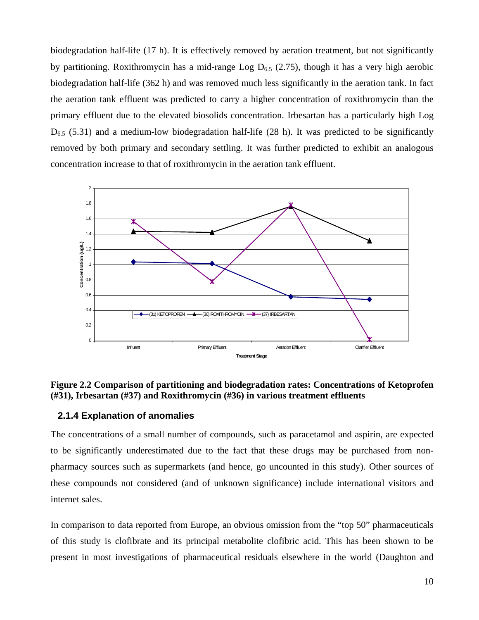biodegradation half-life (17 h). It is effectively removed by aeration treatment, but not significantly by partitioning. Roxithromycin has a mid-range Log  $D_{6,5}$  (2.75), though it has a very high aerobic biodegradation half-life (362 h) and was removed much less significantly in the aeration tank. In fact the aeration tank effluent was predicted to carry a higher concentration of roxithromycin than the primary effluent due to the elevated biosolids concentration. Irbesartan has a particularly high Log  $D_{6.5}$  (5.31) and a medium-low biodegradation half-life (28 h). It was predicted to be significantly removed by both primary and secondary settling. It was further predicted to exhibit an analogous concentration increase to that of roxithromycin in the aeration tank effluent.



#### **Figure 2.2 Comparison of partitioning and biodegradation rates: Concentrations of Ketoprofen (#31), Irbesartan (#37) and Roxithromycin (#36) in various treatment effluents**

#### **2.1.4 Explanation of anomalies**

The concentrations of a small number of compounds, such as paracetamol and aspirin, are expected to be significantly underestimated due to the fact that these drugs may be purchased from nonpharmacy sources such as supermarkets (and hence, go uncounted in this study). Other sources of these compounds not considered (and of unknown significance) include international visitors and internet sales.

In comparison to data reported from Europe, an obvious omission from the "top 50" pharmaceuticals of this study is clofibrate and its principal metabolite clofibric acid. This has been shown to be present in most investigations of pharmaceutical residuals elsewhere in the world (Daughton and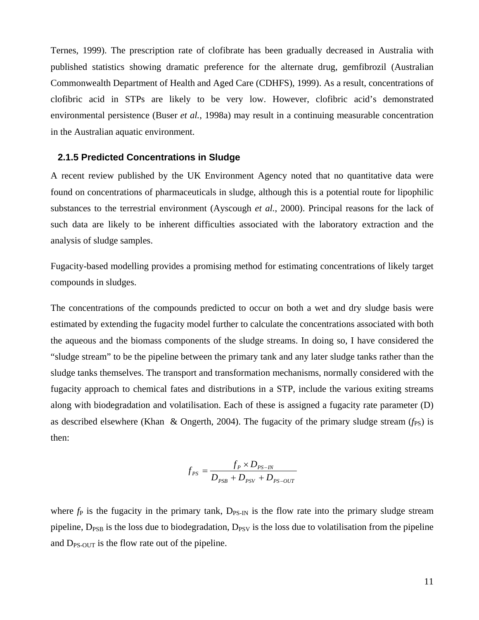Ternes, 1999). The prescription rate of clofibrate has been gradually decreased in Australia with published statistics showing dramatic preference for the alternate drug, gemfibrozil (Australian Commonwealth Department of Health and Aged Care (CDHFS), 1999). As a result, concentrations of clofibric acid in STPs are likely to be very low. However, clofibric acid's demonstrated environmental persistence (Buser *et al.*, 1998a) may result in a continuing measurable concentration in the Australian aquatic environment.

#### **2.1.5 Predicted Concentrations in Sludge**

A recent review published by the UK Environment Agency noted that no quantitative data were found on concentrations of pharmaceuticals in sludge, although this is a potential route for lipophilic substances to the terrestrial environment (Ayscough *et al.*, 2000). Principal reasons for the lack of such data are likely to be inherent difficulties associated with the laboratory extraction and the analysis of sludge samples.

Fugacity-based modelling provides a promising method for estimating concentrations of likely target compounds in sludges.

The concentrations of the compounds predicted to occur on both a wet and dry sludge basis were estimated by extending the fugacity model further to calculate the concentrations associated with both the aqueous and the biomass components of the sludge streams. In doing so, I have considered the "sludge stream" to be the pipeline between the primary tank and any later sludge tanks rather than the sludge tanks themselves. The transport and transformation mechanisms, normally considered with the fugacity approach to chemical fates and distributions in a STP, include the various exiting streams along with biodegradation and volatilisation. Each of these is assigned a fugacity rate parameter (D) as described elsewhere (Khan & Ongerth, 2004). The fugacity of the primary sludge stream (*f<sub>PS</sub>*) is then:

$$
f_{PS} = \frac{f_P \times D_{PS-N}}{D_{PSB} + D_{PSV} + D_{PS-OUT}}
$$

where  $f_P$  is the fugacity in the primary tank,  $D_{PS-IN}$  is the flow rate into the primary sludge stream pipeline,  $D_{PSB}$  is the loss due to biodegradation,  $D_{PSV}$  is the loss due to volatilisation from the pipeline and  $D_{PS-OUT}$  is the flow rate out of the pipeline.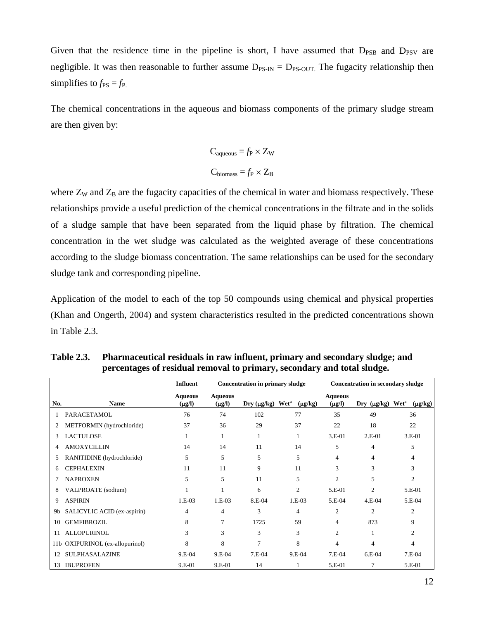Given that the residence time in the pipeline is short, I have assumed that  $D_{PSB}$  and  $D_{PSV}$  are negligible. It was then reasonable to further assume  $D_{PS-IN} = D_{PS-OUT}$ . The fugacity relationship then simplifies to  $f_{PS} = f_{P}$ .

The chemical concentrations in the aqueous and biomass components of the primary sludge stream are then given by:

$$
C_{aqueous} = f_P \times Z_W
$$

$$
C_{biomass} = f_P \times Z_B
$$

where  $Z_W$  and  $Z_B$  are the fugacity capacities of the chemical in water and biomass respectively. These relationships provide a useful prediction of the chemical concentrations in the filtrate and in the solids of a sludge sample that have been separated from the liquid phase by filtration. The chemical concentration in the wet sludge was calculated as the weighted average of these concentrations according to the sludge biomass concentration. The same relationships can be used for the secondary sludge tank and corresponding pipeline.

Application of the model to each of the top 50 compounds using chemical and physical properties (Khan and Ongerth, 2004) and system characteristics resulted in the predicted concentrations shown in Table 2.3.

|     |                                 | <b>Influent</b>               |                               | <b>Concentration in primary sludge</b> |              | <b>Concentration in secondary sludge</b> |                  |                                         |  |
|-----|---------------------------------|-------------------------------|-------------------------------|----------------------------------------|--------------|------------------------------------------|------------------|-----------------------------------------|--|
| No. | <b>Name</b>                     | <b>Aqueous</b><br>$(\mu g/l)$ | <b>Aqueous</b><br>$(\mu g/I)$ | $Dry (µg/kg)$ Wet <sup>a</sup>         | $(\mu g/kg)$ | <b>Aqueous</b><br>$(\mu g/l)$            | Dry $(\mu g/kg)$ | <b>Wet</b> <sup>a</sup><br>$(\mu g/kg)$ |  |
| 1   | <b>PARACETAMOL</b>              | 76                            | 74                            | 102                                    | 77           | 35                                       | 49               | 36                                      |  |
| 2   | METFORMIN (hydrochloride)       | 37                            | 36                            | 29                                     | 37           | 22                                       | 18               | 22                                      |  |
| 3   | <b>LACTULOSE</b>                |                               |                               | 1                                      |              | $3.E-01$                                 | $2.E-01$         | 3.E-01                                  |  |
| 4   | <b>AMOXYCILLIN</b>              | 14                            | 14                            | 11                                     | 14           | 5                                        | $\overline{4}$   | 5                                       |  |
| 5   | RANITIDINE (hydrochloride)      | 5                             | 5                             | 5                                      | 5            | 4                                        | 4                | $\overline{4}$                          |  |
| 6.  | <b>CEPHALEXIN</b>               | 11                            | 11                            | 9                                      | 11           | 3                                        | 3                | 3                                       |  |
| 7   | <b>NAPROXEN</b>                 | 5                             | 5                             | 11                                     | 5            | $\overline{c}$                           | 5                | $\overline{c}$                          |  |
| 8   | VALPROATE (sodium)              |                               |                               | 6                                      | 2            | 5.E-01                                   | $\overline{c}$   | 5.E-01                                  |  |
| 9   | <b>ASPIRIN</b>                  | $1.E-03$                      | $1.E-03$                      | 8.E-04                                 | $1.E-03$     | 5.E-04                                   | $4.E-04$         | 5.E-04                                  |  |
| 9b  | SALICYLIC ACID (ex-aspirin)     | 4                             | $\overline{4}$                | 3                                      | 4            | $\overline{c}$                           | $\overline{2}$   | $\overline{2}$                          |  |
| 10  | <b>GEMFIBROZIL</b>              | 8                             | 7                             | 1725                                   | 59           | 4                                        | 873              | 9                                       |  |
| 11  | <b>ALLOPURINOL</b>              | 3                             | 3                             | 3                                      | 3            | 2                                        |                  | $\overline{2}$                          |  |
|     | 11b OXIPURINOL (ex-allopurinol) | 8                             | 8                             | 7                                      | 8            | 4                                        | 4                | 4                                       |  |
| 12  | SULPHASALAZINE                  | 9.E-04                        | 9.E-04                        | $7.E-04$                               | $9.E-04$     | 7.E-04                                   | $6.E-04$         | $7.E-04$                                |  |
| 13  | <b>IBUPROFEN</b>                | 9.E-01                        | 9.E-01                        | 14                                     |              | 5.E-01                                   |                  | 5.E-01                                  |  |

**Table 2.3. Pharmaceutical residuals in raw influent, primary and secondary sludge; and percentages of residual removal to primary, secondary and total sludge.**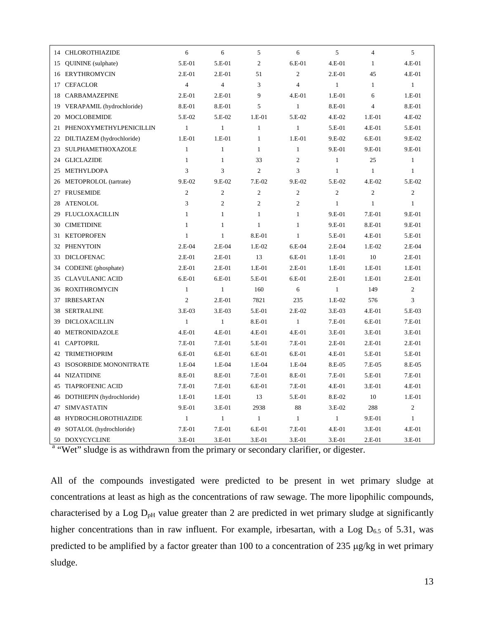|    | 14 CHLOROTHIAZIDE          | 6              | 6              | 5              | 6              | 5              | $\overline{4}$ | 5              |
|----|----------------------------|----------------|----------------|----------------|----------------|----------------|----------------|----------------|
| 15 | QUININE (sulphate)         | 5.E-01         | 5.E-01         | $\overline{c}$ | $6.E-01$       | 4.E-01         | $\mathbf{1}$   | 4.E-01         |
|    | 16 ERYTHROMYCIN            | $2.E-01$       | $2.E-01$       | 51             | $\overline{c}$ | $2.E-01$       | 45             | 4.E-01         |
| 17 | <b>CEFACLOR</b>            | $\overline{4}$ | $\overline{4}$ | 3              | $\overline{4}$ | $\mathbf{1}$   | $\mathbf{1}$   | $\mathbf{1}$   |
| 18 | <b>CARBAMAZEPINE</b>       | $2.E-01$       | 2.E-01         | $\mathbf Q$    | $4.E-01$       | 1.E-01         | 6              | 1.E-01         |
| 19 | VERAPAMIL (hydrochloride)  | 8.E-01         | 8.E-01         | 5              | $\mathbf{1}$   | 8.E-01         | $\overline{4}$ | 8.E-01         |
| 20 | <b>MOCLOBEMIDE</b>         | 5.E-02         | 5.E-02         | 1.E-01         | 5.E-02         | $4.E-02$       | 1.E-01         | 4.E-02         |
| 21 | PHENOXYMETHYLPENICILLIN    | $\mathbf{1}$   | $\mathbf{1}$   | $\mathbf{1}$   | $\mathbf{1}$   | 5.E-01         | $4.E-01$       | 5.E-01         |
| 22 | DILTIAZEM (hydrochloride)  | 1.E-01         | $1.E-01$       | $\mathbf{1}$   | $1.E-01$       | 9.E-02         | 6.E-01         | 9.E-02         |
| 23 | SULPHAMETHOXAZOLE          | $\mathbf{1}$   | $\mathbf{1}$   | $\mathbf{1}$   | $\mathbf{1}$   | 9.E-01         | 9.E-01         | 9.E-01         |
| 24 | <b>GLICLAZIDE</b>          | $\mathbf{1}$   | $\mathbf{1}$   | 33             | $\overline{c}$ | $\mathbf{1}$   | 25             | $\mathbf{1}$   |
| 25 | METHYLDOPA                 | 3              | 3              | $\overline{c}$ | 3              | $\mathbf{1}$   | $\mathbf{1}$   | $\mathbf{1}$   |
| 26 | METOPROLOL (tartrate)      | 9.E-02         | 9.E-02         | 7.E-02         | 9.E-02         | 5.E-02         | 4.E-02         | 5.E-02         |
| 27 | <b>FRUSEMIDE</b>           | $\overline{2}$ | $\overline{2}$ | $\overline{c}$ | $\overline{c}$ | $\overline{c}$ | $\overline{2}$ | $\overline{2}$ |
| 28 | <b>ATENOLOL</b>            | 3              | $\overline{2}$ | $\overline{c}$ | $\overline{2}$ | $\mathbf{1}$   | $\mathbf{1}$   | $\mathbf{1}$   |
| 29 | <b>FLUCLOXACILLIN</b>      | $\mathbf{1}$   | $\mathbf{1}$   | $\mathbf{1}$   | $\mathbf{1}$   | 9.E-01         | 7.E-01         | 9.E-01         |
| 30 | <b>CIMETIDINE</b>          | $\mathbf{1}$   | $\mathbf{1}$   | $\mathbf{1}$   | $\mathbf{1}$   | 9.E-01         | 8.E-01         | 9.E-01         |
| 31 | <b>KETOPROFEN</b>          | $\mathbf{1}$   | $\mathbf{1}$   | 8.E-01         | $\mathbf{1}$   | 5.E-01         | 4.E-01         | 5.E-01         |
| 32 | <b>PHENYTOIN</b>           | $2.E-04$       | $2.E-04$       | 1.E-02         | $6.E-04$       | $2.E-04$       | 1.E-02         | $2.E-04$       |
| 33 | <b>DICLOFENAC</b>          | $2.E-01$       | $2.E-01$       | 13             | $6.E-01$       | 1.E-01         | 10             | 2.E-01         |
| 34 | CODEINE (phosphate)        | $2.E-01$       | $2.E-01$       | 1.E-01         | $2.E-01$       | 1.E-01         | $1.E-01$       | 1.E-01         |
| 35 | <b>CLAVULANIC ACID</b>     | 6.E-01         | 6.E-01         | 5.E-01         | 6.E-01         | 2.E-01         | 1.E-01         | 2.E-01         |
| 36 | <b>ROXITHROMYCIN</b>       | $\mathbf{1}$   | $\mathbf{1}$   | 160            | 6              | $\mathbf{1}$   | 149            | $\overline{2}$ |
| 37 | <b>IRBESARTAN</b>          | $\overline{2}$ | $2.E-01$       | 7821           | 235            | 1.E-02         | 576            | 3              |
| 38 | <b>SERTRALINE</b>          | 3.E-03         | $3.E-03$       | 5.E-01         | 2.E-02         | 3.E-03         | $4.E-01$       | 5.E-03         |
| 39 | DICLOXACILLIN              | $\mathbf{1}$   | $\mathbf{1}$   | 8.E-01         | $\mathbf{1}$   | 7.E-01         | 6.E-01         | 7.E-01         |
| 40 | METRONIDAZOLE              | $4.E-01$       | 4.E-01         | $4.E-01$       | $4.E-01$       | 3.E-01         | 3.E-01         | 3.E-01         |
| 41 | <b>CAPTOPRIL</b>           | $7.E-01$       | 7.E-01         | 5.E-01         | 7.E-01         | 2.E-01         | 2.E-01         | 2.E-01         |
| 42 | <b>TRIMETHOPRIM</b>        | $6.E-01$       | 6.E-01         | 6.E-01         | 6.E-01         | 4.E-01         | 5.E-01         | 5.E-01         |
| 43 | ISOSORBIDE MONONITRATE     | 1.E-04         | 1.E-04         | 1.E-04         | 1.E-04         | 8.E-05         | 7.E-05         | 8.E-05         |
| 44 | <b>NIZATIDINE</b>          | 8.E-01         | 8.E-01         | 7.E-01         | 8.E-01         | 7.E-01         | 5.E-01         | 7.E-01         |
| 45 | <b>TIAPROFENIC ACID</b>    | 7.E-01         | 7.E-01         | 6.E-01         | 7.E-01         | 4.E-01         | 3.E-01         | 4.E-01         |
| 46 | DOTHIEPIN (hydrochloride)  | 1.E-01         | 1.E-01         | 13             | 5.E-01         | 8.E-02         | 10             | 1.E-01         |
| 47 | <b>SIMVASTATIN</b>         | 9.E-01         | 3.E-01         | 2938           | 88             | 3.E-02         | 288            | $\overline{c}$ |
| 48 | <b>HYDROCHLOROTHIAZIDE</b> | $\mathbf{1}$   | $\mathbf{1}$   | $\mathbf{1}$   | $\mathbf{1}$   | $\mathbf{1}$   | 9.E-01         | $\mathbf{1}$   |
| 49 | SOTALOL (hydrochloride)    | 7.E-01         | 7.E-01         | 6.E-01         | 7.E-01         | 4.E-01         | $3.E-01$       | 4.E-01         |
| 50 | <b>DOXYCYCLINE</b>         | $3.E-01$       | 3.E-01         | 3.E-01         | 3.E-01         | 3.E-01         | 2.E-01         | 3.E-01         |

<sup>a</sup> "Wet" sludge is as withdrawn from the primary or secondary clarifier, or digester.

All of the compounds investigated were predicted to be present in wet primary sludge at concentrations at least as high as the concentrations of raw sewage. The more lipophilic compounds, characterised by a Log  $D<sub>pH</sub>$  value greater than 2 are predicted in wet primary sludge at significantly higher concentrations than in raw influent. For example, irbesartan, with a Log  $D_{6.5}$  of 5.31, was predicted to be amplified by a factor greater than 100 to a concentration of 235 µg/kg in wet primary sludge.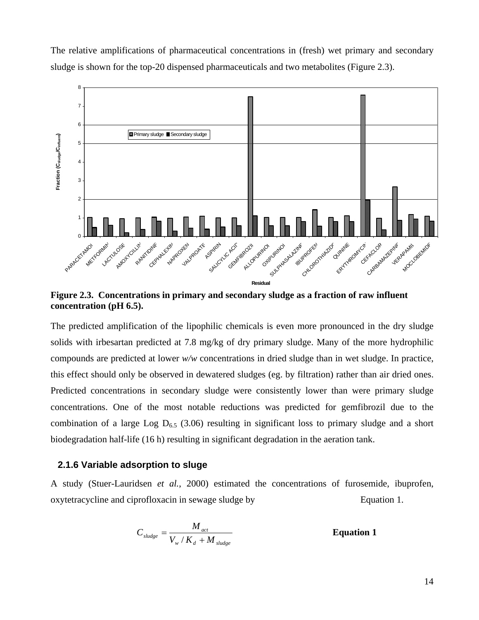

The relative amplifications of pharmaceutical concentrations in (fresh) wet primary and secondary sludge is shown for the top-20 dispensed pharmaceuticals and two metabolites (Figure 2.3).

**Figure 2.3. Concentrations in primary and secondary sludge as a fraction of raw influent concentration (pH 6.5).** 

The predicted amplification of the lipophilic chemicals is even more pronounced in the dry sludge solids with irbesartan predicted at 7.8 mg/kg of dry primary sludge. Many of the more hydrophilic compounds are predicted at lower *w/w* concentrations in dried sludge than in wet sludge. In practice, this effect should only be observed in dewatered sludges (eg. by filtration) rather than air dried ones. Predicted concentrations in secondary sludge were consistently lower than were primary sludge concentrations. One of the most notable reductions was predicted for gemfibrozil due to the combination of a large Log  $D_{6.5}$  (3.06) resulting in significant loss to primary sludge and a short biodegradation half-life (16 h) resulting in significant degradation in the aeration tank.

### **2.1.6 Variable adsorption to sluge**

A study (Stuer-Lauridsen *et al.*, 2000) estimated the concentrations of furosemide, ibuprofen, oxytetracycline and ciprofloxacin in sewage sludge by Equation 1.

$$
C_{\textit{sludge}} = \frac{M_{\textit{act}}}{V_{\textit{w}} / K_{\textit{d}} + M_{\textit{sludge}}}
$$
 **Equation 1**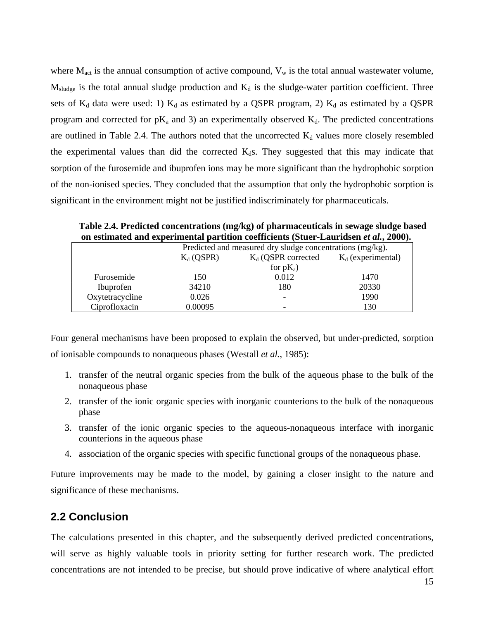where  $M_{\text{act}}$  is the annual consumption of active compound,  $V_w$  is the total annual wastewater volume,  $M_{sludge}$  is the total annual sludge production and  $K_d$  is the sludge-water partition coefficient. Three sets of  $K_d$  data were used: 1)  $K_d$  as estimated by a QSPR program, 2)  $K_d$  as estimated by a QSPR program and corrected for  $pK_a$  and 3) an experimentally observed  $K_d$ . The predicted concentrations are outlined in Table 2.4. The authors noted that the uncorrected  $K_d$  values more closely resembled the experimental values than did the corrected  $K<sub>d</sub>s$ . They suggested that this may indicate that sorption of the furosemide and ibuprofen ions may be more significant than the hydrophobic sorption of the non-ionised species. They concluded that the assumption that only the hydrophobic sorption is significant in the environment might not be justified indiscriminately for pharmaceuticals.

**Table 2.4. Predicted concentrations (mg/kg) of pharmaceuticals in sewage sludge based on estimated and experimental partition coefficients (Stuer-Lauridsen** *et al.***, 2000).** 

|                 | Predicted and measured dry sludge concentrations (mg/kg). |                                               |       |  |  |  |  |  |
|-----------------|-----------------------------------------------------------|-----------------------------------------------|-------|--|--|--|--|--|
|                 | $K_d$ (QSPR)                                              | $K_d$ (experimental)<br>$K_d$ (QSPR corrected |       |  |  |  |  |  |
|                 |                                                           | for $pK_a$ )                                  |       |  |  |  |  |  |
| Furosemide      | 150                                                       | 0.012                                         | 1470  |  |  |  |  |  |
| Ibuprofen       | 34210                                                     | 180                                           | 20330 |  |  |  |  |  |
| Oxytetracycline | 0.026                                                     |                                               | 1990  |  |  |  |  |  |
| Ciprofloxacin   | 0.00095                                                   | -                                             | 130   |  |  |  |  |  |

Four general mechanisms have been proposed to explain the observed, but under-predicted, sorption of ionisable compounds to nonaqueous phases (Westall *et al.*, 1985):

- 1. transfer of the neutral organic species from the bulk of the aqueous phase to the bulk of the nonaqueous phase
- 2. transfer of the ionic organic species with inorganic counterions to the bulk of the nonaqueous phase
- 3. transfer of the ionic organic species to the aqueous-nonaqueous interface with inorganic counterions in the aqueous phase
- 4. association of the organic species with specific functional groups of the nonaqueous phase.

Future improvements may be made to the model, by gaining a closer insight to the nature and significance of these mechanisms.

# **2.2 Conclusion**

The calculations presented in this chapter, and the subsequently derived predicted concentrations, will serve as highly valuable tools in priority setting for further research work. The predicted concentrations are not intended to be precise, but should prove indicative of where analytical effort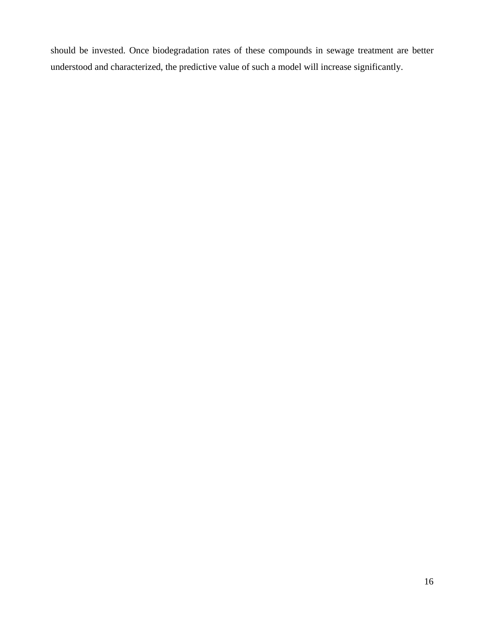should be invested. Once biodegradation rates of these compounds in sewage treatment are better understood and characterized, the predictive value of such a model will increase significantly.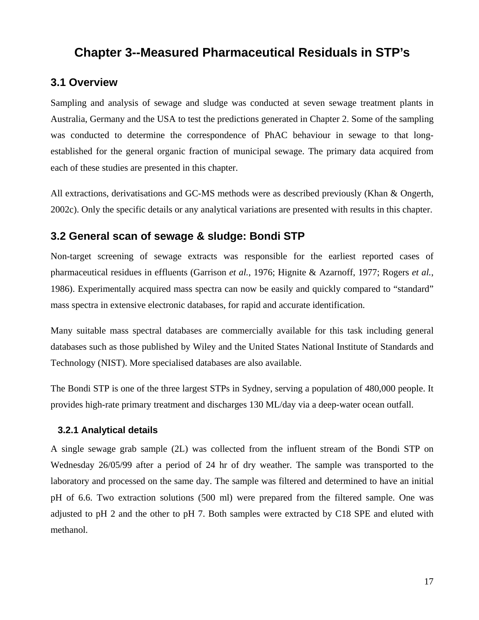# **Chapter 3--Measured Pharmaceutical Residuals in STP's**

# **3.1 Overview**

Sampling and analysis of sewage and sludge was conducted at seven sewage treatment plants in Australia, Germany and the USA to test the predictions generated in Chapter 2. Some of the sampling was conducted to determine the correspondence of PhAC behaviour in sewage to that longestablished for the general organic fraction of municipal sewage. The primary data acquired from each of these studies are presented in this chapter.

All extractions, derivatisations and GC-MS methods were as described previously (Khan & Ongerth, 2002c). Only the specific details or any analytical variations are presented with results in this chapter.

# **3.2 General scan of sewage & sludge: Bondi STP**

Non-target screening of sewage extracts was responsible for the earliest reported cases of pharmaceutical residues in effluents (Garrison *et al.*, 1976; Hignite & Azarnoff, 1977; Rogers *et al.*, 1986). Experimentally acquired mass spectra can now be easily and quickly compared to "standard" mass spectra in extensive electronic databases, for rapid and accurate identification.

Many suitable mass spectral databases are commercially available for this task including general databases such as those published by Wiley and the United States National Institute of Standards and Technology (NIST). More specialised databases are also available.

The Bondi STP is one of the three largest STPs in Sydney, serving a population of 480,000 people. It provides high-rate primary treatment and discharges 130 ML/day via a deep-water ocean outfall.

#### **3.2.1 Analytical details**

A single sewage grab sample (2L) was collected from the influent stream of the Bondi STP on Wednesday 26/05/99 after a period of 24 hr of dry weather. The sample was transported to the laboratory and processed on the same day. The sample was filtered and determined to have an initial pH of 6.6. Two extraction solutions (500 ml) were prepared from the filtered sample. One was adjusted to pH 2 and the other to pH 7. Both samples were extracted by C18 SPE and eluted with methanol.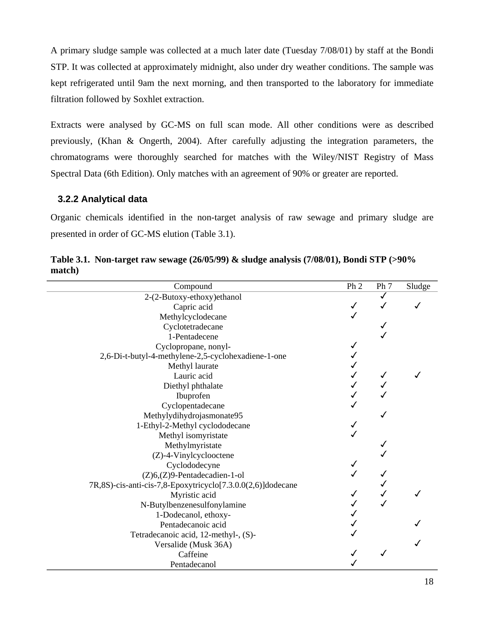A primary sludge sample was collected at a much later date (Tuesday 7/08/01) by staff at the Bondi STP. It was collected at approximately midnight, also under dry weather conditions. The sample was kept refrigerated until 9am the next morning, and then transported to the laboratory for immediate filtration followed by Soxhlet extraction.

Extracts were analysed by GC-MS on full scan mode. All other conditions were as described previously, (Khan & Ongerth, 2004). After carefully adjusting the integration parameters, the chromatograms were thoroughly searched for matches with the Wiley/NIST Registry of Mass Spectral Data (6th Edition). Only matches with an agreement of 90% or greater are reported.

### **3.2.2 Analytical data**

Organic chemicals identified in the non-target analysis of raw sewage and primary sludge are presented in order of GC-MS elution (Table 3.1).

| Compound                                                    | Ph <sub>2</sub> | Ph 7 | Sludge |
|-------------------------------------------------------------|-----------------|------|--------|
| 2-(2-Butoxy-ethoxy)ethanol                                  |                 | ✓    |        |
| Capric acid                                                 |                 |      |        |
| Methylcyclodecane                                           |                 |      |        |
| Cyclotetradecane                                            |                 |      |        |
| 1-Pentadecene                                               |                 |      |        |
| Cyclopropane, nonyl-                                        |                 |      |        |
| 2,6-Di-t-butyl-4-methylene-2,5-cyclohexadiene-1-one         |                 |      |        |
| Methyl laurate                                              |                 |      |        |
| Lauric acid                                                 |                 |      |        |
| Diethyl phthalate                                           |                 |      |        |
| Ibuprofen                                                   |                 |      |        |
| Cyclopentadecane                                            |                 |      |        |
| Methylydihydrojasmonate95                                   |                 |      |        |
| 1-Ethyl-2-Methyl cyclododecane                              |                 |      |        |
| Methyl isomyristate                                         |                 |      |        |
| Methylmyristate                                             |                 |      |        |
| (Z)-4-Vinylcyclooctene                                      |                 |      |        |
| Cyclododecyne                                               |                 |      |        |
| (Z)6,(Z)9-Pentadecadien-1-ol                                |                 |      |        |
| 7R,8S)-cis-anti-cis-7,8-Epoxytricyclo[7.3.0.0(2,6)]dodecane |                 |      |        |
| Myristic acid                                               |                 |      |        |
| N-Butylbenzenesulfonylamine                                 |                 |      |        |
| 1-Dodecanol, ethoxy-                                        |                 |      |        |
| Pentadecanoic acid                                          |                 |      |        |
| Tetradecanoic acid, 12-methyl-, (S)-                        |                 |      |        |
| Versalide (Musk 36A)                                        |                 |      |        |
| Caffeine                                                    |                 |      |        |
| Pentadecanol                                                |                 |      |        |

**Table 3.1. Non-target raw sewage (26/05/99) & sludge analysis (7/08/01), Bondi STP (>90% match)**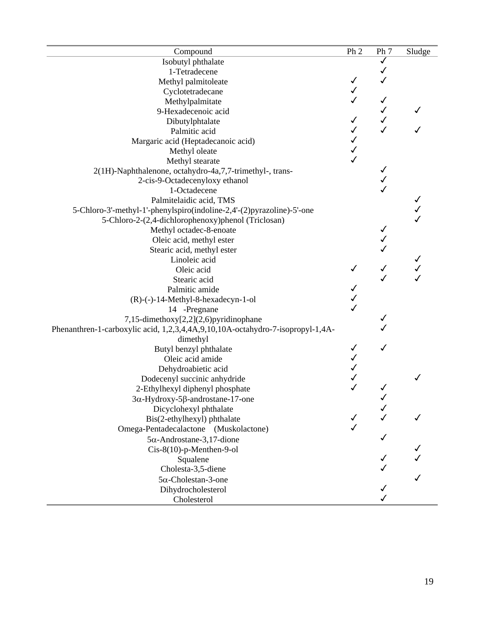| Compound                                                                       | Ph <sub>2</sub> | Ph 7 | Sludge |
|--------------------------------------------------------------------------------|-----------------|------|--------|
| Isobutyl phthalate                                                             |                 | ✓    |        |
| 1-Tetradecene                                                                  |                 |      |        |
| Methyl palmitoleate                                                            | ✓               |      |        |
| Cyclotetradecane                                                               | ✓               |      |        |
| Methylpalmitate                                                                |                 | ✓    |        |
| 9-Hexadecenoic acid                                                            |                 |      |        |
| Dibutylphtalate                                                                | ✓               |      |        |
| Palmitic acid                                                                  |                 |      |        |
| Margaric acid (Heptadecanoic acid)                                             |                 |      |        |
| Methyl oleate                                                                  |                 |      |        |
| Methyl stearate                                                                | $\checkmark$    |      |        |
| 2(1H)-Naphthalenone, octahydro-4a,7,7-trimethyl-, trans-                       |                 |      |        |
| 2-cis-9-Octadecenyloxy ethanol                                                 |                 |      |        |
| 1-Octadecene                                                                   |                 |      |        |
| Palmitelaidic acid, TMS                                                        |                 |      |        |
| 5-Chloro-3'-methyl-1'-phenylspiro(indoline-2,4'-(2)pyrazoline)-5'-one          |                 |      |        |
| 5-Chloro-2-(2,4-dichlorophenoxy)phenol (Triclosan)                             |                 |      |        |
| Methyl octadec-8-enoate                                                        |                 |      |        |
| Oleic acid, methyl ester                                                       |                 |      |        |
| Stearic acid, methyl ester                                                     |                 |      |        |
| Linoleic acid                                                                  |                 |      |        |
| Oleic acid                                                                     | ✓               |      |        |
| Stearic acid                                                                   |                 |      |        |
| Palmitic amide                                                                 |                 |      |        |
| $(R)$ - $(-)$ -14-Methyl-8-hexadecyn-1-ol                                      |                 |      |        |
| 14 -Pregnane                                                                   | $\checkmark$    |      |        |
| 7,15-dimethoxy[2,2](2,6)pyridinophane                                          |                 |      |        |
| Phenanthren-1-carboxylic acid, 1,2,3,4,4A,9,10,10A-octahydro-7-isopropyl-1,4A- |                 |      |        |
| dimethyl                                                                       |                 |      |        |
| Butyl benzyl phthalate                                                         |                 |      |        |
| Oleic acid amide                                                               |                 |      |        |
| Dehydroabietic acid                                                            |                 |      |        |
| Dodecenyl succinic anhydride                                                   |                 |      |        |
| 2-Ethylhexyl diphenyl phosphate                                                |                 |      |        |
|                                                                                |                 |      |        |
| $3\alpha$ -Hydroxy-5 $\beta$ -androstane-17-one                                |                 |      |        |
| Dicyclohexyl phthalate                                                         |                 |      |        |
| Bis(2-ethylhexyl) phthalate                                                    |                 |      |        |
| Omega-Pentadecalactone (Muskolactone)                                          |                 |      |        |
| $5\alpha$ -Androstane-3,17-dione                                               |                 |      |        |
| $Cis-8(10)-p$ -Menthen-9-ol                                                    |                 |      |        |
| Squalene                                                                       |                 |      |        |
| Cholesta-3,5-diene                                                             |                 |      |        |
| $5\alpha$ -Cholestan-3-one                                                     |                 |      |        |
| Dihydrocholesterol                                                             |                 |      |        |
| Cholesterol                                                                    |                 |      |        |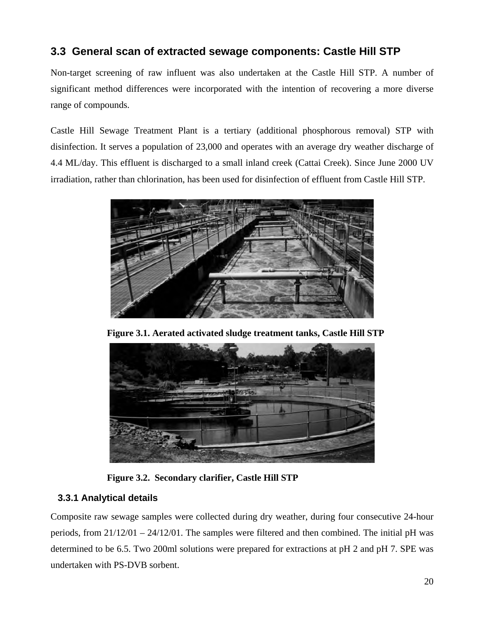# **3.3 General scan of extracted sewage components: Castle Hill STP**

Non-target screening of raw influent was also undertaken at the Castle Hill STP. A number of significant method differences were incorporated with the intention of recovering a more diverse range of compounds.

Castle Hill Sewage Treatment Plant is a tertiary (additional phosphorous removal) STP with disinfection. It serves a population of 23,000 and operates with an average dry weather discharge of 4.4 ML/day. This effluent is discharged to a small inland creek (Cattai Creek). Since June 2000 UV irradiation, rather than chlorination, has been used for disinfection of effluent from Castle Hill STP.



**Figure 3.1. Aerated activated sludge treatment tanks, Castle Hill STP** 



**Figure 3.2. Secondary clarifier, Castle Hill STP** 

# **3.3.1 Analytical details**

Composite raw sewage samples were collected during dry weather, during four consecutive 24-hour periods, from 21/12/01 – 24/12/01. The samples were filtered and then combined. The initial pH was determined to be 6.5. Two 200ml solutions were prepared for extractions at pH 2 and pH 7. SPE was undertaken with PS-DVB sorbent.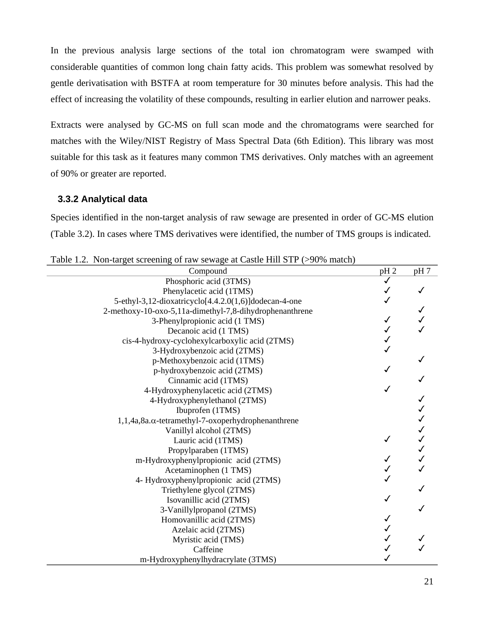In the previous analysis large sections of the total ion chromatogram were swamped with considerable quantities of common long chain fatty acids. This problem was somewhat resolved by gentle derivatisation with BSTFA at room temperature for 30 minutes before analysis. This had the effect of increasing the volatility of these compounds, resulting in earlier elution and narrower peaks.

Extracts were analysed by GC-MS on full scan mode and the chromatograms were searched for matches with the Wiley/NIST Registry of Mass Spectral Data (6th Edition). This library was most suitable for this task as it features many common TMS derivatives. Only matches with an agreement of 90% or greater are reported.

### **3.3.2 Analytical data**

Species identified in the non-target analysis of raw sewage are presented in order of GC-MS elution (Table 3.2). In cases where TMS derivatives were identified, the number of TMS groups is indicated.

| Compound                                                       | pH <sub>2</sub> | pH 7 |
|----------------------------------------------------------------|-----------------|------|
| Phosphoric acid (3TMS)                                         |                 |      |
| Phenylacetic acid (1TMS)                                       |                 |      |
| 5-ethyl-3,12-dioxatricyclo[4.4.2.0(1,6)]dodecan-4-one          |                 |      |
| 2-methoxy-10-oxo-5,11a-dimethyl-7,8-dihydrophenanthrene        |                 |      |
| 3-Phenylpropionic acid (1 TMS)                                 |                 |      |
| Decanoic acid (1 TMS)                                          |                 |      |
| cis-4-hydroxy-cyclohexylcarboxylic acid (2TMS)                 |                 |      |
| 3-Hydroxybenzoic acid (2TMS)                                   |                 |      |
| p-Methoxybenzoic acid (1TMS)                                   |                 |      |
| p-hydroxybenzoic acid (2TMS)                                   |                 |      |
| Cinnamic acid (1TMS)                                           |                 |      |
| 4-Hydroxyphenylacetic acid (2TMS)                              |                 |      |
| 4-Hydroxyphenylethanol (2TMS)                                  |                 |      |
| Ibuprofen (1TMS)                                               |                 |      |
| $1,1,4$ a, 8a. $\alpha$ -tetramethyl-7-oxoperhydrophenanthrene |                 |      |
| Vanillyl alcohol (2TMS)                                        |                 |      |
| Lauric acid (1TMS)                                             |                 |      |
| Propylparaben (1TMS)                                           |                 |      |
| m-Hydroxyphenylpropionic acid (2TMS)                           |                 |      |
| Acetaminophen (1 TMS)                                          |                 |      |
| 4- Hydroxyphenylpropionic acid (2TMS)                          |                 |      |
| Triethylene glycol (2TMS)                                      |                 |      |
| Isovanillic acid (2TMS)                                        |                 |      |
| 3-Vanillylpropanol (2TMS)                                      |                 |      |
| Homovanillic acid (2TMS)                                       |                 |      |
| Azelaic acid (2TMS)                                            |                 |      |
| Myristic acid (TMS)                                            |                 |      |
| Caffeine                                                       |                 |      |
| m-Hydroxyphenylhydracrylate (3TMS)                             |                 |      |

Table 1.2. Non-target screening of raw sewage at Castle Hill STP (>90% match)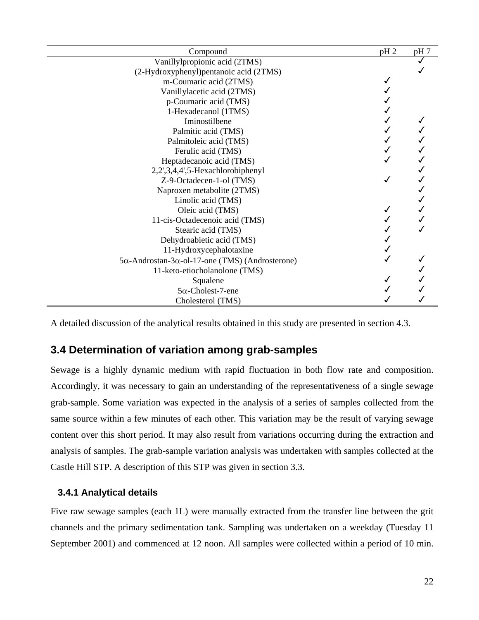| Compound                                                        | pH <sub>2</sub> | pH 7 |
|-----------------------------------------------------------------|-----------------|------|
| Vanillylpropionic acid (2TMS)                                   |                 |      |
| (2-Hydroxyphenyl) pentanoic acid (2TMS)                         |                 |      |
| m-Coumaric acid (2TMS)                                          |                 |      |
| Vanillylacetic acid (2TMS)                                      |                 |      |
| p-Coumaric acid (TMS)                                           |                 |      |
| 1-Hexadecanol (1TMS)                                            |                 |      |
| Iminostilbene                                                   |                 |      |
| Palmitic acid (TMS)                                             |                 |      |
| Palmitoleic acid (TMS)                                          |                 |      |
| Ferulic acid (TMS)                                              |                 |      |
| Heptadecanoic acid (TMS)                                        |                 |      |
| 2,2',3,4,4',5-Hexachlorobiphenyl                                |                 |      |
| Z-9-Octadecen-1-ol (TMS)                                        |                 |      |
| Naproxen metabolite (2TMS)                                      |                 |      |
| Linolic acid (TMS)                                              |                 |      |
| Oleic acid (TMS)                                                |                 |      |
| 11-cis-Octadecenoic acid (TMS)                                  |                 |      |
| Stearic acid (TMS)                                              |                 |      |
| Dehydroabietic acid (TMS)                                       |                 |      |
| 11-Hydroxycephalotaxine                                         |                 |      |
| $5\alpha$ -Androstan-3 $\alpha$ -ol-17-one (TMS) (Androsterone) |                 |      |
| 11-keto-etiocholanolone (TMS)                                   |                 |      |
| Squalene                                                        |                 |      |
| $5\alpha$ -Cholest-7-ene                                        |                 |      |
| Cholesterol (TMS)                                               |                 |      |

A detailed discussion of the analytical results obtained in this study are presented in section 4.3.

# **3.4 Determination of variation among grab-samples**

Sewage is a highly dynamic medium with rapid fluctuation in both flow rate and composition. Accordingly, it was necessary to gain an understanding of the representativeness of a single sewage grab-sample. Some variation was expected in the analysis of a series of samples collected from the same source within a few minutes of each other. This variation may be the result of varying sewage content over this short period. It may also result from variations occurring during the extraction and analysis of samples. The grab-sample variation analysis was undertaken with samples collected at the Castle Hill STP. A description of this STP was given in section 3.3.

### **3.4.1 Analytical details**

Five raw sewage samples (each 1L) were manually extracted from the transfer line between the grit channels and the primary sedimentation tank. Sampling was undertaken on a weekday (Tuesday 11 September 2001) and commenced at 12 noon. All samples were collected within a period of 10 min.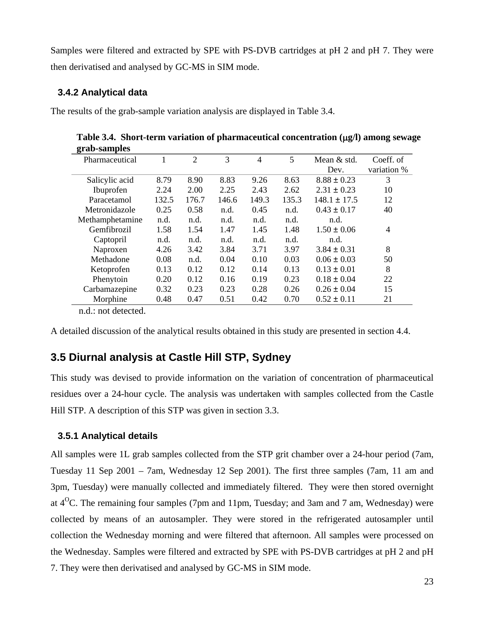Samples were filtered and extracted by SPE with PS-DVB cartridges at pH 2 and pH 7. They were then derivatised and analysed by GC-MS in SIM mode.

### **3.4.2 Analytical data**

The results of the grab-sample variation analysis are displayed in Table 3.4.

 **Table 3.4. Short-term variation of pharmaceutical concentration (**µ**g/l) among sewage grab-samples** 

| ె               |       |       |       |                |       |                  |             |
|-----------------|-------|-------|-------|----------------|-------|------------------|-------------|
| Pharmaceutical  | Ι.    | 2     | 3     | $\overline{4}$ | 5     | Mean & std.      | Coeff. of   |
|                 |       |       |       |                |       | Dev.             | variation % |
| Salicylic acid  | 8.79  | 8.90  | 8.83  | 9.26           | 8.63  | $8.88 \pm 0.23$  | 3           |
| Ibuprofen       | 2.24  | 2.00  | 2.25  | 2.43           | 2.62  | $2.31 \pm 0.23$  | 10          |
| Paracetamol     | 132.5 | 176.7 | 146.6 | 149.3          | 135.3 | $148.1 \pm 17.5$ | 12          |
| Metronidazole   | 0.25  | 0.58  | n.d.  | 0.45           | n.d.  | $0.43 \pm 0.17$  | 40          |
| Methamphetamine | n.d.  | n.d.  | n.d.  | n.d.           | n.d.  | n.d.             |             |
| Gemfibrozil     | 1.58  | 1.54  | 1.47  | 1.45           | 1.48  | $1.50 \pm 0.06$  | 4           |
| Captopril       | n.d.  | n.d.  | n.d.  | n.d.           | n.d.  | n.d.             |             |
| Naproxen        | 4.26  | 3.42  | 3.84  | 3.71           | 3.97  | $3.84 \pm 0.31$  | 8           |
| Methadone       | 0.08  | n.d.  | 0.04  | 0.10           | 0.03  | $0.06 \pm 0.03$  | 50          |
| Ketoprofen      | 0.13  | 0.12  | 0.12  | 0.14           | 0.13  | $0.13 \pm 0.01$  | 8           |
| Phenytoin       | 0.20  | 0.12  | 0.16  | 0.19           | 0.23  | $0.18 \pm 0.04$  | 22          |
| Carbamazepine   | 0.32  | 0.23  | 0.23  | 0.28           | 0.26  | $0.26 \pm 0.04$  | 15          |
| Morphine        | 0.48  | 0.47  | 0.51  | 0.42           | 0.70  | $0.52 \pm 0.11$  | 21          |
|                 |       |       |       |                |       |                  |             |

n.d.: not detected.

A detailed discussion of the analytical results obtained in this study are presented in section 4.4.

# **3.5 Diurnal analysis at Castle Hill STP, Sydney**

This study was devised to provide information on the variation of concentration of pharmaceutical residues over a 24-hour cycle. The analysis was undertaken with samples collected from the Castle Hill STP. A description of this STP was given in section 3.3.

### **3.5.1 Analytical details**

All samples were 1L grab samples collected from the STP grit chamber over a 24-hour period (7am, Tuesday 11 Sep 2001 – 7am, Wednesday 12 Sep 2001). The first three samples (7am, 11 am and 3pm, Tuesday) were manually collected and immediately filtered. They were then stored overnight at  $4^{\circ}$ C. The remaining four samples (7pm and 11pm, Tuesday; and 3am and 7 am, Wednesday) were collected by means of an autosampler. They were stored in the refrigerated autosampler until collection the Wednesday morning and were filtered that afternoon. All samples were processed on the Wednesday. Samples were filtered and extracted by SPE with PS-DVB cartridges at pH 2 and pH 7. They were then derivatised and analysed by GC-MS in SIM mode.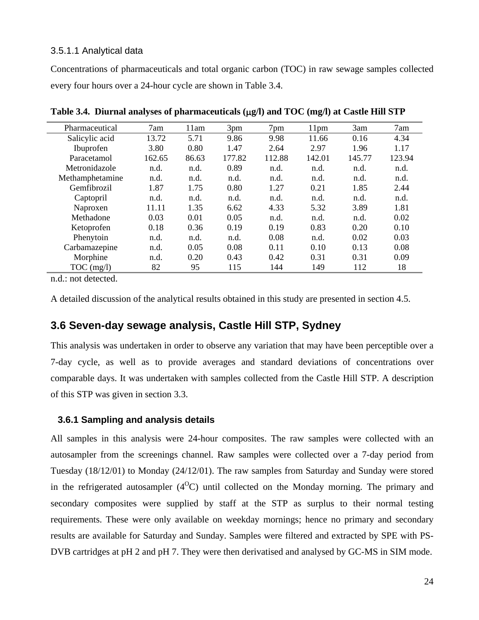### 3.5.1.1 Analytical data

Concentrations of pharmaceuticals and total organic carbon (TOC) in raw sewage samples collected every four hours over a 24-hour cycle are shown in Table 3.4.

| Pharmaceutical  | 7am    | 11am  | 3pm    | 7pm    | 11 <sub>pm</sub> | 3am    | 7am    |
|-----------------|--------|-------|--------|--------|------------------|--------|--------|
| Salicylic acid  | 13.72  | 5.71  | 9.86   | 9.98   | 11.66            | 0.16   | 4.34   |
| Ibuprofen       | 3.80   | 0.80  | 1.47   | 2.64   | 2.97             | 1.96   | 1.17   |
| Paracetamol     | 162.65 | 86.63 | 177.82 | 112.88 | 142.01           | 145.77 | 123.94 |
| Metronidazole   | n.d.   | n.d.  | 0.89   | n.d.   | n.d.             | n.d.   | n.d.   |
| Methamphetamine | n.d.   | n.d.  | n.d.   | n.d.   | n.d.             | n.d.   | n.d.   |
| Gemfibrozil     | 1.87   | 1.75  | 0.80   | 1.27   | 0.21             | 1.85   | 2.44   |
| Captopril       | n.d.   | n.d.  | n.d.   | n.d.   | n.d.             | n.d.   | n.d.   |
| Naproxen        | 11.11  | 1.35  | 6.62   | 4.33   | 5.32             | 3.89   | 1.81   |
| Methadone       | 0.03   | 0.01  | 0.05   | n.d.   | n.d.             | n.d.   | 0.02   |
| Ketoprofen      | 0.18   | 0.36  | 0.19   | 0.19   | 0.83             | 0.20   | 0.10   |
| Phenytoin       | n.d.   | n.d.  | n.d.   | 0.08   | n.d.             | 0.02   | 0.03   |
| Carbamazepine   | n.d.   | 0.05  | 0.08   | 0.11   | 0.10             | 0.13   | 0.08   |
| Morphine        | n.d.   | 0.20  | 0.43   | 0.42   | 0.31             | 0.31   | 0.09   |
| $TOC$ (mg/l)    | 82     | 95    | 115    | 144    | 149              | 112    | 18     |

**Table 3.4. Diurnal analyses of pharmaceuticals (**µ**g/l) and TOC (mg/l) at Castle Hill STP** 

n.d.: not detected.

A detailed discussion of the analytical results obtained in this study are presented in section 4.5.

# **3.6 Seven-day sewage analysis, Castle Hill STP, Sydney**

This analysis was undertaken in order to observe any variation that may have been perceptible over a 7-day cycle, as well as to provide averages and standard deviations of concentrations over comparable days. It was undertaken with samples collected from the Castle Hill STP. A description of this STP was given in section 3.3.

### **3.6.1 Sampling and analysis details**

All samples in this analysis were 24-hour composites. The raw samples were collected with an autosampler from the screenings channel. Raw samples were collected over a 7-day period from Tuesday (18/12/01) to Monday (24/12/01). The raw samples from Saturday and Sunday were stored in the refrigerated autosampler  $(4^{\circ}C)$  until collected on the Monday morning. The primary and secondary composites were supplied by staff at the STP as surplus to their normal testing requirements. These were only available on weekday mornings; hence no primary and secondary results are available for Saturday and Sunday. Samples were filtered and extracted by SPE with PS-DVB cartridges at pH 2 and pH 7. They were then derivatised and analysed by GC-MS in SIM mode.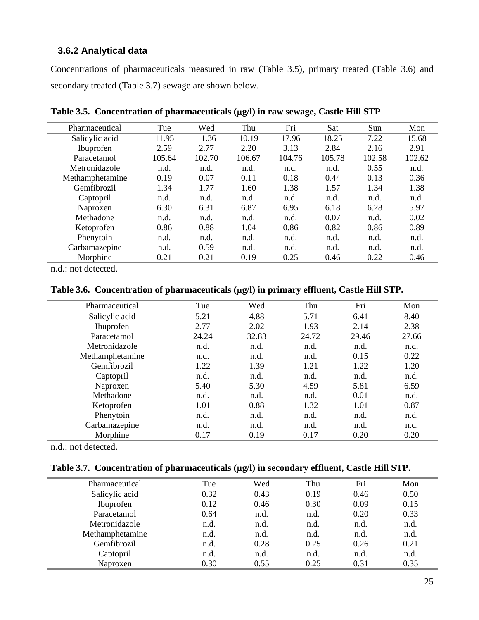### **3.6.2 Analytical data**

Concentrations of pharmaceuticals measured in raw (Table 3.5), primary treated (Table 3.6) and secondary treated (Table 3.7) sewage are shown below.

| Pharmaceutical  | Tue    | Wed    | Thu    | Fri    | Sat    | Sun    | Mon    |
|-----------------|--------|--------|--------|--------|--------|--------|--------|
| Salicylic acid  | 11.95  | 11.36  | 10.19  | 17.96  | 18.25  | 7.22   | 15.68  |
| Ibuprofen       | 2.59   | 2.77   | 2.20   | 3.13   | 2.84   | 2.16   | 2.91   |
| Paracetamol     | 105.64 | 102.70 | 106.67 | 104.76 | 105.78 | 102.58 | 102.62 |
| Metronidazole   | n.d.   | n.d.   | n.d.   | n.d.   | n.d.   | 0.55   | n.d.   |
| Methamphetamine | 0.19   | 0.07   | 0.11   | 0.18   | 0.44   | 0.13   | 0.36   |
| Gemfibrozil     | 1.34   | 1.77   | 1.60   | 1.38   | 1.57   | 1.34   | 1.38   |
| Captopril       | n.d.   | n.d.   | n.d.   | n.d.   | n.d.   | n.d.   | n.d.   |
| Naproxen        | 6.30   | 6.31   | 6.87   | 6.95   | 6.18   | 6.28   | 5.97   |
| Methadone       | n.d.   | n.d.   | n.d.   | n.d.   | 0.07   | n.d.   | 0.02   |
| Ketoprofen      | 0.86   | 0.88   | 1.04   | 0.86   | 0.82   | 0.86   | 0.89   |
| Phenytoin       | n.d.   | n.d.   | n.d.   | n.d.   | n.d.   | n.d.   | n.d.   |
| Carbamazepine   | n.d.   | 0.59   | n.d.   | n.d.   | n.d.   | n.d.   | n.d.   |
| Morphine        | 0.21   | 0.21   | 0.19   | 0.25   | 0.46   | 0.22   | 0.46   |

**Table 3.5. Concentration of pharmaceuticals (**µ**g/l) in raw sewage, Castle Hill STP** 

n.d.: not detected.

Table 3.6. Concentration of pharmaceuticals ( $\mu$ g/l) in primary effluent, Castle Hill STP.

| Pharmaceutical  | Tue   | Wed   | Thu   | Fri   | Mon   |
|-----------------|-------|-------|-------|-------|-------|
| Salicylic acid  | 5.21  | 4.88  | 5.71  | 6.41  | 8.40  |
| Ibuprofen       | 2.77  | 2.02  | 1.93  | 2.14  | 2.38  |
| Paracetamol     | 24.24 | 32.83 | 24.72 | 29.46 | 27.66 |
| Metronidazole   | n.d.  | n.d.  | n.d.  | n.d.  | n.d.  |
| Methamphetamine | n.d.  | n.d.  | n.d.  | 0.15  | 0.22  |
| Gemfibrozil     | 1.22  | 1.39  | 1.21  | 1.22  | 1.20  |
| Captopril       | n.d.  | n.d.  | n.d.  | n.d.  | n.d.  |
| Naproxen        | 5.40  | 5.30  | 4.59  | 5.81  | 6.59  |
| Methadone       | n.d.  | n.d.  | n.d.  | 0.01  | n.d.  |
| Ketoprofen      | 1.01  | 0.88  | 1.32  | 1.01  | 0.87  |
| Phenytoin       | n.d.  | n.d.  | n.d.  | n.d.  | n.d.  |
| Carbamazepine   | n.d.  | n.d.  | n.d.  | n.d.  | n.d.  |
| Morphine        | 0.17  | 0.19  | 0.17  | 0.20  | 0.20  |

n.d.: not detected.

### Table 3.7. Concentration of pharmaceuticals ( $\mu$ g/l) in secondary effluent, Castle Hill STP.

| Pharmaceutical  | Tue  | Wed  | Thu  | Fri  | Mon  |
|-----------------|------|------|------|------|------|
| Salicylic acid  | 0.32 | 0.43 | 0.19 | 0.46 | 0.50 |
| Ibuprofen       | 0.12 | 0.46 | 0.30 | 0.09 | 0.15 |
| Paracetamol     | 0.64 | n.d. | n.d. | 0.20 | 0.33 |
| Metronidazole   | n.d. | n.d. | n.d. | n.d. | n.d. |
| Methamphetamine | n.d. | n.d. | n.d. | n.d. | n.d. |
| Gemfibrozil     | n.d. | 0.28 | 0.25 | 0.26 | 0.21 |
| Captopril       | n.d. | n.d. | n.d. | n.d. | n.d. |
| Naproxen        | 0.30 | 0.55 | 0.25 | 0.31 | 0.35 |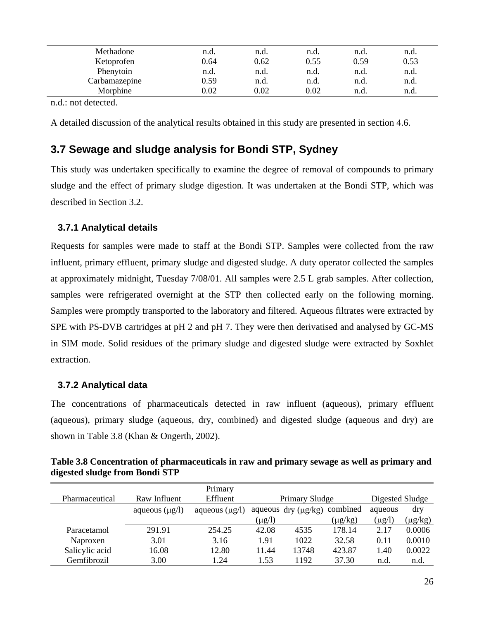| Methadone     | n.d.     | n.d. | n.d.       | n.d. | n.d. |  |
|---------------|----------|------|------------|------|------|--|
| Ketoprofen    | 0.64     | 0.62 | 0.55       | 0.59 | 0.53 |  |
| Phenytoin     | n.d.     | n.d. | n.d.       | n.d. | n.d. |  |
| Carbamazepine | 0.59     | n.d. | n.d.       | n.d. | n.d. |  |
| Morphine      | $0.02\,$ | 0.02 | $\rm 0.02$ | n.d. | n.d. |  |
|               |          |      |            |      |      |  |

A detailed discussion of the analytical results obtained in this study are presented in section 4.6.

# **3.7 Sewage and sludge analysis for Bondi STP, Sydney**

This study was undertaken specifically to examine the degree of removal of compounds to primary sludge and the effect of primary sludge digestion. It was undertaken at the Bondi STP, which was described in Section 3.2.

### **3.7.1 Analytical details**

Requests for samples were made to staff at the Bondi STP. Samples were collected from the raw influent, primary effluent, primary sludge and digested sludge. A duty operator collected the samples at approximately midnight, Tuesday 7/08/01. All samples were 2.5 L grab samples. After collection, samples were refrigerated overnight at the STP then collected early on the following morning. Samples were promptly transported to the laboratory and filtered. Aqueous filtrates were extracted by SPE with PS-DVB cartridges at pH 2 and pH 7. They were then derivatised and analysed by GC-MS in SIM mode. Solid residues of the primary sludge and digested sludge were extracted by Soxhlet extraction.

### **3.7.2 Analytical data**

The concentrations of pharmaceuticals detected in raw influent (aqueous), primary effluent (aqueous), primary sludge (aqueous, dry, combined) and digested sludge (aqueous and dry) are shown in Table 3.8 (Khan & Ongerth, 2002).

|                                | Table 3.8 Concentration of pharmaceuticals in raw and primary sewage as well as primary and |  |
|--------------------------------|---------------------------------------------------------------------------------------------|--|
| digested sludge from Bondi STP |                                                                                             |  |

|                |                     | Primary             |             |                          |              |                 |              |
|----------------|---------------------|---------------------|-------------|--------------------------|--------------|-----------------|--------------|
| Pharmaceutical | Raw Influent        | Effluent            |             | <b>Primary Sludge</b>    |              | Digested Sludge |              |
|                | aqueous $(\mu g/l)$ | aqueous $(\mu g/l)$ |             | aqueous dry $(\mu g/kg)$ | combined     | aqueous         | dry          |
|                |                     |                     | $(\mu g/l)$ |                          | $(\mu g/kg)$ | $(\mu g/l)$     | $(\mu g/kg)$ |
| Paracetamol    | 291.91              | 254.25              | 42.08       | 4535                     | 178.14       | 2.17            | 0.0006       |
| Naproxen       | 3.01                | 3.16                | 1.91        | 1022                     | 32.58        | 0.11            | 0.0010       |
| Salicylic acid | 16.08               | 12.80               | 11.44       | 13748                    | 423.87       | 1.40            | 0.0022       |
| Gemfibrozil    | 3.00                | 1.24                | 1.53        | 1192                     | 37.30        | n.d             | n.d.         |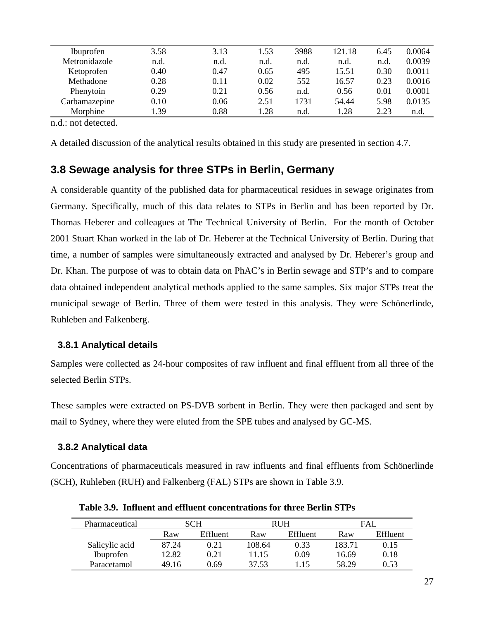| Ibuprofen     | 3.58 | 3.13 | 1.53 | 3988 | 121.18 | 6.45 | 0.0064 |
|---------------|------|------|------|------|--------|------|--------|
| Metronidazole | n.d. | n.d. | n.d. | n.d. | n.d.   | n.d. | 0.0039 |
| Ketoprofen    | 0.40 | 0.47 | 0.65 | 495  | 15.51  | 0.30 | 0.0011 |
| Methadone     | 0.28 | 0.11 | 0.02 | 552  | 16.57  | 0.23 | 0.0016 |
| Phenytoin     | 0.29 | 0.21 | 0.56 | n.d. | 0.56   | 0.01 | 0.0001 |
| Carbamazepine | 0.10 | 0.06 | 2.51 | 1731 | 54.44  | 5.98 | 0.0135 |
| Morphine      | 1.39 | 0.88 | 1.28 | n.d. | 1.28   | 2.23 | n.d.   |
|               |      |      |      |      |        |      |        |

A detailed discussion of the analytical results obtained in this study are presented in section 4.7.

# **3.8 Sewage analysis for three STPs in Berlin, Germany**

A considerable quantity of the published data for pharmaceutical residues in sewage originates from Germany. Specifically, much of this data relates to STPs in Berlin and has been reported by Dr. Thomas Heberer and colleagues at The Technical University of Berlin. For the month of October 2001 Stuart Khan worked in the lab of Dr. Heberer at the Technical University of Berlin. During that time, a number of samples were simultaneously extracted and analysed by Dr. Heberer's group and Dr. Khan. The purpose of was to obtain data on PhAC's in Berlin sewage and STP's and to compare data obtained independent analytical methods applied to the same samples. Six major STPs treat the municipal sewage of Berlin. Three of them were tested in this analysis. They were Schönerlinde, Ruhleben and Falkenberg.

### **3.8.1 Analytical details**

Samples were collected as 24-hour composites of raw influent and final effluent from all three of the selected Berlin STPs.

These samples were extracted on PS-DVB sorbent in Berlin. They were then packaged and sent by mail to Sydney, where they were eluted from the SPE tubes and analysed by GC-MS.

### **3.8.2 Analytical data**

Concentrations of pharmaceuticals measured in raw influents and final effluents from Schönerlinde (SCH), Ruhleben (RUH) and Falkenberg (FAL) STPs are shown in Table 3.9.

| Pharmaceutical |       | SCH      |        | <b>RUH</b> |        | <b>FAI</b> |
|----------------|-------|----------|--------|------------|--------|------------|
|                | Raw   | Effluent | Raw    | Effluent   | Raw    | Effluent   |
| Salicylic acid | 87.24 | 0.21     | 108.64 | 0.33       | 183.71 | 0.15       |
| Ibuprofen      | 12.82 | 0.21     | 11.15  | 0.09       | 16.69  | 0.18       |
| Paracetamol    | 49.16 | በ 69     | 37.53  | l 15       | 58.29  | 0.53       |

**Table 3.9. Influent and effluent concentrations for three Berlin STPs**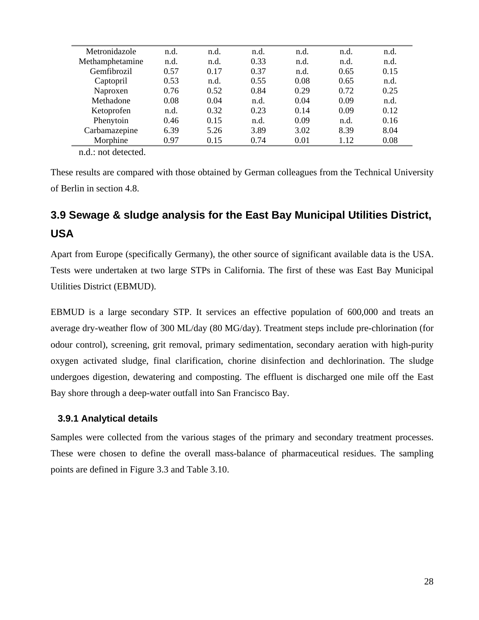| Metronidazole   | n.d. | n.d. | n.d. | n.d. | n.d. | n.d. |
|-----------------|------|------|------|------|------|------|
| Methamphetamine | n.d. | n.d. | 0.33 | n.d. | n.d. | n.d. |
| Gemfibrozil     | 0.57 | 0.17 | 0.37 | n.d. | 0.65 | 0.15 |
| Captopril       | 0.53 | n.d. | 0.55 | 0.08 | 0.65 | n.d. |
| Naproxen        | 0.76 | 0.52 | 0.84 | 0.29 | 0.72 | 0.25 |
| Methadone       | 0.08 | 0.04 | n.d. | 0.04 | 0.09 | n.d. |
| Ketoprofen      | n.d. | 0.32 | 0.23 | 0.14 | 0.09 | 0.12 |
| Phenytoin       | 0.46 | 0.15 | n.d. | 0.09 | n.d. | 0.16 |
| Carbamazepine   | 6.39 | 5.26 | 3.89 | 3.02 | 8.39 | 8.04 |
| Morphine        | 0.97 | 0.15 | 0.74 | 0.01 | 1.12 | 0.08 |
|                 |      |      |      |      |      |      |

These results are compared with those obtained by German colleagues from the Technical University of Berlin in section 4.8.

# **3.9 Sewage & sludge analysis for the East Bay Municipal Utilities District, USA**

Apart from Europe (specifically Germany), the other source of significant available data is the USA. Tests were undertaken at two large STPs in California. The first of these was East Bay Municipal Utilities District (EBMUD).

EBMUD is a large secondary STP. It services an effective population of 600,000 and treats an average dry-weather flow of 300 ML/day (80 MG/day). Treatment steps include pre-chlorination (for odour control), screening, grit removal, primary sedimentation, secondary aeration with high-purity oxygen activated sludge, final clarification, chorine disinfection and dechlorination. The sludge undergoes digestion, dewatering and composting. The effluent is discharged one mile off the East Bay shore through a deep-water outfall into San Francisco Bay.

# **3.9.1 Analytical details**

Samples were collected from the various stages of the primary and secondary treatment processes. These were chosen to define the overall mass-balance of pharmaceutical residues. The sampling points are defined in Figure 3.3 and Table 3.10.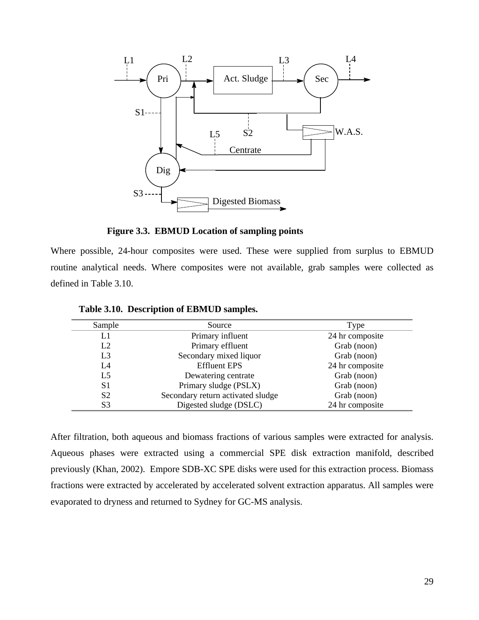

**Figure 3.3. EBMUD Location of sampling points** 

Where possible, 24-hour composites were used. These were supplied from surplus to EBMUD routine analytical needs. Where composites were not available, grab samples were collected as defined in Table 3.10.

| Sample         | Source                            | Type            |
|----------------|-----------------------------------|-----------------|
| L1             | Primary influent                  | 24 hr composite |
| L2             | Primary effluent                  | Grab (noon)     |
| L3             | Secondary mixed liquor            | Grab (noon)     |
| L4             | <b>Effluent EPS</b>               | 24 hr composite |
| L5             | Dewatering centrate               | Grab (noon)     |
| S1             | Primary sludge (PSLX)             | Grab (noon)     |
| S <sub>2</sub> | Secondary return activated sludge | Grab (noon)     |
| S3             | Digested sludge (DSLC)            | 24 hr composite |

**Table 3.10. Description of EBMUD samples.** 

After filtration, both aqueous and biomass fractions of various samples were extracted for analysis. Aqueous phases were extracted using a commercial SPE disk extraction manifold, described previously (Khan, 2002). Empore SDB-XC SPE disks were used for this extraction process. Biomass fractions were extracted by accelerated by accelerated solvent extraction apparatus. All samples were evaporated to dryness and returned to Sydney for GC-MS analysis.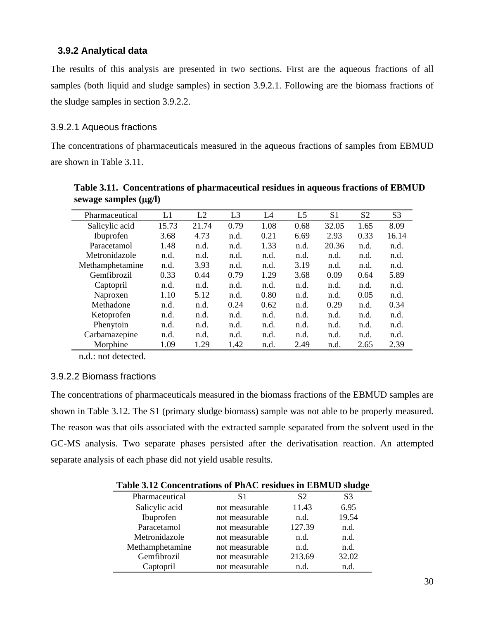### **3.9.2 Analytical data**

The results of this analysis are presented in two sections. First are the aqueous fractions of all samples (both liquid and sludge samples) in section 3.9.2.1. Following are the biomass fractions of the sludge samples in section 3.9.2.2.

### 3.9.2.1 Aqueous fractions

The concentrations of pharmaceuticals measured in the aqueous fractions of samples from EBMUD are shown in Table 3.11.

|                 | L1    | L2    |                | L4   |      |       |      |                |
|-----------------|-------|-------|----------------|------|------|-------|------|----------------|
| Pharmaceutical  |       |       | L <sub>3</sub> |      | L5   | S1    | S2   | S <sub>3</sub> |
| Salicylic acid  | 15.73 | 21.74 | 0.79           | 1.08 | 0.68 | 32.05 | 1.65 | 8.09           |
| Ibuprofen       | 3.68  | 4.73  | n.d.           | 0.21 | 6.69 | 2.93  | 0.33 | 16.14          |
| Paracetamol     | 1.48  | n.d.  | n.d.           | 1.33 | n.d. | 20.36 | n.d. | n.d.           |
| Metronidazole   | n.d.  | n.d.  | n.d.           | n.d. | n.d. | n.d.  | n.d. | n.d.           |
| Methamphetamine | n.d.  | 3.93  | n.d.           | n.d. | 3.19 | n.d.  | n.d. | n.d.           |
| Gemfibrozil     | 0.33  | 0.44  | 0.79           | 1.29 | 3.68 | 0.09  | 0.64 | 5.89           |
| Captopril       | n.d.  | n.d.  | n.d.           | n.d. | n.d. | n.d.  | n.d. | n.d.           |
| Naproxen        | 1.10  | 5.12  | n.d.           | 0.80 | n.d. | n.d.  | 0.05 | n.d.           |
| Methadone       | n.d.  | n.d.  | 0.24           | 0.62 | n.d. | 0.29  | n.d. | 0.34           |
| Ketoprofen      | n.d.  | n.d.  | n.d.           | n.d. | n.d. | n.d.  | n.d. | n.d.           |
| Phenytoin       | n.d.  | n.d.  | n.d.           | n.d. | n.d. | n.d.  | n.d. | n.d.           |
| Carbamazepine   | n.d.  | n.d.  | n.d.           | n.d. | n.d. | n.d.  | n.d. | n.d.           |
| Morphine        | 1.09  | 1.29  | 1.42           | n.d. | 2.49 | n.d.  | 2.65 | 2.39           |

**Table 3.11. Concentrations of pharmaceutical residues in aqueous fractions of EBMUD sewage samples (**µ**g/l)** 

n.d.: not detected.

### 3.9.2.2 Biomass fractions

The concentrations of pharmaceuticals measured in the biomass fractions of the EBMUD samples are shown in Table 3.12. The S1 (primary sludge biomass) sample was not able to be properly measured. The reason was that oils associated with the extracted sample separated from the solvent used in the GC-MS analysis. Two separate phases persisted after the derivatisation reaction. An attempted separate analysis of each phase did not yield usable results.

| Table 3.12 Concentrations of PhAC residues in EBMUD sludge |  |  |
|------------------------------------------------------------|--|--|
|                                                            |  |  |

|                 |                |        | ပ     |
|-----------------|----------------|--------|-------|
| Pharmaceutical  | S1             | S2     | S3    |
| Salicylic acid  | not measurable | 11.43  | 6.95  |
| Ibuprofen       | not measurable | n.d.   | 19.54 |
| Paracetamol     | not measurable | 127.39 | n.d.  |
| Metronidazole   | not measurable | n.d.   | n.d.  |
| Methamphetamine | not measurable | n.d.   | n.d.  |
| Gemfibrozil     | not measurable | 213.69 | 32.02 |
| Captopril       | not measurable | n.d.   | n.d.  |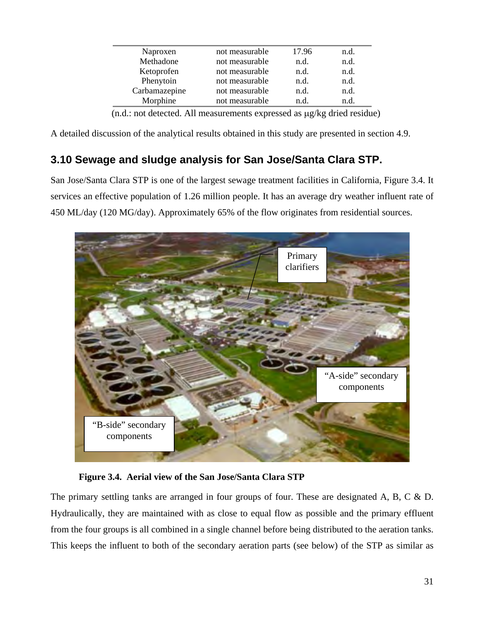| Naproxen      | not measurable | 17.96 | n.d. |  |
|---------------|----------------|-------|------|--|
| Methadone     | not measurable | n.d.  | n.d. |  |
| Ketoprofen    | not measurable | n.d.  | n.d. |  |
| Phenytoin     | not measurable | n.d.  | n.d. |  |
| Carbamazepine | not measurable | n.d.  | n.d. |  |
| Morphine      | not measurable | n.d.  | n.d. |  |
|               |                |       |      |  |

(n.d.: not detected. All measurements expressed as µg/kg dried residue)

A detailed discussion of the analytical results obtained in this study are presented in section 4.9.

# **3.10 Sewage and sludge analysis for San Jose/Santa Clara STP.**

San Jose/Santa Clara STP is one of the largest sewage treatment facilities in California, Figure 3.4. It services an effective population of 1.26 million people. It has an average dry weather influent rate of 450 ML/day (120 MG/day). Approximately 65% of the flow originates from residential sources.



**Figure 3.4. Aerial view of the San Jose/Santa Clara STP** 

The primary settling tanks are arranged in four groups of four. These are designated A, B, C  $\&$  D. Hydraulically, they are maintained with as close to equal flow as possible and the primary effluent from the four groups is all combined in a single channel before being distributed to the aeration tanks. This keeps the influent to both of the secondary aeration parts (see below) of the STP as similar as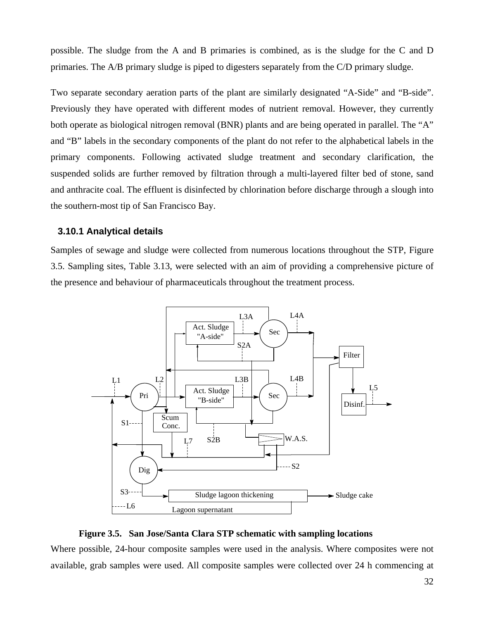possible. The sludge from the A and B primaries is combined, as is the sludge for the C and D primaries. The A/B primary sludge is piped to digesters separately from the C/D primary sludge.

Two separate secondary aeration parts of the plant are similarly designated "A-Side" and "B-side". Previously they have operated with different modes of nutrient removal. However, they currently both operate as biological nitrogen removal (BNR) plants and are being operated in parallel. The "A" and "B" labels in the secondary components of the plant do not refer to the alphabetical labels in the primary components. Following activated sludge treatment and secondary clarification, the suspended solids are further removed by filtration through a multi-layered filter bed of stone, sand and anthracite coal. The effluent is disinfected by chlorination before discharge through a slough into the southern-most tip of San Francisco Bay.

#### **3.10.1 Analytical details**

Samples of sewage and sludge were collected from numerous locations throughout the STP, Figure 3.5. Sampling sites, Table 3.13, were selected with an aim of providing a comprehensive picture of the presence and behaviour of pharmaceuticals throughout the treatment process.





Where possible, 24-hour composite samples were used in the analysis. Where composites were not available, grab samples were used. All composite samples were collected over 24 h commencing at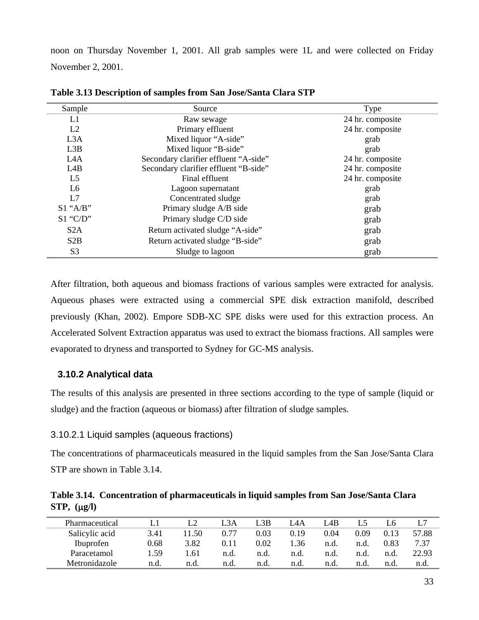noon on Thursday November 1, 2001. All grab samples were 1L and were collected on Friday November 2, 2001.

| Sample           | Source                                | Type             |
|------------------|---------------------------------------|------------------|
| L1               | Raw sewage                            | 24 hr. composite |
| L2               | Primary effluent                      | 24 hr. composite |
| L <sub>3</sub> A | Mixed liquor "A-side"                 | grab             |
| L3B              | Mixed liquor "B-side"                 | grab             |
| L <sub>4</sub> A | Secondary clarifier effluent "A-side" | 24 hr. composite |
| L4B              | Secondary clarifier effluent "B-side" | 24 hr. composite |
| L <sub>5</sub>   | Final effluent                        | 24 hr. composite |
| L <sub>6</sub>   | Lagoon supernatant                    | grab             |
| L7               | Concentrated sludge                   | grab             |
| $S1$ "A/B"       | Primary sludge A/B side               | grab             |
| $S1$ "C/D"       | Primary sludge C/D side               | grab             |
| S <sub>2</sub> A | Return activated sludge "A-side"      | grab             |
| S2B              | Return activated sludge "B-side"      | grab             |
| S <sub>3</sub>   | Sludge to lagoon                      | grab             |

**Table 3.13 Description of samples from San Jose/Santa Clara STP** 

After filtration, both aqueous and biomass fractions of various samples were extracted for analysis. Aqueous phases were extracted using a commercial SPE disk extraction manifold, described previously (Khan, 2002). Empore SDB-XC SPE disks were used for this extraction process. An Accelerated Solvent Extraction apparatus was used to extract the biomass fractions. All samples were evaporated to dryness and transported to Sydney for GC-MS analysis.

### **3.10.2 Analytical data**

The results of this analysis are presented in three sections according to the type of sample (liquid or sludge) and the fraction (aqueous or biomass) after filtration of sludge samples.

### 3.10.2.1 Liquid samples (aqueous fractions)

The concentrations of pharmaceuticals measured in the liquid samples from the San Jose/Santa Clara STP are shown in Table 3.14.

|                     | Table 3.14. Concentration of pharmaceuticals in liquid samples from San Jose/Santa Clara |  |
|---------------------|------------------------------------------------------------------------------------------|--|
| $STP$ , $(\mu g/l)$ |                                                                                          |  |

| Pharmaceutical | IJ    |       | L3A  | .3B  | L4A  | L4B  |      | L6   |       |
|----------------|-------|-------|------|------|------|------|------|------|-------|
| Salicylic acid | 3.41  | 11.50 | 0.77 | 0.03 | 0.19 | 0.04 | 0.09 | 0.13 | 57.88 |
| Ibuprofen      | 0.68  | 3.82  | 0.11 | 0.02 | .36  | n.d. | n.d. | 0.83 | 7.37  |
| Paracetamol    | . .59 | .61   | n.d. | n.d. | n.d. | n.d. | n.d. | n.d. | 22.93 |
| Metronidazole  | n.d.  | n.d.  | n.d. | n.d. | n.d. | n.d. | n.d. | n.d. | n.d.  |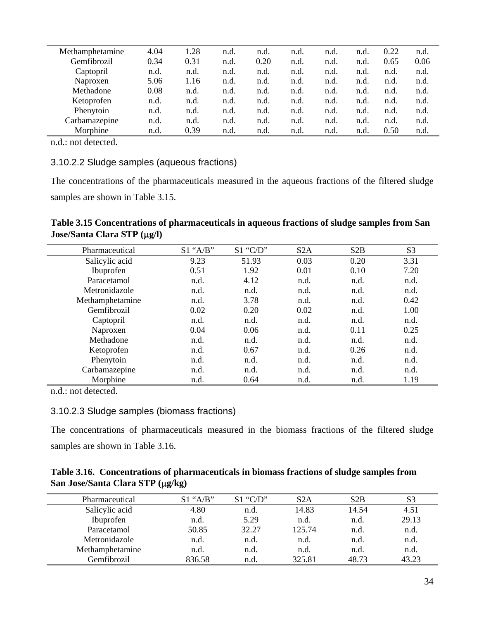| Methamphetamine | 4.04 | 1.28 | n.d. | n.d. | n.d. | n.d. | n.d. | 0.22 | n.d. |
|-----------------|------|------|------|------|------|------|------|------|------|
| Gemfibrozil     | 0.34 | 0.31 | n.d. | 0.20 | n.d. | n.d. | n.d. | 0.65 | 0.06 |
| Captopril       | n.d. | n.d. | n.d. | n.d. | n.d. | n.d. | n.d. | n.d. | n.d. |
| Naproxen        | 5.06 | 1.16 | n.d. | n.d. | n.d. | n.d. | n.d. | n.d. | n.d. |
| Methadone       | 0.08 | n.d. | n.d. | n.d. | n.d. | n.d. | n.d. | n.d. | n.d. |
| Ketoprofen      | n.d. | n.d. | n.d. | n.d. | n.d. | n.d. | n.d. | n.d. | n.d. |
| Phenytoin       | n.d. | n.d. | n.d. | n.d. | n.d. | n.d. | n.d. | n.d. | n.d. |
| Carbamazepine   | n.d. | n.d. | n.d. | n.d. | n.d. | n.d. | n.d. | n.d. | n.d. |
| Morphine        | n.d. | 0.39 | n.d. | n.d. | n.d. | n.d. | n.d  | 0.50 | n.d. |

### 3.10.2.2 Sludge samples (aqueous fractions)

The concentrations of the pharmaceuticals measured in the aqueous fractions of the filtered sludge samples are shown in Table 3.15.

### **Table 3.15 Concentrations of pharmaceuticals in aqueous fractions of sludge samples from San Jose/Santa Clara STP (**µ**g/l)**

| Pharmaceutical  | $S1$ "A/B" | $S1$ "C/D" | S <sub>2</sub> A | S2B  | S <sub>3</sub> |
|-----------------|------------|------------|------------------|------|----------------|
| Salicylic acid  | 9.23       | 51.93      | 0.03             | 0.20 | 3.31           |
| Ibuprofen       | 0.51       | 1.92       | 0.01             | 0.10 | 7.20           |
| Paracetamol     | n.d.       | 4.12       | n.d.             | n.d. | n.d.           |
| Metronidazole   | n.d.       | n.d.       | n.d.             | n.d. | n.d.           |
| Methamphetamine | n.d.       | 3.78       | n.d.             | n.d. | 0.42           |
| Gemfibrozil     | 0.02       | 0.20       | 0.02             | n.d. | 1.00           |
| Captopril       | n.d.       | n.d.       | n.d.             | n.d. | n.d.           |
| Naproxen        | 0.04       | 0.06       | n.d.             | 0.11 | 0.25           |
| Methadone       | n.d.       | n.d.       | n.d.             | n.d. | n.d.           |
| Ketoprofen      | n.d.       | 0.67       | n.d.             | 0.26 | n.d.           |
| Phenytoin       | n.d.       | n.d.       | n.d.             | n.d. | n.d.           |
| Carbamazepine   | n.d.       | n.d.       | n.d.             | n.d. | n.d.           |
| Morphine        | n.d.       | 0.64       | n.d.             | n.d. | 1.19           |

n.d.: not detected.

### 3.10.2.3 Sludge samples (biomass fractions)

The concentrations of pharmaceuticals measured in the biomass fractions of the filtered sludge samples are shown in Table 3.16.

|                                  | Table 3.16. Concentrations of pharmaceuticals in biomass fractions of sludge samples from |
|----------------------------------|-------------------------------------------------------------------------------------------|
| San Jose/Santa Clara STP (μg/kg) |                                                                                           |

| Pharmaceutical  | $S1$ "A/B" | $S1$ "C/D" | S <sub>2</sub> A | S2B   | S3    |
|-----------------|------------|------------|------------------|-------|-------|
| Salicylic acid  | 4.80       | n.d.       | 14.83            | 14.54 | 4.51  |
| Ibuprofen       | n.d.       | 5.29       | n.d.             | n.d.  | 29.13 |
| Paracetamol     | 50.85      | 32.27      | 125.74           | n.d.  | n.d.  |
| Metronidazole   | n.d.       | n.d.       | n.d.             | n.d.  | n.d.  |
| Methamphetamine | n.d.       | n.d.       | n.d.             | n.d.  | n.d.  |
| Gemfibrozil     | 836.58     | n.d        | 325.81           | 48.73 | 43.23 |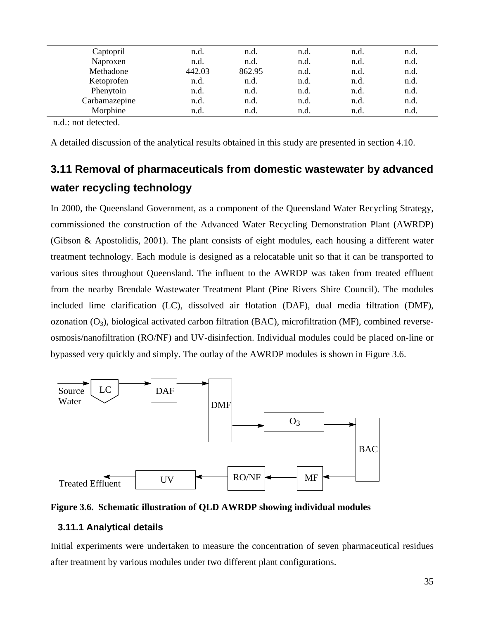| Captopril     | n.d.   | n.d.   | n.d. | n.d. | n.d. |  |
|---------------|--------|--------|------|------|------|--|
| Naproxen      | n.d.   | n.d.   | n.d. | n.d. | n.d. |  |
| Methadone     | 442.03 | 862.95 | n.d. | n.d. | n.d. |  |
| Ketoprofen    | n.d.   | n.d.   | n.d. | n.d. | n.d. |  |
| Phenytoin     | n.d.   | n.d.   | n.d. | n.d. | n.d. |  |
| Carbamazepine | n.d.   | n.d.   | n.d. | n.d. | n.d. |  |
| Morphine      | n.d.   | n.d.   | n.d. | n.d. | n.d. |  |
|               |        |        |      |      |      |  |

A detailed discussion of the analytical results obtained in this study are presented in section 4.10.

# **3.11 Removal of pharmaceuticals from domestic wastewater by advanced water recycling technology**

In 2000, the Queensland Government, as a component of the Queensland Water Recycling Strategy, commissioned the construction of the Advanced Water Recycling Demonstration Plant (AWRDP) (Gibson & Apostolidis, 2001). The plant consists of eight modules, each housing a different water treatment technology. Each module is designed as a relocatable unit so that it can be transported to various sites throughout Queensland. The influent to the AWRDP was taken from treated effluent from the nearby Brendale Wastewater Treatment Plant (Pine Rivers Shire Council). The modules included lime clarification (LC), dissolved air flotation (DAF), dual media filtration (DMF), ozonation  $(O_3)$ , biological activated carbon filtration (BAC), microfiltration (MF), combined reverseosmosis/nanofiltration (RO/NF) and UV-disinfection. Individual modules could be placed on-line or bypassed very quickly and simply. The outlay of the AWRDP modules is shown in Figure 3.6.





#### **3.11.1 Analytical details**

Initial experiments were undertaken to measure the concentration of seven pharmaceutical residues after treatment by various modules under two different plant configurations.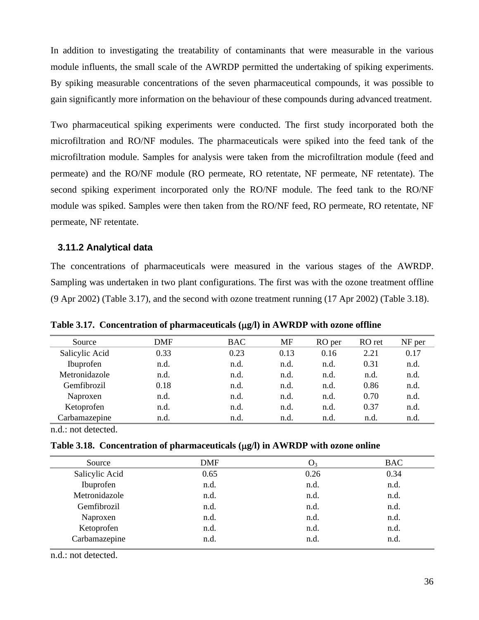In addition to investigating the treatability of contaminants that were measurable in the various module influents, the small scale of the AWRDP permitted the undertaking of spiking experiments. By spiking measurable concentrations of the seven pharmaceutical compounds, it was possible to gain significantly more information on the behaviour of these compounds during advanced treatment.

Two pharmaceutical spiking experiments were conducted. The first study incorporated both the microfiltration and RO/NF modules. The pharmaceuticals were spiked into the feed tank of the microfiltration module. Samples for analysis were taken from the microfiltration module (feed and permeate) and the RO/NF module (RO permeate, RO retentate, NF permeate, NF retentate). The second spiking experiment incorporated only the RO/NF module. The feed tank to the RO/NF module was spiked. Samples were then taken from the RO/NF feed, RO permeate, RO retentate, NF permeate, NF retentate.

#### **3.11.2 Analytical data**

The concentrations of pharmaceuticals were measured in the various stages of the AWRDP. Sampling was undertaken in two plant configurations. The first was with the ozone treatment offline (9 Apr 2002) (Table 3.17), and the second with ozone treatment running (17 Apr 2002) (Table 3.18).

| Source         | DMF  | <b>BAC</b> | <b>MF</b> | RO per | RO ret | NF per |
|----------------|------|------------|-----------|--------|--------|--------|
| Salicylic Acid | 0.33 | 0.23       | 0.13      | 0.16   | 2.21   | 0.17   |
| Ibuprofen      | n.d. | n.d.       | n.d.      | n.d.   | 0.31   | n.d.   |
| Metronidazole  | n.d. | n.d.       | n.d.      | n.d.   | n.d.   | n.d.   |
| Gemfibrozil    | 0.18 | n.d.       | n.d.      | n.d.   | 0.86   | n.d.   |
| Naproxen       | n.d. | n.d.       | n.d.      | n.d.   | 0.70   | n.d.   |
| Ketoprofen     | n.d. | n.d.       | n.d.      | n.d.   | 0.37   | n.d.   |
| Carbamazepine  | n.d. | n.d.       | n.d.      | n.d.   | n.d.   | n.d.   |

**Table 3.17. Concentration of pharmaceuticals (**µ**g/l) in AWRDP with ozone offline** 

n.d.: not detected.

|  |  |  |  |  |  | Table 3.18. Concentration of pharmaceuticals $(\mu g/l)$ in AWRDP with ozone online |
|--|--|--|--|--|--|-------------------------------------------------------------------------------------|
|--|--|--|--|--|--|-------------------------------------------------------------------------------------|

| Source         | <b>DMF</b> | $\mathbf{U}_3$ | <b>BAC</b> |  |
|----------------|------------|----------------|------------|--|
| Salicylic Acid | 0.65       | 0.26           | 0.34       |  |
| Ibuprofen      | n.d.       | n.d.           | n.d.       |  |
| Metronidazole  | n.d.       | n.d.           | n.d.       |  |
| Gemfibrozil    | n.d.       | n.d.           | n.d.       |  |
| Naproxen       | n.d.       | n.d.           | n.d.       |  |
| Ketoprofen     | n.d.       | n.d.           | n.d.       |  |
| Carbamazepine  | n.d.       | n.d.           | n.d.       |  |
|                |            |                |            |  |

n.d.: not detected.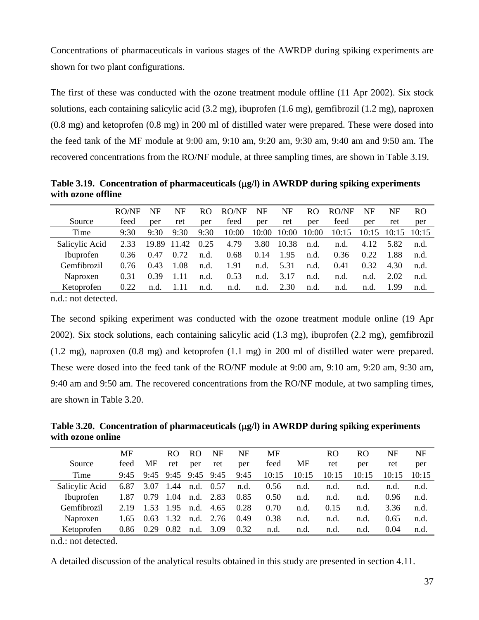Concentrations of pharmaceuticals in various stages of the AWRDP during spiking experiments are shown for two plant configurations.

The first of these was conducted with the ozone treatment module offline (11 Apr 2002). Six stock solutions, each containing salicylic acid (3.2 mg), ibuprofen (1.6 mg), gemfibrozil (1.2 mg), naproxen (0.8 mg) and ketoprofen (0.8 mg) in 200 ml of distilled water were prepared. These were dosed into the feed tank of the MF module at 9:00 am, 9:10 am, 9:20 am, 9:30 am, 9:40 am and 9:50 am. The recovered concentrations from the RO/NF module, at three sampling times, are shown in Table 3.19.

Table 3.19. Concentration of pharmaceuticals ( $\mu$ g/l) in AWRDP during spiking experiments **with ozone offline** 

|                | RO/NF | NF   | NF               | RO.  | RO/NF | NF    | NF    | RO.   | RO/NF | NF              | NF   | RO.   |
|----------------|-------|------|------------------|------|-------|-------|-------|-------|-------|-----------------|------|-------|
| Source         | feed  | per  | ret              | per  | feed  | per   | ret   | per   | feed  | per             | ret  | per   |
| Time           | 9:30  | 9:30 | 9:30             | 9:30 | 10:00 | 10:00 | 10:00 | 10:00 | 10:15 | $10:15$ $10:15$ |      | 10:15 |
| Salicylic Acid | 2.33  |      | 19.89 11.42 0.25 |      | 4.79  | 3.80  | 10.38 | n.d.  | n.d.  | 4.12            | 5.82 | n.d.  |
| Ibuprofen      | 0.36  | 0.47 | 0.72             | n.d. | 0.68  | 0.14  | 1.95  | n.d.  | 0.36  | 0.22            | 1.88 | n.d.  |
| Gemfibrozil    | 0.76  | 0.43 | 1.08             | n.d. | 1.91  | n.d.  | 5.31  | n.d.  | 0.41  | 0.32            | 4.30 | n.d.  |
| Naproxen       | 0.31  | 0.39 | -1.11            | n.d. | 0.53  | n.d.  | 3.17  | n.d.  | n.d.  | n.d.            | 2.02 | n.d.  |
| Ketoprofen     | 0.22  | n.d. | -1.11            | n.d. | n.d.  | n.d.  | 2.30  | n.d.  | n.d.  | n.d.            | 1.99 | n.d.  |

n.d.: not detected.

The second spiking experiment was conducted with the ozone treatment module online (19 Apr 2002). Six stock solutions, each containing salicylic acid (1.3 mg), ibuprofen (2.2 mg), gemfibrozil (1.2 mg), naproxen (0.8 mg) and ketoprofen (1.1 mg) in 200 ml of distilled water were prepared. These were dosed into the feed tank of the RO/NF module at 9:00 am, 9:10 am, 9:20 am, 9:30 am, 9:40 am and 9:50 am. The recovered concentrations from the RO/NF module, at two sampling times, are shown in Table 3.20.

Table 3.20. Concentration of pharmaceuticals ( $\mu$ g/l) in AWRDP during spiking experiments **with ozone online** 

|                | MF   |      | RO.         | R <sub>O</sub> | NF                  | NF   | MF    |       | R <sub>O</sub> | RO.   | NF    | NF    |
|----------------|------|------|-------------|----------------|---------------------|------|-------|-------|----------------|-------|-------|-------|
| Source         | feed | МF   | ret         | per            | ret                 | per  | feed  | МF    | ret            | per   | ret   | per   |
| Time           | 9:45 |      |             |                | 9:45 9:45 9:45 9:45 | 9:45 | 10:15 | 10:15 | 10:15          | 10:15 | 10:15 | 10:15 |
| Salicylic Acid | 6.87 |      | 3.07 1.44   | n.d. 0.57      |                     | n.d. | 0.56  | n.d.  | n.d.           | n.d.  | n.d.  | n.d.  |
| Ibuprofen      | 1.87 |      | $0.79$ 1.04 | n.d. 2.83      |                     | 0.85 | 0.50  | n.d.  | n.d.           | n.d.  | 0.96  | n.d.  |
| Gemfibrozil    | 2.19 |      | 1.53 1.95   | n.d.           | 4.65                | 0.28 | 0.70  | n.d.  | 0.15           | n.d.  | 3.36  | n.d.  |
| Naproxen       | 1.65 | 0.63 | 1.32        | n.d.           | 2.76                | 0.49 | 0.38  | n.d.  | n.d.           | n.d.  | 0.65  | n.d.  |
| Ketoprofen     | 0.86 | 0.29 | 0.82        | n.d.           | 3.09                | 0.32 | n.d.  | n.d.  | n.d.           | n.d.  | 0.04  | n.d.  |

n.d.: not detected.

A detailed discussion of the analytical results obtained in this study are presented in section 4.11.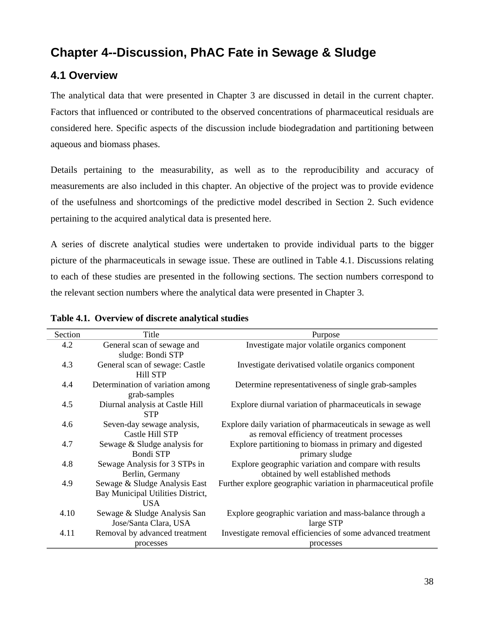# **Chapter 4--Discussion, PhAC Fate in Sewage & Sludge**

## **4.1 Overview**

The analytical data that were presented in Chapter 3 are discussed in detail in the current chapter. Factors that influenced or contributed to the observed concentrations of pharmaceutical residuals are considered here. Specific aspects of the discussion include biodegradation and partitioning between aqueous and biomass phases.

Details pertaining to the measurability, as well as to the reproducibility and accuracy of measurements are also included in this chapter. An objective of the project was to provide evidence of the usefulness and shortcomings of the predictive model described in Section 2. Such evidence pertaining to the acquired analytical data is presented here.

A series of discrete analytical studies were undertaken to provide individual parts to the bigger picture of the pharmaceuticals in sewage issue. These are outlined in Table 4.1. Discussions relating to each of these studies are presented in the following sections. The section numbers correspond to the relevant section numbers where the analytical data were presented in Chapter 3.

| Section | Title                                                                            | Purpose                                                                                                      |
|---------|----------------------------------------------------------------------------------|--------------------------------------------------------------------------------------------------------------|
| 4.2     | General scan of sewage and<br>sludge: Bondi STP                                  | Investigate major volatile organics component                                                                |
| 4.3     | General scan of sewage: Castle<br><b>Hill STP</b>                                | Investigate derivatised volatile organics component                                                          |
| 4.4     | Determination of variation among<br>grab-samples                                 | Determine representativeness of single grab-samples                                                          |
| 4.5     | Diurnal analysis at Castle Hill<br><b>STP</b>                                    | Explore diurnal variation of pharmaceuticals in sewage                                                       |
| 4.6     | Seven-day sewage analysis,<br>Castle Hill STP                                    | Explore daily variation of pharmaceuticals in sewage as well<br>as removal efficiency of treatment processes |
| 4.7     | Sewage & Sludge analysis for<br><b>Bondi STP</b>                                 | Explore partitioning to biomass in primary and digested<br>primary sludge                                    |
| 4.8     | Sewage Analysis for 3 STPs in<br>Berlin, Germany                                 | Explore geographic variation and compare with results<br>obtained by well established methods                |
| 4.9     | Sewage & Sludge Analysis East<br>Bay Municipal Utilities District,<br><b>USA</b> | Further explore geographic variation in pharmaceutical profile                                               |
| 4.10    | Sewage & Sludge Analysis San                                                     | Explore geographic variation and mass-balance through a                                                      |
|         | Jose/Santa Clara, USA                                                            | large STP                                                                                                    |
| 4.11    | Removal by advanced treatment                                                    | Investigate removal efficiencies of some advanced treatment                                                  |
|         | processes                                                                        | processes                                                                                                    |

#### **Table 4.1. Overview of discrete analytical studies**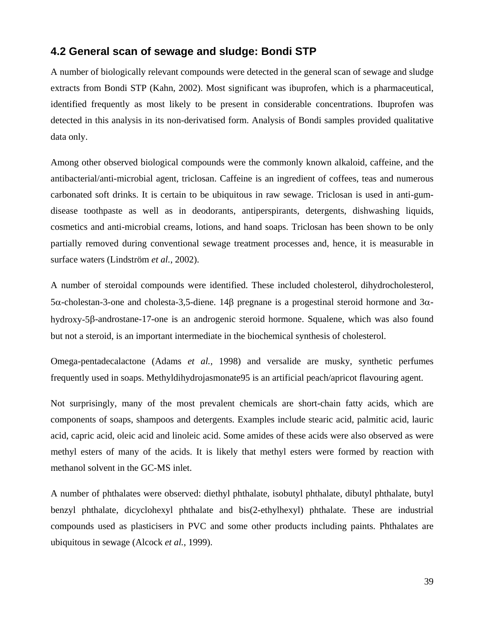## **4.2 General scan of sewage and sludge: Bondi STP**

A number of biologically relevant compounds were detected in the general scan of sewage and sludge extracts from Bondi STP (Kahn, 2002). Most significant was ibuprofen, which is a pharmaceutical, identified frequently as most likely to be present in considerable concentrations. Ibuprofen was detected in this analysis in its non-derivatised form. Analysis of Bondi samples provided qualitative data only.

Among other observed biological compounds were the commonly known alkaloid, caffeine, and the antibacterial/anti-microbial agent, triclosan. Caffeine is an ingredient of coffees, teas and numerous carbonated soft drinks. It is certain to be ubiquitous in raw sewage. Triclosan is used in anti-gumdisease toothpaste as well as in deodorants, antiperspirants, detergents, dishwashing liquids, cosmetics and anti-microbial creams, lotions, and hand soaps. Triclosan has been shown to be only partially removed during conventional sewage treatment processes and, hence, it is measurable in surface waters (Lindström *et al.*, 2002).

A number of steroidal compounds were identified. These included cholesterol, dihydrocholesterol, 5α-cholestan-3-one and cholesta-3,5-diene. 14β pregnane is a progestinal steroid hormone and 3αhydroxy-5β-androstane-17-one is an androgenic steroid hormone. Squalene, which was also found but not a steroid, is an important intermediate in the biochemical synthesis of cholesterol.

Omega-pentadecalactone (Adams *et al.*, 1998) and versalide are musky, synthetic perfumes frequently used in soaps. Methyldihydrojasmonate95 is an artificial peach/apricot flavouring agent.

Not surprisingly, many of the most prevalent chemicals are short-chain fatty acids, which are components of soaps, shampoos and detergents. Examples include stearic acid, palmitic acid, lauric acid, capric acid, oleic acid and linoleic acid. Some amides of these acids were also observed as were methyl esters of many of the acids. It is likely that methyl esters were formed by reaction with methanol solvent in the GC-MS inlet.

A number of phthalates were observed: diethyl phthalate, isobutyl phthalate, dibutyl phthalate, butyl benzyl phthalate, dicyclohexyl phthalate and bis(2-ethylhexyl) phthalate. These are industrial compounds used as plasticisers in PVC and some other products including paints. Phthalates are ubiquitous in sewage (Alcock *et al.*, 1999).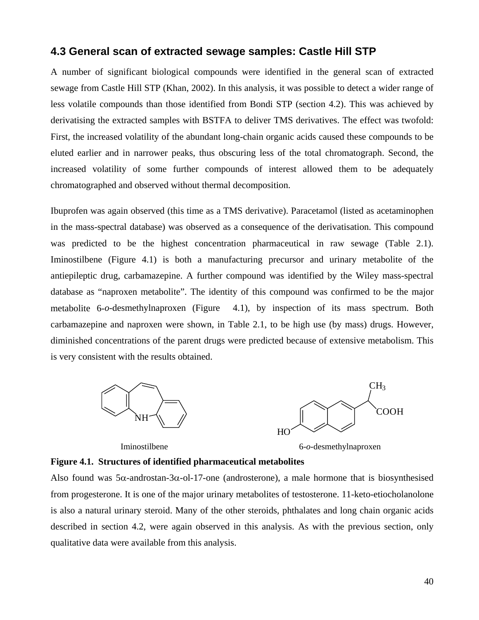### **4.3 General scan of extracted sewage samples: Castle Hill STP**

A number of significant biological compounds were identified in the general scan of extracted sewage from Castle Hill STP (Khan, 2002). In this analysis, it was possible to detect a wider range of less volatile compounds than those identified from Bondi STP (section 4.2). This was achieved by derivatising the extracted samples with BSTFA to deliver TMS derivatives. The effect was twofold: First, the increased volatility of the abundant long-chain organic acids caused these compounds to be eluted earlier and in narrower peaks, thus obscuring less of the total chromatograph. Second, the increased volatility of some further compounds of interest allowed them to be adequately chromatographed and observed without thermal decomposition.

Ibuprofen was again observed (this time as a TMS derivative). Paracetamol (listed as acetaminophen in the mass-spectral database) was observed as a consequence of the derivatisation. This compound was predicted to be the highest concentration pharmaceutical in raw sewage (Table 2.1). Iminostilbene (Figure 4.1) is both a manufacturing precursor and urinary metabolite of the antiepileptic drug, carbamazepine. A further compound was identified by the Wiley mass-spectral database as "naproxen metabolite". The identity of this compound was confirmed to be the major metabolite 6-*o*-desmethylnaproxen (Figure 4.1), by inspection of its mass spectrum. Both carbamazepine and naproxen were shown, in Table 2.1, to be high use (by mass) drugs. However, diminished concentrations of the parent drugs were predicted because of extensive metabolism. This is very consistent with the results obtained.



Iminostilbene 6-*o*-desmethylnaproxen

#### **Figure 4.1. Structures of identified pharmaceutical metabolites**

Also found was  $5\alpha$ -androstan-3 $\alpha$ -ol-17-one (androsterone), a male hormone that is biosynthesised from progesterone. It is one of the major urinary metabolites of testosterone. 11-keto-etiocholanolone is also a natural urinary steroid. Many of the other steroids, phthalates and long chain organic acids described in section 4.2, were again observed in this analysis. As with the previous section, only qualitative data were available from this analysis.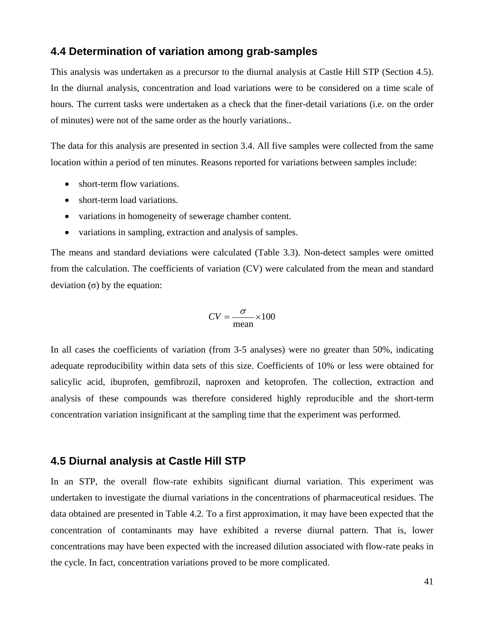### **4.4 Determination of variation among grab-samples**

This analysis was undertaken as a precursor to the diurnal analysis at Castle Hill STP (Section 4.5). In the diurnal analysis, concentration and load variations were to be considered on a time scale of hours. The current tasks were undertaken as a check that the finer-detail variations (i.e. on the order of minutes) were not of the same order as the hourly variations..

The data for this analysis are presented in section 3.4. All five samples were collected from the same location within a period of ten minutes. Reasons reported for variations between samples include:

- short-term flow variations.
- short-term load variations.
- variations in homogeneity of sewerage chamber content.
- variations in sampling, extraction and analysis of samples.

The means and standard deviations were calculated (Table 3.3). Non-detect samples were omitted from the calculation. The coefficients of variation (CV) were calculated from the mean and standard deviation (σ) by the equation:

$$
CV = \frac{\sigma}{\text{mean}} \times 100
$$

In all cases the coefficients of variation (from 3-5 analyses) were no greater than 50%, indicating adequate reproducibility within data sets of this size. Coefficients of 10% or less were obtained for salicylic acid, ibuprofen, gemfibrozil, naproxen and ketoprofen. The collection, extraction and analysis of these compounds was therefore considered highly reproducible and the short-term concentration variation insignificant at the sampling time that the experiment was performed.

#### **4.5 Diurnal analysis at Castle Hill STP**

In an STP, the overall flow-rate exhibits significant diurnal variation. This experiment was undertaken to investigate the diurnal variations in the concentrations of pharmaceutical residues. The data obtained are presented in Table 4.2. To a first approximation, it may have been expected that the concentration of contaminants may have exhibited a reverse diurnal pattern. That is, lower concentrations may have been expected with the increased dilution associated with flow-rate peaks in the cycle. In fact, concentration variations proved to be more complicated.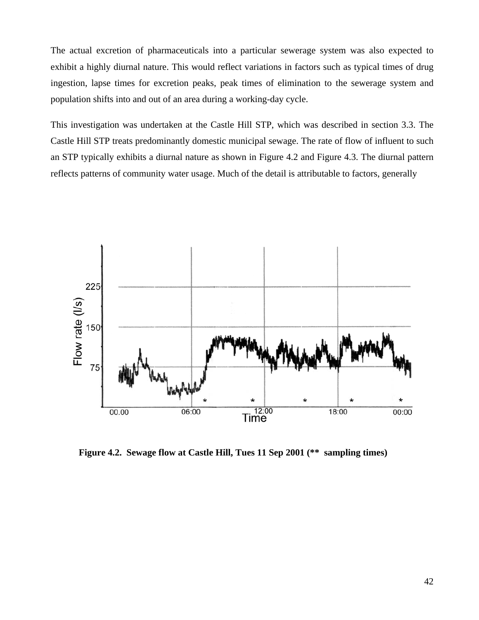The actual excretion of pharmaceuticals into a particular sewerage system was also expected to exhibit a highly diurnal nature. This would reflect variations in factors such as typical times of drug ingestion, lapse times for excretion peaks, peak times of elimination to the sewerage system and population shifts into and out of an area during a working-day cycle.

This investigation was undertaken at the Castle Hill STP, which was described in section 3.3. The Castle Hill STP treats predominantly domestic municipal sewage. The rate of flow of influent to such an STP typically exhibits a diurnal nature as shown in Figure 4.2 and Figure 4.3. The diurnal pattern reflects patterns of community water usage. Much of the detail is attributable to factors, generally



**Figure 4.2. Sewage flow at Castle Hill, Tues 11 Sep 2001 (\*\* sampling times)**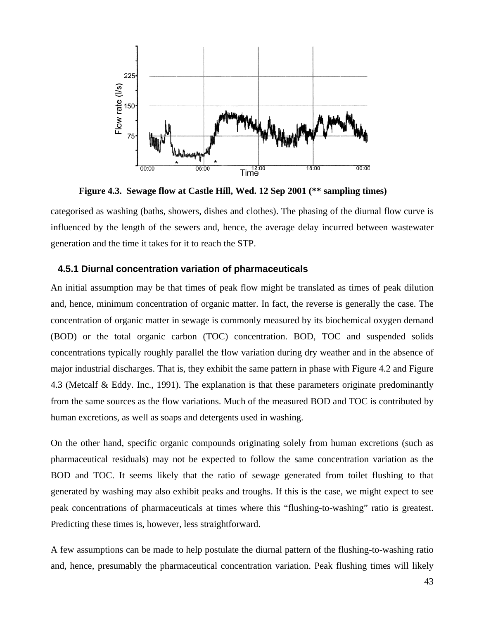

**Figure 4.3. Sewage flow at Castle Hill, Wed. 12 Sep 2001 (\*\* sampling times)** 

categorised as washing (baths, showers, dishes and clothes). The phasing of the diurnal flow curve is influenced by the length of the sewers and, hence, the average delay incurred between wastewater generation and the time it takes for it to reach the STP.

#### **4.5.1 Diurnal concentration variation of pharmaceuticals**

An initial assumption may be that times of peak flow might be translated as times of peak dilution and, hence, minimum concentration of organic matter. In fact, the reverse is generally the case. The concentration of organic matter in sewage is commonly measured by its biochemical oxygen demand (BOD) or the total organic carbon (TOC) concentration. BOD, TOC and suspended solids concentrations typically roughly parallel the flow variation during dry weather and in the absence of major industrial discharges. That is, they exhibit the same pattern in phase with Figure 4.2 and Figure 4.3 (Metcalf & Eddy. Inc., 1991). The explanation is that these parameters originate predominantly from the same sources as the flow variations. Much of the measured BOD and TOC is contributed by human excretions, as well as soaps and detergents used in washing.

On the other hand, specific organic compounds originating solely from human excretions (such as pharmaceutical residuals) may not be expected to follow the same concentration variation as the BOD and TOC. It seems likely that the ratio of sewage generated from toilet flushing to that generated by washing may also exhibit peaks and troughs. If this is the case, we might expect to see peak concentrations of pharmaceuticals at times where this "flushing-to-washing" ratio is greatest. Predicting these times is, however, less straightforward.

A few assumptions can be made to help postulate the diurnal pattern of the flushing-to-washing ratio and, hence, presumably the pharmaceutical concentration variation. Peak flushing times will likely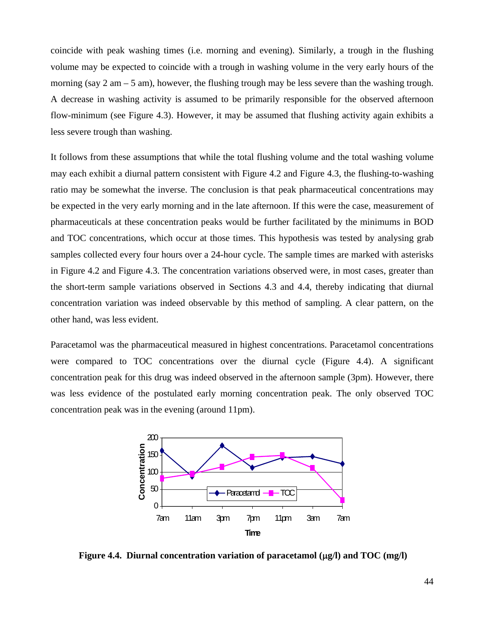coincide with peak washing times (i.e. morning and evening). Similarly, a trough in the flushing volume may be expected to coincide with a trough in washing volume in the very early hours of the morning (say  $2 \text{ am} - 5 \text{ am}$ ), however, the flushing trough may be less severe than the washing trough. A decrease in washing activity is assumed to be primarily responsible for the observed afternoon flow-minimum (see Figure 4.3). However, it may be assumed that flushing activity again exhibits a less severe trough than washing.

It follows from these assumptions that while the total flushing volume and the total washing volume may each exhibit a diurnal pattern consistent with Figure 4.2 and Figure 4.3, the flushing-to-washing ratio may be somewhat the inverse. The conclusion is that peak pharmaceutical concentrations may be expected in the very early morning and in the late afternoon. If this were the case, measurement of pharmaceuticals at these concentration peaks would be further facilitated by the minimums in BOD and TOC concentrations, which occur at those times. This hypothesis was tested by analysing grab samples collected every four hours over a 24-hour cycle. The sample times are marked with asterisks in Figure 4.2 and Figure 4.3. The concentration variations observed were, in most cases, greater than the short-term sample variations observed in Sections 4.3 and 4.4, thereby indicating that diurnal concentration variation was indeed observable by this method of sampling. A clear pattern, on the other hand, was less evident.

Paracetamol was the pharmaceutical measured in highest concentrations. Paracetamol concentrations were compared to TOC concentrations over the diurnal cycle (Figure 4.4). A significant concentration peak for this drug was indeed observed in the afternoon sample (3pm). However, there was less evidence of the postulated early morning concentration peak. The only observed TOC concentration peak was in the evening (around 11pm).



**Figure 4.4. Diurnal concentration variation of paracetamol (**µ**g/l) and TOC (mg/l)**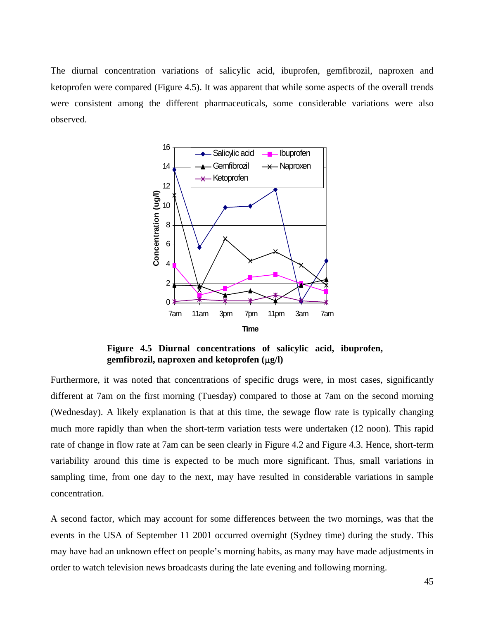The diurnal concentration variations of salicylic acid, ibuprofen, gemfibrozil, naproxen and ketoprofen were compared (Figure 4.5). It was apparent that while some aspects of the overall trends were consistent among the different pharmaceuticals, some considerable variations were also observed.



**Figure 4.5 Diurnal concentrations of salicylic acid, ibuprofen, gemfibrozil, naproxen and ketoprofen (**µ**g/l)** 

Furthermore, it was noted that concentrations of specific drugs were, in most cases, significantly different at 7am on the first morning (Tuesday) compared to those at 7am on the second morning (Wednesday). A likely explanation is that at this time, the sewage flow rate is typically changing much more rapidly than when the short-term variation tests were undertaken (12 noon). This rapid rate of change in flow rate at 7am can be seen clearly in Figure 4.2 and Figure 4.3. Hence, short-term variability around this time is expected to be much more significant. Thus, small variations in sampling time, from one day to the next, may have resulted in considerable variations in sample concentration.

A second factor, which may account for some differences between the two mornings, was that the events in the USA of September 11 2001 occurred overnight (Sydney time) during the study. This may have had an unknown effect on people's morning habits, as many may have made adjustments in order to watch television news broadcasts during the late evening and following morning.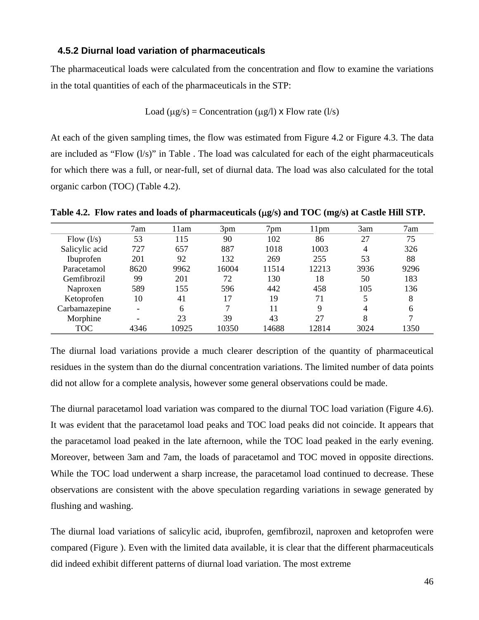#### **4.5.2 Diurnal load variation of pharmaceuticals**

The pharmaceutical loads were calculated from the concentration and flow to examine the variations in the total quantities of each of the pharmaceuticals in the STP:

$$
Load (\mu g/s) = Concentration (\mu g/l) \times Flow rate (l/s)
$$

At each of the given sampling times, the flow was estimated from Figure 4.2 or Figure 4.3. The data are included as "Flow (l/s)" in Table . The load was calculated for each of the eight pharmaceuticals for which there was a full, or near-full, set of diurnal data. The load was also calculated for the total organic carbon (TOC) (Table 4.2).

|                | 7am                      | 11am  | 3pm   | 7pm   | 11 <sub>pm</sub> | 3am  | 7am  |
|----------------|--------------------------|-------|-------|-------|------------------|------|------|
| Flow $(l/s)$   | 53                       | 115   | 90    | 102   | 86               | 27   | 75   |
| Salicylic acid | 727                      | 657   | 887   | 1018  | 1003             | 4    | 326  |
| Ibuprofen      | 201                      | 92    | 132   | 269   | 255              | 53   | 88   |
| Paracetamol    | 8620                     | 9962  | 16004 | 11514 | 12213            | 3936 | 9296 |
| Gemfibrozil    | 99                       | 201   | 72    | 130   | 18               | 50   | 183  |
| Naproxen       | 589                      | 155   | 596   | 442   | 458              | 105  | 136  |
| Ketoprofen     | 10                       | 41    | 17    | 19    | 71               |      | 8    |
| Carbamazepine  |                          | 6     | 7     | 11    | 9                | 4    | 6    |
| Morphine       | $\overline{\phantom{0}}$ | 23    | 39    | 43    | 27               | 8    | ⇁    |
| TOC            | 4346                     | 10925 | 10350 | 14688 | 12814            | 3024 | 1350 |

**Table 4.2. Flow rates and loads of pharmaceuticals (**µ**g/s) and TOC (mg/s) at Castle Hill STP.** 

The diurnal load variations provide a much clearer description of the quantity of pharmaceutical residues in the system than do the diurnal concentration variations. The limited number of data points did not allow for a complete analysis, however some general observations could be made.

The diurnal paracetamol load variation was compared to the diurnal TOC load variation (Figure 4.6). It was evident that the paracetamol load peaks and TOC load peaks did not coincide. It appears that the paracetamol load peaked in the late afternoon, while the TOC load peaked in the early evening. Moreover, between 3am and 7am, the loads of paracetamol and TOC moved in opposite directions. While the TOC load underwent a sharp increase, the paracetamol load continued to decrease. These observations are consistent with the above speculation regarding variations in sewage generated by flushing and washing.

The diurnal load variations of salicylic acid, ibuprofen, gemfibrozil, naproxen and ketoprofen were compared (Figure ). Even with the limited data available, it is clear that the different pharmaceuticals did indeed exhibit different patterns of diurnal load variation. The most extreme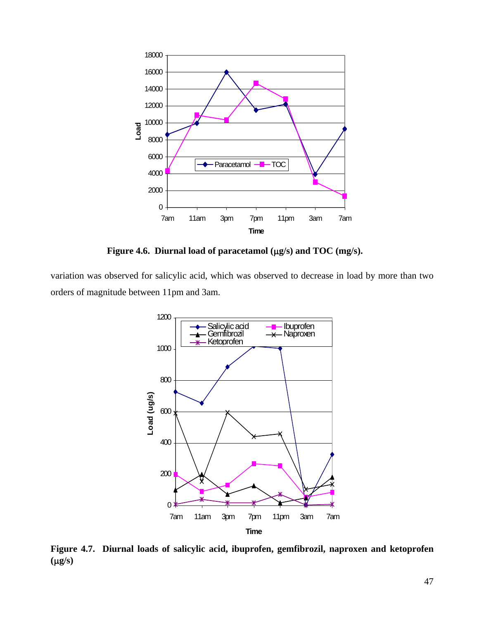

**Figure 4.6. Diurnal load of paracetamol (**µ**g/s) and TOC (mg/s).** 

variation was observed for salicylic acid, which was observed to decrease in load by more than two orders of magnitude between 11pm and 3am.



**Figure 4.7. Diurnal loads of salicylic acid, ibuprofen, gemfibrozil, naproxen and ketoprofen (**µ**g/s)**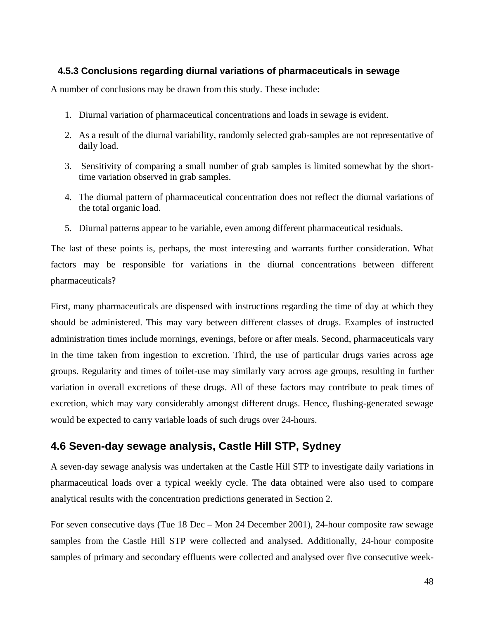### **4.5.3 Conclusions regarding diurnal variations of pharmaceuticals in sewage**

A number of conclusions may be drawn from this study. These include:

- 1. Diurnal variation of pharmaceutical concentrations and loads in sewage is evident.
- 2. As a result of the diurnal variability, randomly selected grab-samples are not representative of daily load.
- 3. Sensitivity of comparing a small number of grab samples is limited somewhat by the shorttime variation observed in grab samples.
- 4. The diurnal pattern of pharmaceutical concentration does not reflect the diurnal variations of the total organic load.
- 5. Diurnal patterns appear to be variable, even among different pharmaceutical residuals.

The last of these points is, perhaps, the most interesting and warrants further consideration. What factors may be responsible for variations in the diurnal concentrations between different pharmaceuticals?

First, many pharmaceuticals are dispensed with instructions regarding the time of day at which they should be administered. This may vary between different classes of drugs. Examples of instructed administration times include mornings, evenings, before or after meals. Second, pharmaceuticals vary in the time taken from ingestion to excretion. Third, the use of particular drugs varies across age groups. Regularity and times of toilet-use may similarly vary across age groups, resulting in further variation in overall excretions of these drugs. All of these factors may contribute to peak times of excretion, which may vary considerably amongst different drugs. Hence, flushing-generated sewage would be expected to carry variable loads of such drugs over 24-hours.

## **4.6 Seven-day sewage analysis, Castle Hill STP, Sydney**

A seven-day sewage analysis was undertaken at the Castle Hill STP to investigate daily variations in pharmaceutical loads over a typical weekly cycle. The data obtained were also used to compare analytical results with the concentration predictions generated in Section 2.

For seven consecutive days (Tue 18 Dec – Mon 24 December 2001), 24-hour composite raw sewage samples from the Castle Hill STP were collected and analysed. Additionally, 24-hour composite samples of primary and secondary effluents were collected and analysed over five consecutive week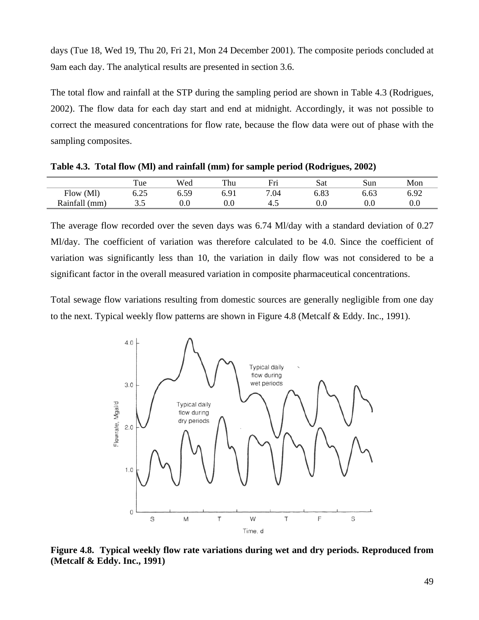days (Tue 18, Wed 19, Thu 20, Fri 21, Mon 24 December 2001). The composite periods concluded at 9am each day. The analytical results are presented in section 3.6.

The total flow and rainfall at the STP during the sampling period are shown in Table 4.3 (Rodrigues, 2002). The flow data for each day start and end at midnight. Accordingly, it was not possible to correct the measured concentrations for flow rate, because the flow data were out of phase with the sampling composites.

|               | ı ue       | Wed     | Thu     | Fri  | Sat              | Sun      | Mon           |
|---------------|------------|---------|---------|------|------------------|----------|---------------|
| (Ml)<br>Flow  | າ<<br>∪.∠J | ∪.ບ∠    | ◡ ・ ・ ・ | 7.04 | $\Omega$<br>0.O. | 6.63     | ട റെ<br>∪. フ∠ |
| Rainfall (mm) | ن. ب       | $0.0\,$ | $0.0\,$ | т.   | v.v              | $_{0.0}$ | v.v           |

**Table 4.3. Total flow (Ml) and rainfall (mm) for sample period (Rodrigues, 2002)** 

The average flow recorded over the seven days was 6.74 Ml/day with a standard deviation of 0.27 Ml/day. The coefficient of variation was therefore calculated to be 4.0. Since the coefficient of variation was significantly less than 10, the variation in daily flow was not considered to be a significant factor in the overall measured variation in composite pharmaceutical concentrations.

Total sewage flow variations resulting from domestic sources are generally negligible from one day to the next. Typical weekly flow patterns are shown in Figure 4.8 (Metcalf & Eddy. Inc., 1991).



**Figure 4.8. Typical weekly flow rate variations during wet and dry periods. Reproduced from (Metcalf & Eddy. Inc., 1991)**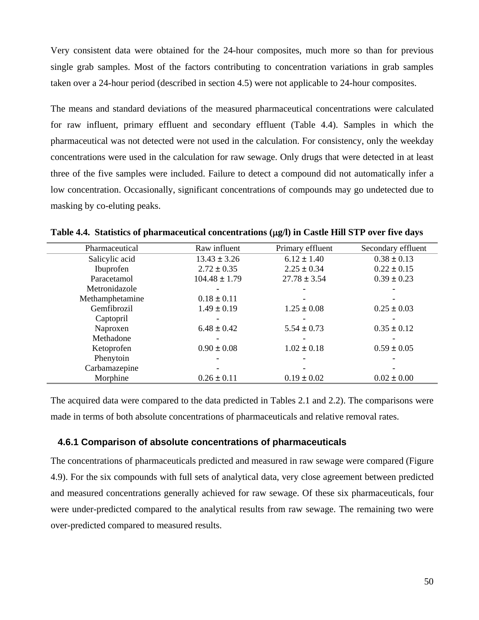Very consistent data were obtained for the 24-hour composites, much more so than for previous single grab samples. Most of the factors contributing to concentration variations in grab samples taken over a 24-hour period (described in section 4.5) were not applicable to 24-hour composites.

The means and standard deviations of the measured pharmaceutical concentrations were calculated for raw influent, primary effluent and secondary effluent (Table 4.4). Samples in which the pharmaceutical was not detected were not used in the calculation. For consistency, only the weekday concentrations were used in the calculation for raw sewage. Only drugs that were detected in at least three of the five samples were included. Failure to detect a compound did not automatically infer a low concentration. Occasionally, significant concentrations of compounds may go undetected due to masking by co-eluting peaks.

| Pharmaceutical  | Raw influent      | Primary effluent | Secondary effluent |
|-----------------|-------------------|------------------|--------------------|
| Salicylic acid  | $13.43 \pm 3.26$  | $6.12 \pm 1.40$  | $0.38 \pm 0.13$    |
| Ibuprofen       | $2.72 \pm 0.35$   | $2.25 \pm 0.34$  | $0.22 \pm 0.15$    |
| Paracetamol     | $104.48 \pm 1.79$ | $27.78 \pm 3.54$ | $0.39 \pm 0.23$    |
| Metronidazole   |                   |                  |                    |
| Methamphetamine | $0.18 \pm 0.11$   |                  |                    |
| Gemfibrozil     | $1.49 \pm 0.19$   | $1.25 \pm 0.08$  | $0.25 \pm 0.03$    |
| Captopril       |                   |                  |                    |
| Naproxen        | $6.48 \pm 0.42$   | $5.54 \pm 0.73$  | $0.35 \pm 0.12$    |
| Methadone       |                   |                  |                    |
| Ketoprofen      | $0.90 \pm 0.08$   | $1.02 \pm 0.18$  | $0.59 \pm 0.05$    |
| Phenytoin       |                   |                  |                    |
| Carbamazepine   |                   |                  |                    |
| Morphine        | $0.26 \pm 0.11$   | $0.19 \pm 0.02$  | $0.02 \pm 0.00$    |

**Table 4.4. Statistics of pharmaceutical concentrations (**µ**g/l) in Castle Hill STP over five days** 

The acquired data were compared to the data predicted in Tables 2.1 and 2.2). The comparisons were made in terms of both absolute concentrations of pharmaceuticals and relative removal rates.

#### **4.6.1 Comparison of absolute concentrations of pharmaceuticals**

The concentrations of pharmaceuticals predicted and measured in raw sewage were compared (Figure 4.9). For the six compounds with full sets of analytical data, very close agreement between predicted and measured concentrations generally achieved for raw sewage. Of these six pharmaceuticals, four were under-predicted compared to the analytical results from raw sewage. The remaining two were over-predicted compared to measured results.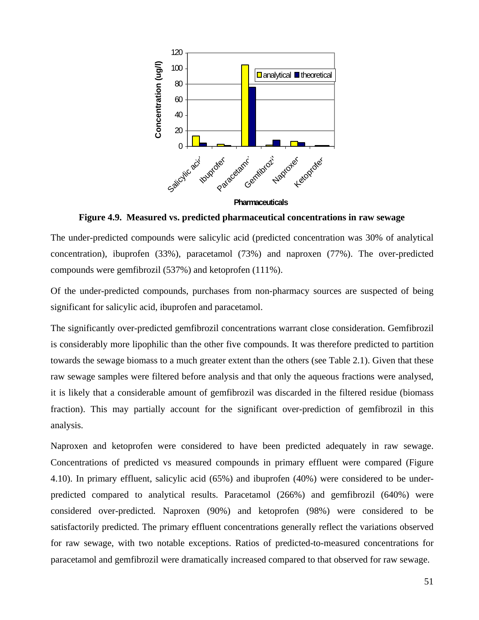

**Figure 4.9. Measured vs. predicted pharmaceutical concentrations in raw sewage** 

The under-predicted compounds were salicylic acid (predicted concentration was 30% of analytical concentration), ibuprofen (33%), paracetamol (73%) and naproxen (77%). The over-predicted compounds were gemfibrozil (537%) and ketoprofen (111%).

Of the under-predicted compounds, purchases from non-pharmacy sources are suspected of being significant for salicylic acid, ibuprofen and paracetamol.

The significantly over-predicted gemfibrozil concentrations warrant close consideration. Gemfibrozil is considerably more lipophilic than the other five compounds. It was therefore predicted to partition towards the sewage biomass to a much greater extent than the others (see Table 2.1). Given that these raw sewage samples were filtered before analysis and that only the aqueous fractions were analysed, it is likely that a considerable amount of gemfibrozil was discarded in the filtered residue (biomass fraction). This may partially account for the significant over-prediction of gemfibrozil in this analysis.

Naproxen and ketoprofen were considered to have been predicted adequately in raw sewage. Concentrations of predicted vs measured compounds in primary effluent were compared (Figure 4.10). In primary effluent, salicylic acid (65%) and ibuprofen (40%) were considered to be underpredicted compared to analytical results. Paracetamol (266%) and gemfibrozil (640%) were considered over-predicted. Naproxen (90%) and ketoprofen (98%) were considered to be satisfactorily predicted. The primary effluent concentrations generally reflect the variations observed for raw sewage, with two notable exceptions. Ratios of predicted-to-measured concentrations for paracetamol and gemfibrozil were dramatically increased compared to that observed for raw sewage.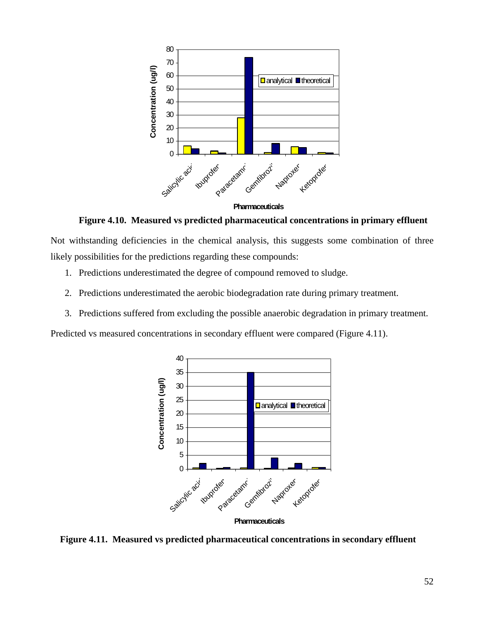

**Figure 4.10. Measured vs predicted pharmaceutical concentrations in primary effluent** 

Not withstanding deficiencies in the chemical analysis, this suggests some combination of three likely possibilities for the predictions regarding these compounds:

- 1. Predictions underestimated the degree of compound removed to sludge.
- 2. Predictions underestimated the aerobic biodegradation rate during primary treatment.
- 3. Predictions suffered from excluding the possible anaerobic degradation in primary treatment.

Predicted vs measured concentrations in secondary effluent were compared (Figure 4.11).



 **Figure 4.11. Measured vs predicted pharmaceutical concentrations in secondary effluent**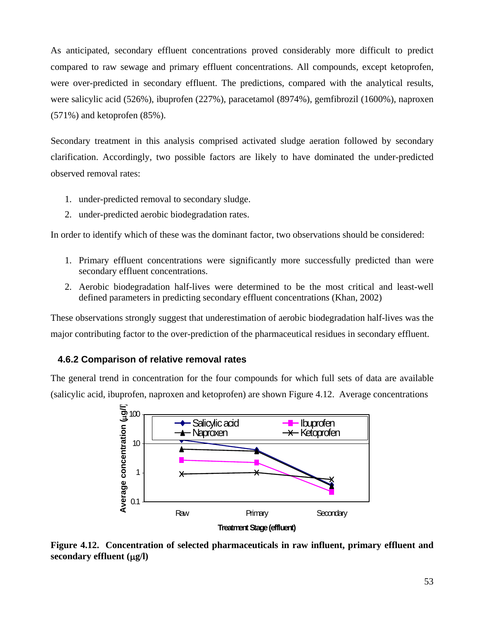As anticipated, secondary effluent concentrations proved considerably more difficult to predict compared to raw sewage and primary effluent concentrations. All compounds, except ketoprofen, were over-predicted in secondary effluent. The predictions, compared with the analytical results, were salicylic acid (526%), ibuprofen (227%), paracetamol (8974%), gemfibrozil (1600%), naproxen (571%) and ketoprofen (85%).

Secondary treatment in this analysis comprised activated sludge aeration followed by secondary clarification. Accordingly, two possible factors are likely to have dominated the under-predicted observed removal rates:

- 1. under-predicted removal to secondary sludge.
- 2. under-predicted aerobic biodegradation rates.

In order to identify which of these was the dominant factor, two observations should be considered:

- 1. Primary effluent concentrations were significantly more successfully predicted than were secondary effluent concentrations.
- 2. Aerobic biodegradation half-lives were determined to be the most critical and least-well defined parameters in predicting secondary effluent concentrations (Khan, 2002)

These observations strongly suggest that underestimation of aerobic biodegradation half-lives was the major contributing factor to the over-prediction of the pharmaceutical residues in secondary effluent.

### **4.6.2 Comparison of relative removal rates**

The general trend in concentration for the four compounds for which full sets of data are available (salicylic acid, ibuprofen, naproxen and ketoprofen) are shown Figure 4.12. Average concentrations



**Treatment Stage (effluent)**

**Figure 4.12. Concentration of selected pharmaceuticals in raw influent, primary effluent and secondary effluent (**µ**g/l)**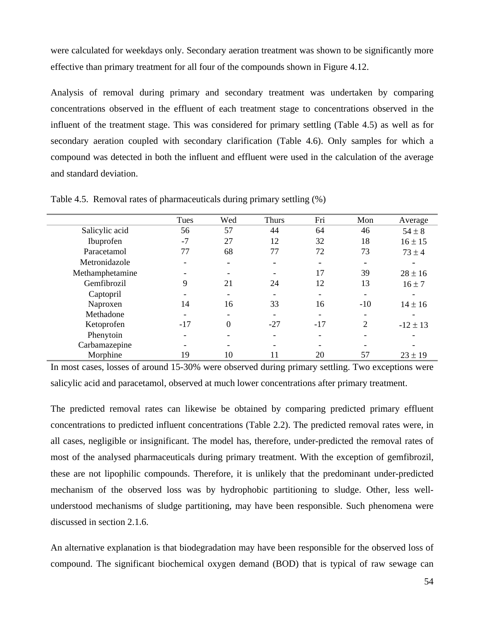were calculated for weekdays only. Secondary aeration treatment was shown to be significantly more effective than primary treatment for all four of the compounds shown in Figure 4.12.

Analysis of removal during primary and secondary treatment was undertaken by comparing concentrations observed in the effluent of each treatment stage to concentrations observed in the influent of the treatment stage. This was considered for primary settling (Table 4.5) as well as for secondary aeration coupled with secondary clarification (Table 4.6). Only samples for which a compound was detected in both the influent and effluent were used in the calculation of the average and standard deviation.

|                 | Tues                     | Wed      | <b>Thurs</b>             | Fri   | Mon            | Average      |
|-----------------|--------------------------|----------|--------------------------|-------|----------------|--------------|
| Salicylic acid  | 56                       | 57       | 44                       | 64    | 46             | $54 \pm 8$   |
| Ibuprofen       | $-7$                     | 27       | 12                       | 32    | 18             | $16 \pm 15$  |
| Paracetamol     | 77                       | 68       | 77                       | 72    | 73             | $73 \pm 4$   |
| Metronidazole   | -                        |          |                          |       |                |              |
| Methamphetamine |                          |          |                          | 17    | 39             | $28 \pm 16$  |
| Gemfibrozil     | 9                        | 21       | 24                       | 12    | 13             | $16 \pm 7$   |
| Captopril       |                          |          |                          |       |                |              |
| Naproxen        | 14                       | 16       | 33                       | 16    | $-10$          | $14 \pm 16$  |
| Methadone       |                          |          |                          |       |                |              |
| Ketoprofen      | $-17$                    | $\theta$ | $-27$                    | $-17$ | $\overline{2}$ | $-12 \pm 13$ |
| Phenytoin       | $\overline{\phantom{0}}$ |          | $\overline{\phantom{0}}$ |       |                |              |
| Carbamazepine   |                          |          |                          |       |                |              |
| Morphine        | 19                       | 10       | 11                       | 20    | 57             | $23 \pm 19$  |

Table 4.5. Removal rates of pharmaceuticals during primary settling (%)

In most cases, losses of around 15-30% were observed during primary settling. Two exceptions were salicylic acid and paracetamol, observed at much lower concentrations after primary treatment.

The predicted removal rates can likewise be obtained by comparing predicted primary effluent concentrations to predicted influent concentrations (Table 2.2). The predicted removal rates were, in all cases, negligible or insignificant. The model has, therefore, under-predicted the removal rates of most of the analysed pharmaceuticals during primary treatment. With the exception of gemfibrozil, these are not lipophilic compounds. Therefore, it is unlikely that the predominant under-predicted mechanism of the observed loss was by hydrophobic partitioning to sludge. Other, less wellunderstood mechanisms of sludge partitioning, may have been responsible. Such phenomena were discussed in section 2.1.6.

An alternative explanation is that biodegradation may have been responsible for the observed loss of compound. The significant biochemical oxygen demand (BOD) that is typical of raw sewage can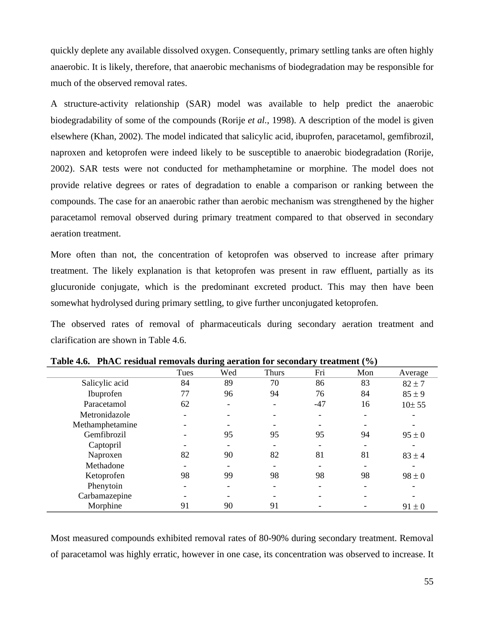quickly deplete any available dissolved oxygen. Consequently, primary settling tanks are often highly anaerobic. It is likely, therefore, that anaerobic mechanisms of biodegradation may be responsible for much of the observed removal rates.

A structure-activity relationship (SAR) model was available to help predict the anaerobic biodegradability of some of the compounds (Rorije *et al.*, 1998). A description of the model is given elsewhere (Khan, 2002). The model indicated that salicylic acid, ibuprofen, paracetamol, gemfibrozil, naproxen and ketoprofen were indeed likely to be susceptible to anaerobic biodegradation (Rorije, 2002). SAR tests were not conducted for methamphetamine or morphine. The model does not provide relative degrees or rates of degradation to enable a comparison or ranking between the compounds. The case for an anaerobic rather than aerobic mechanism was strengthened by the higher paracetamol removal observed during primary treatment compared to that observed in secondary aeration treatment.

More often than not, the concentration of ketoprofen was observed to increase after primary treatment. The likely explanation is that ketoprofen was present in raw effluent, partially as its glucuronide conjugate, which is the predominant excreted product. This may then have been somewhat hydrolysed during primary settling, to give further unconjugated ketoprofen.

The observed rates of removal of pharmaceuticals during secondary aeration treatment and clarification are shown in Table 4.6.

|                 | Tues                     | Wed | <b>Thurs</b> | Fri   | Mon | Average    |
|-----------------|--------------------------|-----|--------------|-------|-----|------------|
| Salicylic acid  | 84                       | 89  | 70           | 86    | 83  | $82 \pm 7$ |
| Ibuprofen       | 77                       | 96  | 94           | 76    | 84  | $85 \pm 9$ |
| Paracetamol     | 62                       |     |              | $-47$ | 16  | 10±55      |
| Metronidazole   | $\overline{\phantom{0}}$ |     |              |       |     |            |
| Methamphetamine |                          |     |              |       |     |            |
| Gemfibrozil     |                          | 95  | 95           | 95    | 94  | $95 \pm 0$ |
| Captopril       |                          |     |              |       |     |            |
| Naproxen        | 82                       | 90  | 82           | 81    | 81  | $83 \pm 4$ |
| Methadone       |                          |     |              |       |     |            |
| Ketoprofen      | 98                       | 99  | 98           | 98    | 98  | $98 \pm 0$ |
| Phenytoin       |                          |     |              |       |     |            |
| Carbamazepine   |                          |     |              |       |     |            |
| Morphine        | 91                       | 90  | 91           |       |     | $91 \pm 0$ |

**Table 4.6. PhAC residual removals during aeration for secondary treatment (%)** 

Most measured compounds exhibited removal rates of 80-90% during secondary treatment. Removal of paracetamol was highly erratic, however in one case, its concentration was observed to increase. It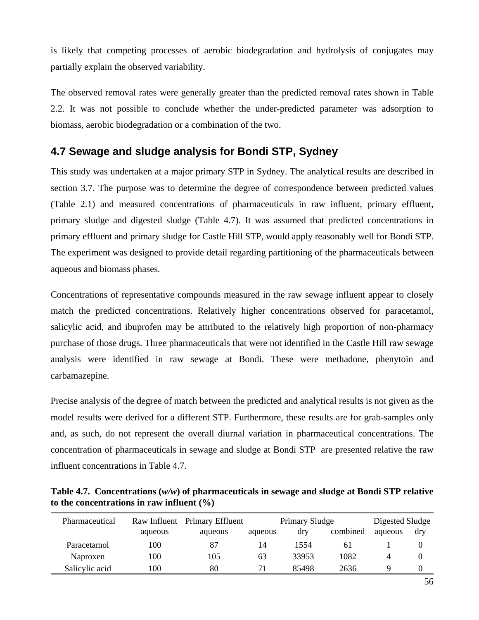is likely that competing processes of aerobic biodegradation and hydrolysis of conjugates may partially explain the observed variability.

The observed removal rates were generally greater than the predicted removal rates shown in Table 2.2. It was not possible to conclude whether the under-predicted parameter was adsorption to biomass, aerobic biodegradation or a combination of the two.

## **4.7 Sewage and sludge analysis for Bondi STP, Sydney**

This study was undertaken at a major primary STP in Sydney. The analytical results are described in section 3.7. The purpose was to determine the degree of correspondence between predicted values (Table 2.1) and measured concentrations of pharmaceuticals in raw influent, primary effluent, primary sludge and digested sludge (Table 4.7). It was assumed that predicted concentrations in primary effluent and primary sludge for Castle Hill STP, would apply reasonably well for Bondi STP. The experiment was designed to provide detail regarding partitioning of the pharmaceuticals between aqueous and biomass phases.

Concentrations of representative compounds measured in the raw sewage influent appear to closely match the predicted concentrations. Relatively higher concentrations observed for paracetamol, salicylic acid, and ibuprofen may be attributed to the relatively high proportion of non-pharmacy purchase of those drugs. Three pharmaceuticals that were not identified in the Castle Hill raw sewage analysis were identified in raw sewage at Bondi. These were methadone, phenytoin and carbamazepine.

Precise analysis of the degree of match between the predicted and analytical results is not given as the model results were derived for a different STP. Furthermore, these results are for grab-samples only and, as such, do not represent the overall diurnal variation in pharmaceutical concentrations. The concentration of pharmaceuticals in sewage and sludge at Bondi STP are presented relative the raw influent concentrations in Table 4.7.

**Table 4.7. Concentrations (***w/w***) of pharmaceuticals in sewage and sludge at Bondi STP relative to the concentrations in raw influent (%)** 

| Pharmaceutical | Raw Influent | Primary Effluent |         | Primary Sludge |          | Digested Sludge |     |
|----------------|--------------|------------------|---------|----------------|----------|-----------------|-----|
|                | aqueous      | aqueous          | aqueous | dry            | combined | aqueous         | dry |
| Paracetamol    | 100          | 87               | 14      | 1554           | 61       |                 |     |
| Naproxen       | 100          | 105              | 63      | 33953          | 1082     |                 |     |
| Salicylic acid | 100          | 80               |         | 85498          | 2636     | Q               |     |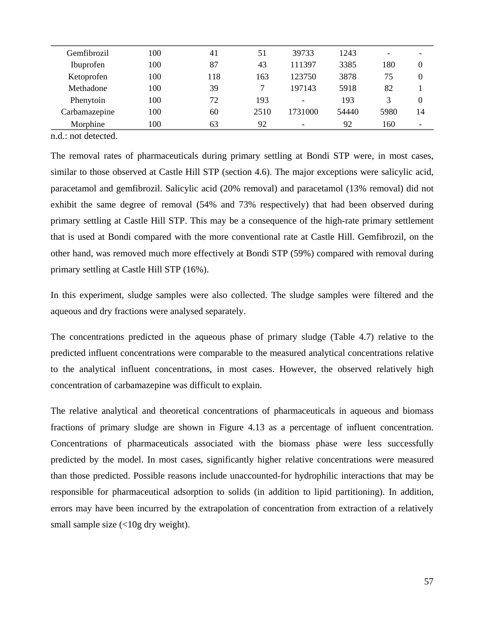| Gemfibrozil   | 100 | 41  | 51   | 39733                        | 1243  | $\overline{\phantom{0}}$ |    |
|---------------|-----|-----|------|------------------------------|-------|--------------------------|----|
| Ibuprofen     | 100 | 87  | 43   | 111397                       | 3385  | 180                      | 0  |
| Ketoprofen    | 100 | 118 | 163  | 123750                       | 3878  | 75                       | 0  |
| Methadone     | 100 | 39  | 7    | 197143                       | 5918  | 82                       |    |
| Phenytoin     | 100 | 72  | 193  | $\qquad \qquad \blacksquare$ | 193   | 3                        | 0  |
| Carbamazepine | 100 | 60  | 2510 | 1731000                      | 54440 | 5980                     | 14 |
| Morphine      | 100 | 63  | 92   | -                            | 92    | 160                      | ٠  |
|               |     |     |      |                              |       |                          |    |

n.d.: not detected.

The removal rates of pharmaceuticals during primary settling at Bondi STP were, in most cases, similar to those observed at Castle Hill STP (section 4.6). The major exceptions were salicylic acid, paracetamol and gemfibrozil. Salicylic acid (20% removal) and paracetamol (13% removal) did not exhibit the same degree of removal (54% and 73% respectively) that had been observed during primary settling at Castle Hill STP. This may be a consequence of the high-rate primary settlement that is used at Bondi compared with the more conventional rate at Castle Hill. Gemfibrozil, on the other hand, was removed much more effectively at Bondi STP (59%) compared with removal during primary settling at Castle Hill STP (16%).

In this experiment, sludge samples were also collected. The sludge samples were filtered and the aqueous and dry fractions were analysed separately.

The concentrations predicted in the aqueous phase of primary sludge (Table 4.7) relative to the predicted influent concentrations were comparable to the measured analytical concentrations relative to the analytical influent concentrations, in most cases. However, the observed relatively high concentration of carbamazepine was difficult to explain.

The relative analytical and theoretical concentrations of pharmaceuticals in aqueous and biomass fractions of primary sludge are shown in Figure 4.13 as a percentage of influent concentration. Concentrations of pharmaceuticals associated with the biomass phase were less successfully predicted by the model. In most cases, significantly higher relative concentrations were measured than those predicted. Possible reasons include unaccounted-for hydrophilic interactions that may be responsible for pharmaceutical adsorption to solids (in addition to lipid partitioning). In addition, errors may have been incurred by the extrapolation of concentration from extraction of a relatively small sample size  $\left($ <10g dry weight).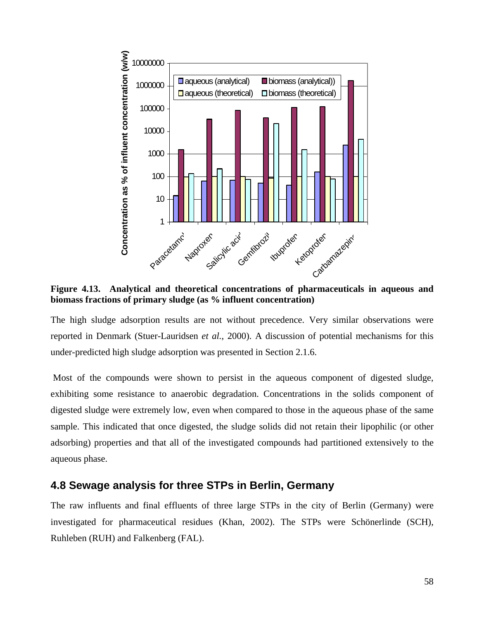

**Figure 4.13. Analytical and theoretical concentrations of pharmaceuticals in aqueous and biomass fractions of primary sludge (as % influent concentration)** 

The high sludge adsorption results are not without precedence. Very similar observations were reported in Denmark (Stuer-Lauridsen *et al.*, 2000). A discussion of potential mechanisms for this under-predicted high sludge adsorption was presented in Section 2.1.6.

 Most of the compounds were shown to persist in the aqueous component of digested sludge, exhibiting some resistance to anaerobic degradation. Concentrations in the solids component of digested sludge were extremely low, even when compared to those in the aqueous phase of the same sample. This indicated that once digested, the sludge solids did not retain their lipophilic (or other adsorbing) properties and that all of the investigated compounds had partitioned extensively to the aqueous phase.

### **4.8 Sewage analysis for three STPs in Berlin, Germany**

The raw influents and final effluents of three large STPs in the city of Berlin (Germany) were investigated for pharmaceutical residues (Khan, 2002). The STPs were Schönerlinde (SCH), Ruhleben (RUH) and Falkenberg (FAL).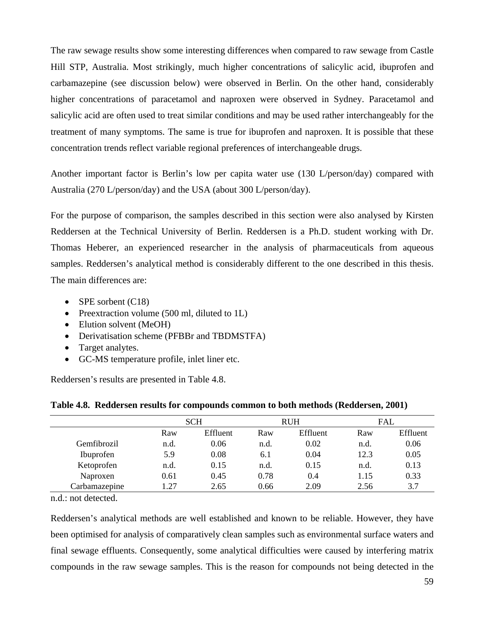The raw sewage results show some interesting differences when compared to raw sewage from Castle Hill STP, Australia. Most strikingly, much higher concentrations of salicylic acid, ibuprofen and carbamazepine (see discussion below) were observed in Berlin. On the other hand, considerably higher concentrations of paracetamol and naproxen were observed in Sydney. Paracetamol and salicylic acid are often used to treat similar conditions and may be used rather interchangeably for the treatment of many symptoms. The same is true for ibuprofen and naproxen. It is possible that these concentration trends reflect variable regional preferences of interchangeable drugs.

Another important factor is Berlin's low per capita water use (130 L/person/day) compared with Australia (270 L/person/day) and the USA (about 300 L/person/day).

For the purpose of comparison, the samples described in this section were also analysed by Kirsten Reddersen at the Technical University of Berlin. Reddersen is a Ph.D. student working with Dr. Thomas Heberer, an experienced researcher in the analysis of pharmaceuticals from aqueous samples. Reddersen's analytical method is considerably different to the one described in this thesis. The main differences are:

- SPE sorbent (C18)
- Preextraction volume (500 ml, diluted to 1L)
- Elution solvent (MeOH)
- Derivatisation scheme (PFBBr and TBDMSTFA)
- Target analytes.
- GC-MS temperature profile, inlet liner etc.

Reddersen's results are presented in Table 4.8.

|               |      | <b>SCH</b> |      | <b>RUH</b> | <b>FAL</b> |          |
|---------------|------|------------|------|------------|------------|----------|
|               | Raw  | Effluent   | Raw  | Effluent   | Raw        | Effluent |
| Gemfibrozil   | n.d. | 0.06       | n.d. | 0.02       | n.d.       | 0.06     |
| Ibuprofen     | 5.9  | 0.08       | 6.1  | 0.04       | 12.3       | 0.05     |
| Ketoprofen    | n.d. | 0.15       | n.d. | 0.15       | n.d.       | 0.13     |
| Naproxen      | 0.61 | 0.45       | 0.78 | 0.4        | 1.15       | 0.33     |
| Carbamazepine | 1 27 | 2.65       | 0.66 | 2.09       | 2.56       | 3.7      |

**Table 4.8. Reddersen results for compounds common to both methods (Reddersen, 2001)** 

n.d.: not detected.

Reddersen's analytical methods are well established and known to be reliable. However, they have been optimised for analysis of comparatively clean samples such as environmental surface waters and final sewage effluents. Consequently, some analytical difficulties were caused by interfering matrix compounds in the raw sewage samples. This is the reason for compounds not being detected in the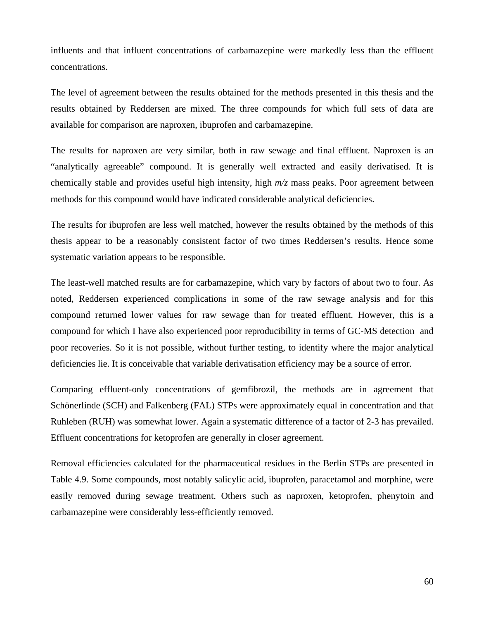influents and that influent concentrations of carbamazepine were markedly less than the effluent concentrations.

The level of agreement between the results obtained for the methods presented in this thesis and the results obtained by Reddersen are mixed. The three compounds for which full sets of data are available for comparison are naproxen, ibuprofen and carbamazepine.

The results for naproxen are very similar, both in raw sewage and final effluent. Naproxen is an "analytically agreeable" compound. It is generally well extracted and easily derivatised. It is chemically stable and provides useful high intensity, high *m/z* mass peaks. Poor agreement between methods for this compound would have indicated considerable analytical deficiencies.

The results for ibuprofen are less well matched, however the results obtained by the methods of this thesis appear to be a reasonably consistent factor of two times Reddersen's results. Hence some systematic variation appears to be responsible.

The least-well matched results are for carbamazepine, which vary by factors of about two to four. As noted, Reddersen experienced complications in some of the raw sewage analysis and for this compound returned lower values for raw sewage than for treated effluent. However, this is a compound for which I have also experienced poor reproducibility in terms of GC-MS detection and poor recoveries. So it is not possible, without further testing, to identify where the major analytical deficiencies lie. It is conceivable that variable derivatisation efficiency may be a source of error.

Comparing effluent-only concentrations of gemfibrozil, the methods are in agreement that Schönerlinde (SCH) and Falkenberg (FAL) STPs were approximately equal in concentration and that Ruhleben (RUH) was somewhat lower. Again a systematic difference of a factor of 2-3 has prevailed. Effluent concentrations for ketoprofen are generally in closer agreement.

Removal efficiencies calculated for the pharmaceutical residues in the Berlin STPs are presented in Table 4.9. Some compounds, most notably salicylic acid, ibuprofen, paracetamol and morphine, were easily removed during sewage treatment. Others such as naproxen, ketoprofen, phenytoin and carbamazepine were considerably less-efficiently removed.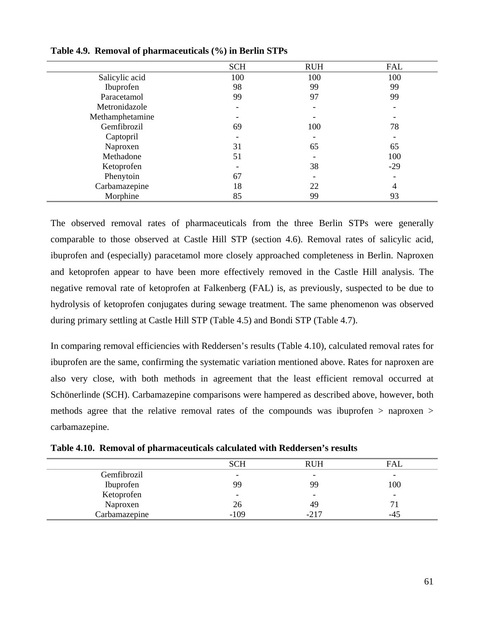|                 | <b>SCH</b> | <b>RUH</b> | <b>FAL</b> |
|-----------------|------------|------------|------------|
| Salicylic acid  | 100        | 100        | 100        |
| Ibuprofen       | 98         | 99         | 99         |
| Paracetamol     | 99         | 97         | 99         |
| Metronidazole   |            |            |            |
| Methamphetamine |            |            |            |
| Gemfibrozil     | 69         | 100        | 78         |
| Captopril       |            |            |            |
| Naproxen        | 31         | 65         | 65         |
| Methadone       | 51         |            | 100        |
| Ketoprofen      |            | 38         | $-29$      |
| Phenytoin       | 67         |            |            |
| Carbamazepine   | 18         | 22         |            |
| Morphine        | 85         | 99         | 93         |

#### **Table 4.9. Removal of pharmaceuticals (%) in Berlin STPs**

The observed removal rates of pharmaceuticals from the three Berlin STPs were generally comparable to those observed at Castle Hill STP (section 4.6). Removal rates of salicylic acid, ibuprofen and (especially) paracetamol more closely approached completeness in Berlin. Naproxen and ketoprofen appear to have been more effectively removed in the Castle Hill analysis. The negative removal rate of ketoprofen at Falkenberg (FAL) is, as previously, suspected to be due to hydrolysis of ketoprofen conjugates during sewage treatment. The same phenomenon was observed during primary settling at Castle Hill STP (Table 4.5) and Bondi STP (Table 4.7).

In comparing removal efficiencies with Reddersen's results (Table 4.10), calculated removal rates for ibuprofen are the same, confirming the systematic variation mentioned above. Rates for naproxen are also very close, with both methods in agreement that the least efficient removal occurred at Schönerlinde (SCH). Carbamazepine comparisons were hampered as described above, however, both methods agree that the relative removal rates of the compounds was ibuprofen > naproxen > carbamazepine.

|               | <b>SCH</b>               | <b>RUH</b>               | FAL |
|---------------|--------------------------|--------------------------|-----|
| Gemfibrozil   | $\overline{\phantom{0}}$ | $\overline{\phantom{0}}$ | -   |
| Ibuprofen     | 99                       | 99                       | 100 |
| Ketoprofen    | $\overline{\phantom{0}}$ | $\overline{\phantom{0}}$ | -   |
| Naproxen      | 26                       | 49                       |     |
| Carbamazepine | $-109$                   | $-217$                   | -4' |

**Table 4.10. Removal of pharmaceuticals calculated with Reddersen's results**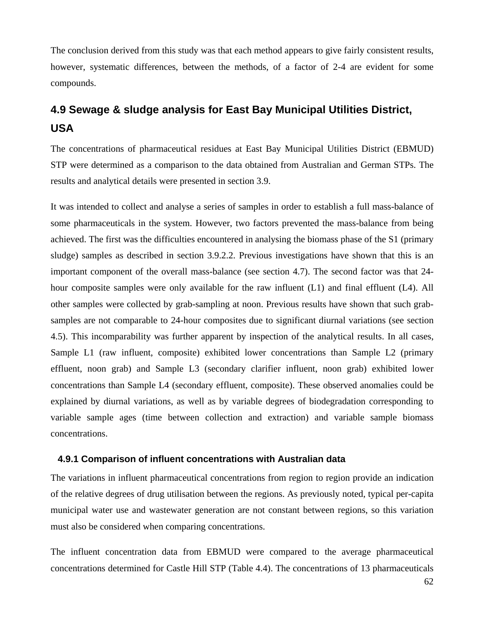The conclusion derived from this study was that each method appears to give fairly consistent results, however, systematic differences, between the methods, of a factor of 2-4 are evident for some compounds.

# **4.9 Sewage & sludge analysis for East Bay Municipal Utilities District, USA**

The concentrations of pharmaceutical residues at East Bay Municipal Utilities District (EBMUD) STP were determined as a comparison to the data obtained from Australian and German STPs. The results and analytical details were presented in section 3.9.

It was intended to collect and analyse a series of samples in order to establish a full mass-balance of some pharmaceuticals in the system. However, two factors prevented the mass-balance from being achieved. The first was the difficulties encountered in analysing the biomass phase of the S1 (primary sludge) samples as described in section 3.9.2.2. Previous investigations have shown that this is an important component of the overall mass-balance (see section 4.7). The second factor was that 24 hour composite samples were only available for the raw influent (L1) and final effluent (L4). All other samples were collected by grab-sampling at noon. Previous results have shown that such grabsamples are not comparable to 24-hour composites due to significant diurnal variations (see section 4.5). This incomparability was further apparent by inspection of the analytical results. In all cases, Sample L1 (raw influent, composite) exhibited lower concentrations than Sample L2 (primary effluent, noon grab) and Sample L3 (secondary clarifier influent, noon grab) exhibited lower concentrations than Sample L4 (secondary effluent, composite). These observed anomalies could be explained by diurnal variations, as well as by variable degrees of biodegradation corresponding to variable sample ages (time between collection and extraction) and variable sample biomass concentrations.

#### **4.9.1 Comparison of influent concentrations with Australian data**

The variations in influent pharmaceutical concentrations from region to region provide an indication of the relative degrees of drug utilisation between the regions. As previously noted, typical per-capita municipal water use and wastewater generation are not constant between regions, so this variation must also be considered when comparing concentrations.

The influent concentration data from EBMUD were compared to the average pharmaceutical concentrations determined for Castle Hill STP (Table 4.4). The concentrations of 13 pharmaceuticals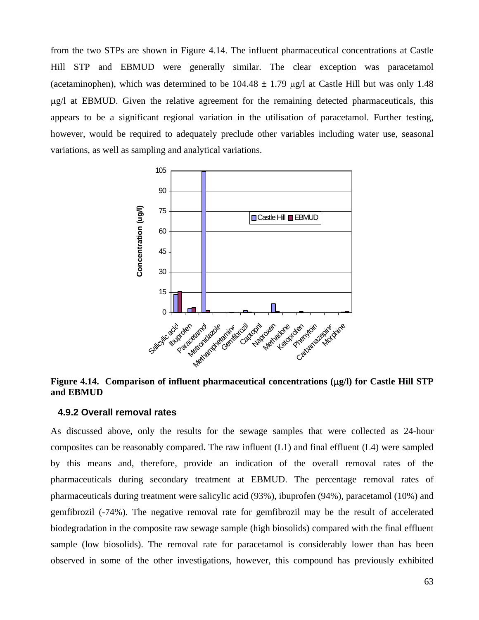from the two STPs are shown in Figure 4.14. The influent pharmaceutical concentrations at Castle Hill STP and EBMUD were generally similar. The clear exception was paracetamol (acetaminophen), which was determined to be  $104.48 \pm 1.79$  µg/l at Castle Hill but was only 1.48 µg/l at EBMUD. Given the relative agreement for the remaining detected pharmaceuticals, this appears to be a significant regional variation in the utilisation of paracetamol. Further testing, however, would be required to adequately preclude other variables including water use, seasonal variations, as well as sampling and analytical variations.



**Figure 4.14. Comparison of influent pharmaceutical concentrations (** $\mu$ **<b>g/l)** for Castle Hill STP **and EBMUD** 

#### **4.9.2 Overall removal rates**

As discussed above, only the results for the sewage samples that were collected as 24-hour composites can be reasonably compared. The raw influent (L1) and final effluent (L4) were sampled by this means and, therefore, provide an indication of the overall removal rates of the pharmaceuticals during secondary treatment at EBMUD. The percentage removal rates of pharmaceuticals during treatment were salicylic acid (93%), ibuprofen (94%), paracetamol (10%) and gemfibrozil (-74%). The negative removal rate for gemfibrozil may be the result of accelerated biodegradation in the composite raw sewage sample (high biosolids) compared with the final effluent sample (low biosolids). The removal rate for paracetamol is considerably lower than has been observed in some of the other investigations, however, this compound has previously exhibited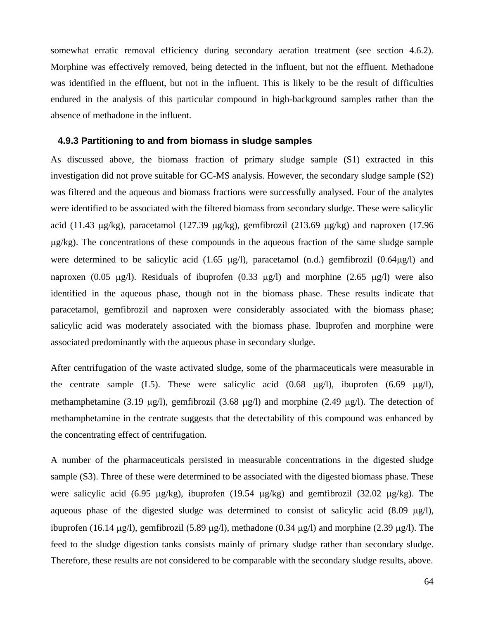somewhat erratic removal efficiency during secondary aeration treatment (see section 4.6.2). Morphine was effectively removed, being detected in the influent, but not the effluent. Methadone was identified in the effluent, but not in the influent. This is likely to be the result of difficulties endured in the analysis of this particular compound in high-background samples rather than the absence of methadone in the influent.

#### **4.9.3 Partitioning to and from biomass in sludge samples**

As discussed above, the biomass fraction of primary sludge sample (S1) extracted in this investigation did not prove suitable for GC-MS analysis. However, the secondary sludge sample (S2) was filtered and the aqueous and biomass fractions were successfully analysed. Four of the analytes were identified to be associated with the filtered biomass from secondary sludge. These were salicylic acid (11.43 µg/kg), paracetamol (127.39 µg/kg), gemfibrozil (213.69 µg/kg) and naproxen (17.96 µg/kg). The concentrations of these compounds in the aqueous fraction of the same sludge sample were determined to be salicylic acid  $(1.65 \mu g/l)$ , paracetamol  $(n.d.)$  gemfibrozil  $(0.64\mu g/l)$  and naproxen (0.05  $\mu$ g/l). Residuals of ibuprofen (0.33  $\mu$ g/l) and morphine (2.65  $\mu$ g/l) were also identified in the aqueous phase, though not in the biomass phase. These results indicate that paracetamol, gemfibrozil and naproxen were considerably associated with the biomass phase; salicylic acid was moderately associated with the biomass phase. Ibuprofen and morphine were associated predominantly with the aqueous phase in secondary sludge.

After centrifugation of the waste activated sludge, some of the pharmaceuticals were measurable in the centrate sample (L5). These were salicylic acid (0.68  $\mu$ g/l), ibuprofen (6.69  $\mu$ g/l), methamphetamine (3.19  $\mu$ g/l), gemfibrozil (3.68  $\mu$ g/l) and morphine (2.49  $\mu$ g/l). The detection of methamphetamine in the centrate suggests that the detectability of this compound was enhanced by the concentrating effect of centrifugation.

A number of the pharmaceuticals persisted in measurable concentrations in the digested sludge sample (S3). Three of these were determined to be associated with the digested biomass phase. These were salicylic acid (6.95 µg/kg), ibuprofen (19.54 µg/kg) and gemfibrozil (32.02 µg/kg). The aqueous phase of the digested sludge was determined to consist of salicylic acid  $(8.09 \text{ µg/l})$ , ibuprofen (16.14  $\mu$ g/l), gemfibrozil (5.89  $\mu$ g/l), methadone (0.34  $\mu$ g/l) and morphine (2.39  $\mu$ g/l). The feed to the sludge digestion tanks consists mainly of primary sludge rather than secondary sludge. Therefore, these results are not considered to be comparable with the secondary sludge results, above.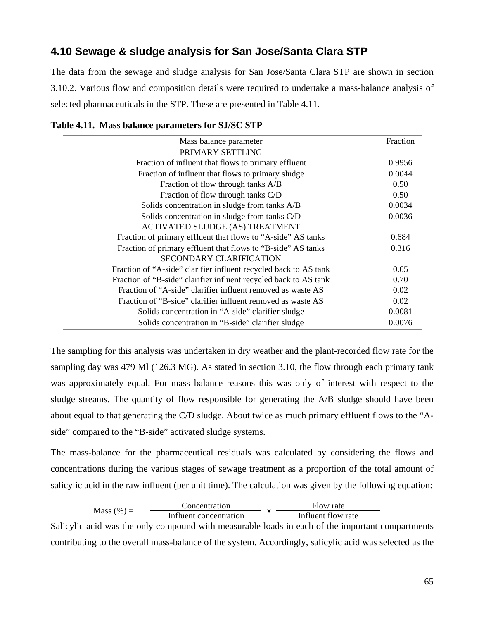## **4.10 Sewage & sludge analysis for San Jose/Santa Clara STP**

The data from the sewage and sludge analysis for San Jose/Santa Clara STP are shown in section 3.10.2. Various flow and composition details were required to undertake a mass-balance analysis of selected pharmaceuticals in the STP. These are presented in Table 4.11.

| Mass balance parameter                                           | Fraction |
|------------------------------------------------------------------|----------|
| PRIMARY SETTLING                                                 |          |
| Fraction of influent that flows to primary effluent              | 0.9956   |
| Fraction of influent that flows to primary sludge                | 0.0044   |
| Fraction of flow through tanks A/B                               | 0.50     |
| Fraction of flow through tanks C/D                               | 0.50     |
| Solids concentration in sludge from tanks A/B                    | 0.0034   |
| Solids concentration in sludge from tanks C/D                    | 0.0036   |
| <b>ACTIVATED SLUDGE (AS) TREATMENT</b>                           |          |
| Fraction of primary effluent that flows to "A-side" AS tanks     | 0.684    |
| Fraction of primary effluent that flows to "B-side" AS tanks     | 0.316    |
| <b>SECONDARY CLARIFICATION</b>                                   |          |
| Fraction of "A-side" clarifier influent recycled back to AS tank | 0.65     |
| Fraction of "B-side" clarifier influent recycled back to AS tank | 0.70     |
| Fraction of "A-side" clarifier influent removed as waste AS      | 0.02     |
| Fraction of "B-side" clarifier influent removed as waste AS      | 0.02     |
| Solids concentration in "A-side" clarifier sludge                | 0.0081   |
| Solids concentration in "B-side" clarifier sludge                | 0.0076   |

The sampling for this analysis was undertaken in dry weather and the plant-recorded flow rate for the sampling day was 479 Ml (126.3 MG). As stated in section 3.10, the flow through each primary tank was approximately equal. For mass balance reasons this was only of interest with respect to the sludge streams. The quantity of flow responsible for generating the A/B sludge should have been about equal to that generating the C/D sludge. About twice as much primary effluent flows to the "Aside" compared to the "B-side" activated sludge systems.

The mass-balance for the pharmaceutical residuals was calculated by considering the flows and concentrations during the various stages of sewage treatment as a proportion of the total amount of salicylic acid in the raw influent (per unit time). The calculation was given by the following equation:

|               | Concentration          | Flow rate          |
|---------------|------------------------|--------------------|
| Mass $(\%) =$ | Influent concentration | Influent flow rate |

Salicylic acid was the only compound with measurable loads in each of the important compartments contributing to the overall mass-balance of the system. Accordingly, salicylic acid was selected as the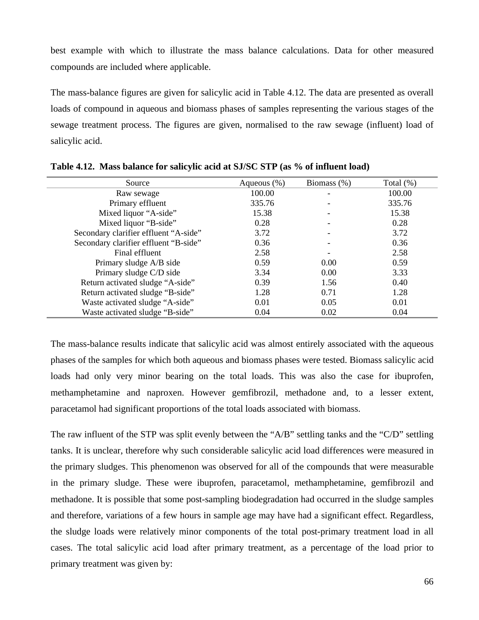best example with which to illustrate the mass balance calculations. Data for other measured compounds are included where applicable.

The mass-balance figures are given for salicylic acid in Table 4.12. The data are presented as overall loads of compound in aqueous and biomass phases of samples representing the various stages of the sewage treatment process. The figures are given, normalised to the raw sewage (influent) load of salicylic acid.

| Source                                | Aqueous $(\%)$ | Biomass $(\%)$ | Total $(\%)$ |
|---------------------------------------|----------------|----------------|--------------|
| Raw sewage                            | 100.00         |                | 100.00       |
| Primary effluent                      | 335.76         |                | 335.76       |
| Mixed liquor "A-side"                 | 15.38          |                | 15.38        |
| Mixed liquor "B-side"                 | 0.28           |                | 0.28         |
| Secondary clarifier effluent "A-side" | 3.72           |                | 3.72         |
| Secondary clarifier effluent "B-side" | 0.36           |                | 0.36         |
| Final effluent                        | 2.58           |                | 2.58         |
| Primary sludge A/B side               | 0.59           | 0.00           | 0.59         |
| Primary sludge C/D side               | 3.34           | 0.00           | 3.33         |
| Return activated sludge "A-side"      | 0.39           | 1.56           | 0.40         |
| Return activated sludge "B-side"      | 1.28           | 0.71           | 1.28         |
| Waste activated sludge "A-side"       | 0.01           | 0.05           | 0.01         |
| Waste activated sludge "B-side"       | 0.04           | 0.02           | 0.04         |

**Table 4.12. Mass balance for salicylic acid at SJ/SC STP (as % of influent load)** 

The mass-balance results indicate that salicylic acid was almost entirely associated with the aqueous phases of the samples for which both aqueous and biomass phases were tested. Biomass salicylic acid loads had only very minor bearing on the total loads. This was also the case for ibuprofen, methamphetamine and naproxen. However gemfibrozil, methadone and, to a lesser extent, paracetamol had significant proportions of the total loads associated with biomass.

The raw influent of the STP was split evenly between the "A/B" settling tanks and the "C/D" settling tanks. It is unclear, therefore why such considerable salicylic acid load differences were measured in the primary sludges. This phenomenon was observed for all of the compounds that were measurable in the primary sludge. These were ibuprofen, paracetamol, methamphetamine, gemfibrozil and methadone. It is possible that some post-sampling biodegradation had occurred in the sludge samples and therefore, variations of a few hours in sample age may have had a significant effect. Regardless, the sludge loads were relatively minor components of the total post-primary treatment load in all cases. The total salicylic acid load after primary treatment, as a percentage of the load prior to primary treatment was given by: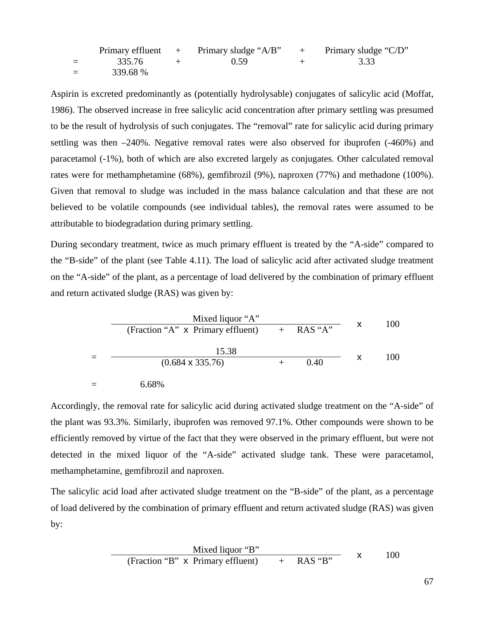|          | Primary effluent $+$ Primary sludge "A/B" | $+$ Primary sludge "C/D" |
|----------|-------------------------------------------|--------------------------|
| 335.76   | 0.59                                      | 3.33                     |
| 339.68 % |                                           |                          |

Aspirin is excreted predominantly as (potentially hydrolysable) conjugates of salicylic acid (Moffat, 1986). The observed increase in free salicylic acid concentration after primary settling was presumed to be the result of hydrolysis of such conjugates. The "removal" rate for salicylic acid during primary settling was then –240%. Negative removal rates were also observed for ibuprofen (-460%) and paracetamol (-1%), both of which are also excreted largely as conjugates. Other calculated removal rates were for methamphetamine (68%), gemfibrozil (9%), naproxen (77%) and methadone (100%). Given that removal to sludge was included in the mass balance calculation and that these are not believed to be volatile compounds (see individual tables), the removal rates were assumed to be attributable to biodegradation during primary settling.

During secondary treatment, twice as much primary effluent is treated by the "A-side" compared to the "B-side" of the plant (see Table 4.11). The load of salicylic acid after activated sludge treatment on the "A-side" of the plant, as a percentage of load delivered by the combination of primary effluent and return activated sludge (RAS) was given by:

$$
\frac{\text{Mixed liquor "A"}}{\text{(Fraction "A" x Primary effluent)}} + \text{RAS "A"} \qquad \text{X} \qquad 100
$$
\n
$$
= \frac{15.38}{(0.684 \times 335.76)} + 0.40 \qquad \text{X} \qquad 100
$$
\n
$$
= 6.68\%
$$

Accordingly, the removal rate for salicylic acid during activated sludge treatment on the "A-side" of the plant was 93.3%. Similarly, ibuprofen was removed 97.1%. Other compounds were shown to be efficiently removed by virtue of the fact that they were observed in the primary effluent, but were not detected in the mixed liquor of the "A-side" activated sludge tank. These were paracetamol, methamphetamine, gemfibrozil and naproxen.

The salicylic acid load after activated sludge treatment on the "B-side" of the plant, as a percentage of load delivered by the combination of primary effluent and return activated sludge (RAS) was given by:

Mixed liquor "B" (Fraction "B" x Primary effluent) + RAS "B" x <sup>100</sup>

67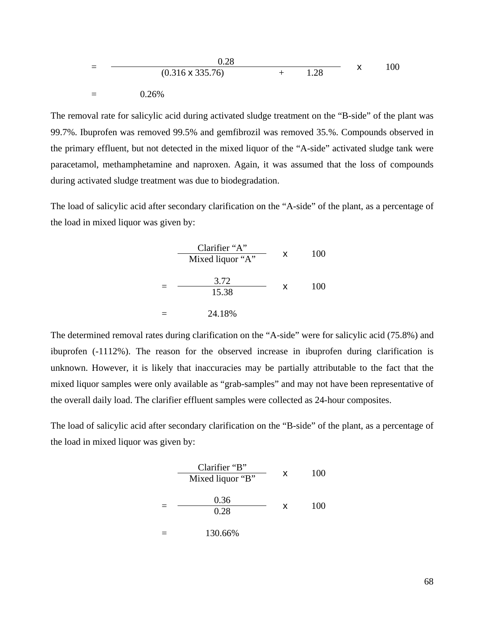$$
= \frac{0.28}{(0.316 \times 335.76)} + 1.28 \times 100
$$
  
= 0.26%

The removal rate for salicylic acid during activated sludge treatment on the "B-side" of the plant was 99.7%. Ibuprofen was removed 99.5% and gemfibrozil was removed 35.%. Compounds observed in the primary effluent, but not detected in the mixed liquor of the "A-side" activated sludge tank were paracetamol, methamphetamine and naproxen. Again, it was assumed that the loss of compounds during activated sludge treatment was due to biodegradation.

The load of salicylic acid after secondary clarification on the "A-side" of the plant, as a percentage of the load in mixed liquor was given by:

| Clarifier "A" | x                    | 100 |     |
|---------------|----------------------|-----|-----|
| =             | $\frac{3.72}{15.38}$ | x   | 100 |
| =             | $24.18\%$            | x   | 100 |

The determined removal rates during clarification on the "A-side" were for salicylic acid (75.8%) and ibuprofen (-1112%). The reason for the observed increase in ibuprofen during clarification is unknown. However, it is likely that inaccuracies may be partially attributable to the fact that the mixed liquor samples were only available as "grab-samples" and may not have been representative of the overall daily load. The clarifier effluent samples were collected as 24-hour composites.

The load of salicylic acid after secondary clarification on the "B-side" of the plant, as a percentage of the load in mixed liquor was given by:

| Clarifier "B" | x                   | 100 |     |
|---------------|---------------------|-----|-----|
| =             | $\frac{0.36}{0.28}$ | x   | 100 |
| =             | $\frac{0.36}{0.28}$ | x   | 100 |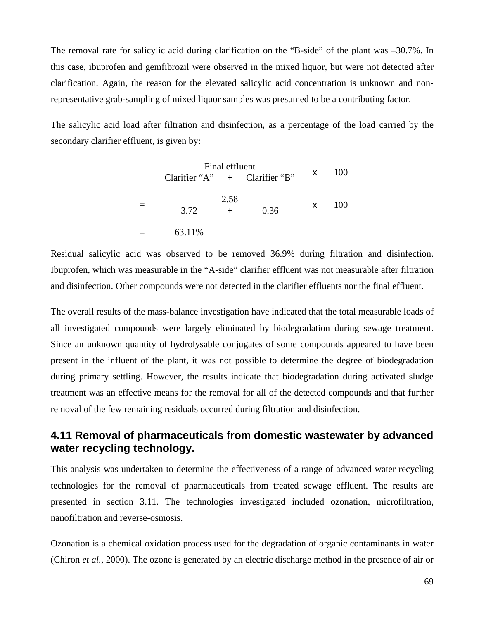The removal rate for salicylic acid during clarification on the "B-side" of the plant was –30.7%. In this case, ibuprofen and gemfibrozil were observed in the mixed liquor, but were not detected after clarification. Again, the reason for the elevated salicylic acid concentration is unknown and nonrepresentative grab-sampling of mixed liquor samples was presumed to be a contributing factor.

The salicylic acid load after filtration and disinfection, as a percentage of the load carried by the secondary clarifier effluent, is given by:

| Final effluent                  |      |      |    |     |
|---------------------------------|------|------|----|-----|
| Clarifier "A" $+$ Clarifier "B" |      |      | X  | 100 |
|                                 | 2.58 |      |    | 100 |
| 3.72                            |      | 0.36 | X. |     |
| 63.11%                          |      |      |    |     |

Residual salicylic acid was observed to be removed 36.9% during filtration and disinfection. Ibuprofen, which was measurable in the "A-side" clarifier effluent was not measurable after filtration and disinfection. Other compounds were not detected in the clarifier effluents nor the final effluent.

The overall results of the mass-balance investigation have indicated that the total measurable loads of all investigated compounds were largely eliminated by biodegradation during sewage treatment. Since an unknown quantity of hydrolysable conjugates of some compounds appeared to have been present in the influent of the plant, it was not possible to determine the degree of biodegradation during primary settling. However, the results indicate that biodegradation during activated sludge treatment was an effective means for the removal for all of the detected compounds and that further removal of the few remaining residuals occurred during filtration and disinfection.

## **4.11 Removal of pharmaceuticals from domestic wastewater by advanced water recycling technology.**

This analysis was undertaken to determine the effectiveness of a range of advanced water recycling technologies for the removal of pharmaceuticals from treated sewage effluent. The results are presented in section 3.11. The technologies investigated included ozonation, microfiltration, nanofiltration and reverse-osmosis.

Ozonation is a chemical oxidation process used for the degradation of organic contaminants in water (Chiron *et al.*, 2000). The ozone is generated by an electric discharge method in the presence of air or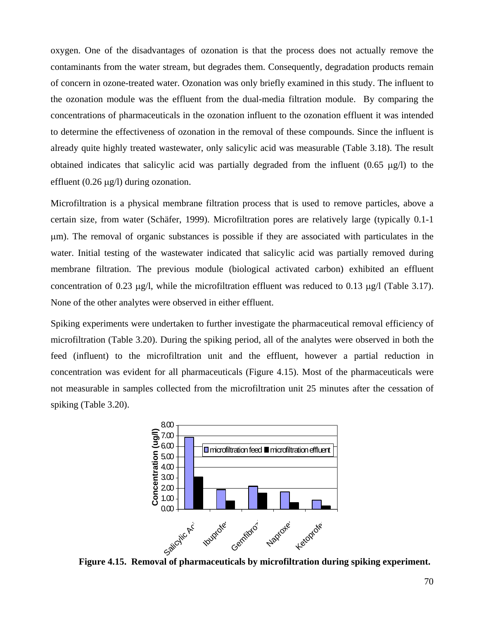oxygen. One of the disadvantages of ozonation is that the process does not actually remove the contaminants from the water stream, but degrades them. Consequently, degradation products remain of concern in ozone-treated water. Ozonation was only briefly examined in this study. The influent to the ozonation module was the effluent from the dual-media filtration module. By comparing the concentrations of pharmaceuticals in the ozonation influent to the ozonation effluent it was intended to determine the effectiveness of ozonation in the removal of these compounds. Since the influent is already quite highly treated wastewater, only salicylic acid was measurable (Table 3.18). The result obtained indicates that salicylic acid was partially degraded from the influent  $(0.65 \mu g/l)$  to the effluent  $(0.26 \mu g/l)$  during ozonation.

Microfiltration is a physical membrane filtration process that is used to remove particles, above a certain size, from water (Schäfer, 1999). Microfiltration pores are relatively large (typically 0.1-1 µm). The removal of organic substances is possible if they are associated with particulates in the water. Initial testing of the wastewater indicated that salicylic acid was partially removed during membrane filtration. The previous module (biological activated carbon) exhibited an effluent concentration of 0.23 µg/l, while the microfiltration effluent was reduced to 0.13 µg/l (Table 3.17). None of the other analytes were observed in either effluent.

Spiking experiments were undertaken to further investigate the pharmaceutical removal efficiency of microfiltration (Table 3.20). During the spiking period, all of the analytes were observed in both the feed (influent) to the microfiltration unit and the effluent, however a partial reduction in concentration was evident for all pharmaceuticals (Figure 4.15). Most of the pharmaceuticals were not measurable in samples collected from the microfiltration unit 25 minutes after the cessation of spiking (Table 3.20).



**Figure 4.15. Removal of pharmaceuticals by microfiltration during spiking experiment.**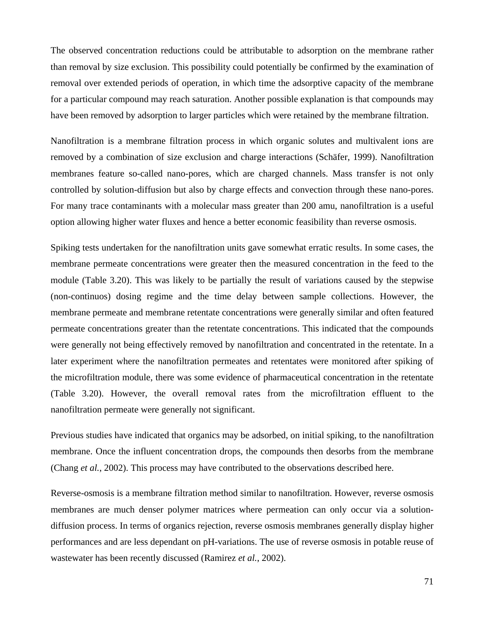The observed concentration reductions could be attributable to adsorption on the membrane rather than removal by size exclusion. This possibility could potentially be confirmed by the examination of removal over extended periods of operation, in which time the adsorptive capacity of the membrane for a particular compound may reach saturation. Another possible explanation is that compounds may have been removed by adsorption to larger particles which were retained by the membrane filtration.

Nanofiltration is a membrane filtration process in which organic solutes and multivalent ions are removed by a combination of size exclusion and charge interactions (Schäfer, 1999). Nanofiltration membranes feature so-called nano-pores, which are charged channels. Mass transfer is not only controlled by solution-diffusion but also by charge effects and convection through these nano-pores. For many trace contaminants with a molecular mass greater than 200 amu, nanofiltration is a useful option allowing higher water fluxes and hence a better economic feasibility than reverse osmosis.

Spiking tests undertaken for the nanofiltration units gave somewhat erratic results. In some cases, the membrane permeate concentrations were greater then the measured concentration in the feed to the module (Table 3.20). This was likely to be partially the result of variations caused by the stepwise (non-continuos) dosing regime and the time delay between sample collections. However, the membrane permeate and membrane retentate concentrations were generally similar and often featured permeate concentrations greater than the retentate concentrations. This indicated that the compounds were generally not being effectively removed by nanofiltration and concentrated in the retentate. In a later experiment where the nanofiltration permeates and retentates were monitored after spiking of the microfiltration module, there was some evidence of pharmaceutical concentration in the retentate (Table 3.20). However, the overall removal rates from the microfiltration effluent to the nanofiltration permeate were generally not significant.

Previous studies have indicated that organics may be adsorbed, on initial spiking, to the nanofiltration membrane. Once the influent concentration drops, the compounds then desorbs from the membrane (Chang *et al.*, 2002). This process may have contributed to the observations described here.

Reverse-osmosis is a membrane filtration method similar to nanofiltration. However, reverse osmosis membranes are much denser polymer matrices where permeation can only occur via a solutiondiffusion process. In terms of organics rejection, reverse osmosis membranes generally display higher performances and are less dependant on pH-variations. The use of reverse osmosis in potable reuse of wastewater has been recently discussed (Ramirez *et al.*, 2002).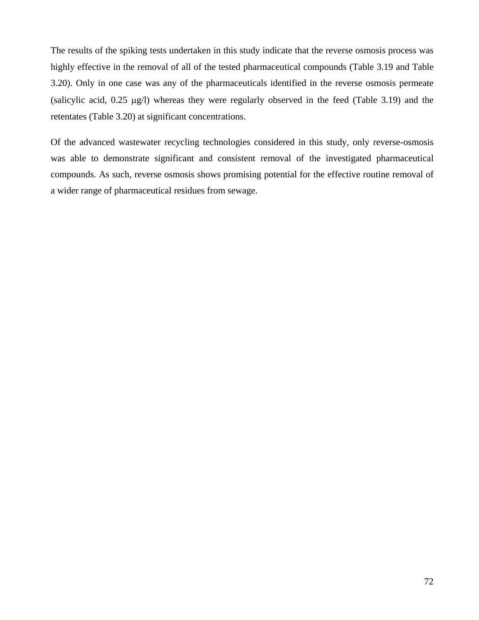The results of the spiking tests undertaken in this study indicate that the reverse osmosis process was highly effective in the removal of all of the tested pharmaceutical compounds (Table 3.19 and Table 3.20). Only in one case was any of the pharmaceuticals identified in the reverse osmosis permeate (salicylic acid, 0.25 µg/l) whereas they were regularly observed in the feed (Table 3.19) and the retentates (Table 3.20) at significant concentrations.

Of the advanced wastewater recycling technologies considered in this study, only reverse-osmosis was able to demonstrate significant and consistent removal of the investigated pharmaceutical compounds. As such, reverse osmosis shows promising potential for the effective routine removal of a wider range of pharmaceutical residues from sewage.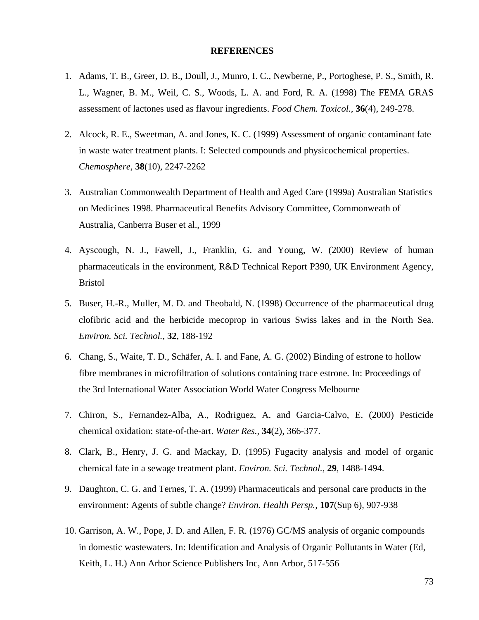## **REFERENCES**

- 1. Adams, T. B., Greer, D. B., Doull, J., Munro, I. C., Newberne, P., Portoghese, P. S., Smith, R. L., Wagner, B. M., Weil, C. S., Woods, L. A. and Ford, R. A. (1998) The FEMA GRAS assessment of lactones used as flavour ingredients. *Food Chem. Toxicol.,* **36**(4)*,* 249-278.
- 2. Alcock, R. E., Sweetman, A. and Jones, K. C. (1999) Assessment of organic contaminant fate in waste water treatment plants. I: Selected compounds and physicochemical properties. *Chemosphere,* **38**(10)*,* 2247-2262
- 3. Australian Commonwealth Department of Health and Aged Care (1999a) Australian Statistics on Medicines 1998. Pharmaceutical Benefits Advisory Committee, Commonweath of Australia, Canberra Buser et al., 1999
- 4. Ayscough, N. J., Fawell, J., Franklin, G. and Young, W. (2000) Review of human pharmaceuticals in the environment, R&D Technical Report P390, UK Environment Agency, Bristol
- 5. Buser, H.-R., Muller, M. D. and Theobald, N. (1998) Occurrence of the pharmaceutical drug clofibric acid and the herbicide mecoprop in various Swiss lakes and in the North Sea. *Environ. Sci. Technol.,* **32***,* 188-192
- 6. Chang, S., Waite, T. D., Schäfer, A. I. and Fane, A. G. (2002) Binding of estrone to hollow fibre membranes in microfiltration of solutions containing trace estrone*.* In: Proceedings of the 3rd International Water Association World Water Congress Melbourne
- 7. Chiron, S., Fernandez-Alba, A., Rodriguez, A. and Garcia-Calvo, E. (2000) Pesticide chemical oxidation: state-of-the-art. *Water Res.,* **34**(2)*,* 366-377.
- 8. Clark, B., Henry, J. G. and Mackay, D. (1995) Fugacity analysis and model of organic chemical fate in a sewage treatment plant. *Environ. Sci. Technol.,* **29***,* 1488-1494.
- 9. Daughton, C. G. and Ternes, T. A. (1999) Pharmaceuticals and personal care products in the environment: Agents of subtle change? *Environ. Health Persp.,* **107**(Sup 6)*,* 907-938
- 10. Garrison, A. W., Pope, J. D. and Allen, F. R. (1976) GC/MS analysis of organic compounds in domestic wastewaters*.* In: Identification and Analysis of Organic Pollutants in Water (Ed, Keith, L. H.) Ann Arbor Science Publishers Inc, Ann Arbor, 517-556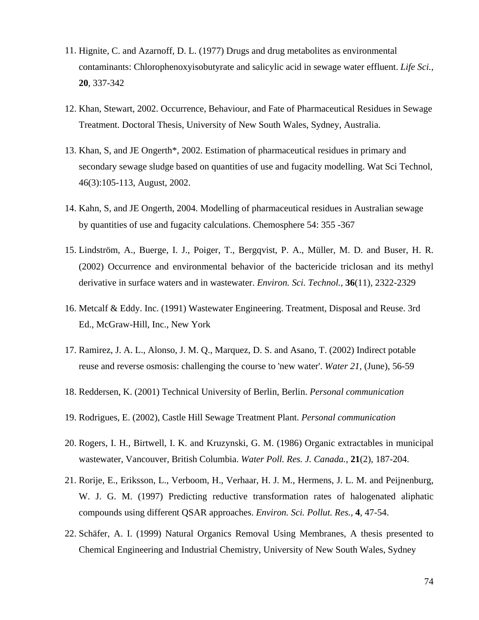- 11. Hignite, C. and Azarnoff, D. L. (1977) Drugs and drug metabolites as environmental contaminants: Chlorophenoxyisobutyrate and salicylic acid in sewage water effluent. *Life Sci.,* **20***,* 337-342
- 12. Khan, Stewart, 2002. Occurrence, Behaviour, and Fate of Pharmaceutical Residues in Sewage Treatment. Doctoral Thesis, University of New South Wales, Sydney, Australia.
- 13. Khan, S, and JE Ongerth\*, 2002. Estimation of pharmaceutical residues in primary and secondary sewage sludge based on quantities of use and fugacity modelling. Wat Sci Technol, 46(3):105-113, August, 2002.
- 14. Kahn, S, and JE Ongerth, 2004. Modelling of pharmaceutical residues in Australian sewage by quantities of use and fugacity calculations. Chemosphere 54: 355 -367
- 15. Lindström, A., Buerge, I. J., Poiger, T., Bergqvist, P. A., Müller, M. D. and Buser, H. R. (2002) Occurrence and environmental behavior of the bactericide triclosan and its methyl derivative in surface waters and in wastewater. *Environ. Sci. Technol.,* **36**(11)*,* 2322-2329
- 16. Metcalf & Eddy. Inc. (1991) Wastewater Engineering. Treatment, Disposal and Reuse. 3rd Ed.*,* McGraw-Hill, Inc., New York
- 17. Ramirez, J. A. L., Alonso, J. M. Q., Marquez, D. S. and Asano, T. (2002) Indirect potable reuse and reverse osmosis: challenging the course to 'new water'. *Water 21,* (June)*,* 56-59
- 18. Reddersen, K. (2001) Technical University of Berlin, Berlin. *Personal communication*
- 19. Rodrigues, E. (2002), Castle Hill Sewage Treatment Plant. *Personal communication*
- 20. Rogers, I. H., Birtwell, I. K. and Kruzynski, G. M. (1986) Organic extractables in municipal wastewater, Vancouver, British Columbia. *Water Poll. Res. J. Canada.,* **21**(2)*,* 187-204.
- 21. Rorije, E., Eriksson, L., Verboom, H., Verhaar, H. J. M., Hermens, J. L. M. and Peijnenburg, W. J. G. M. (1997) Predicting reductive transformation rates of halogenated aliphatic compounds using different QSAR approaches. *Environ. Sci. Pollut. Res.,* **4***,* 47-54.
- 22. Schäfer, A. I. (1999) Natural Organics Removal Using Membranes*,* A thesis presented to Chemical Engineering and Industrial Chemistry, University of New South Wales, Sydney